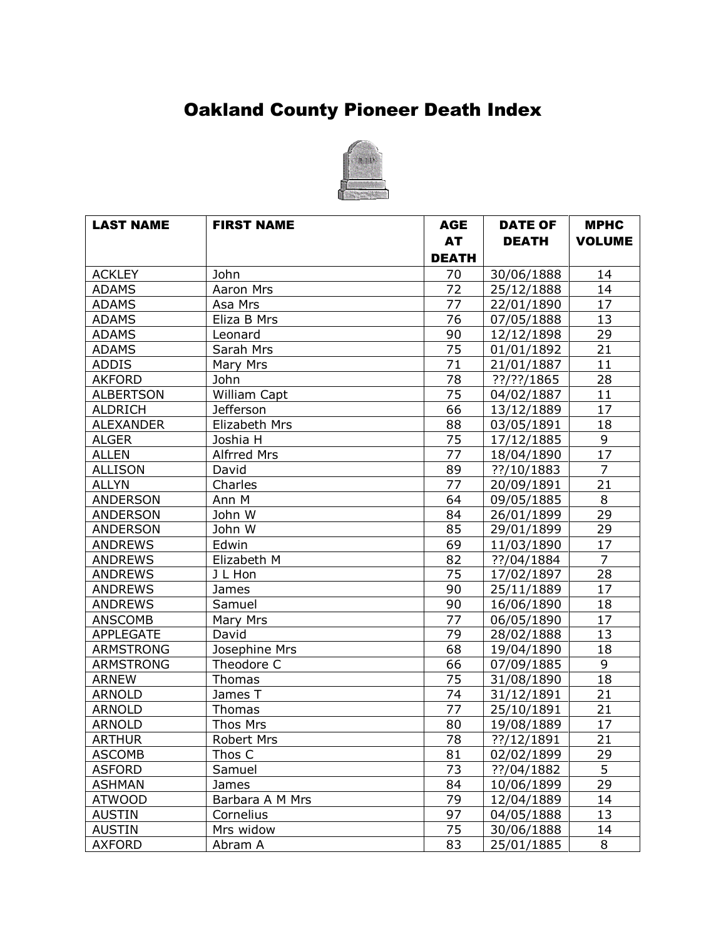## Oakland County Pioneer Death Index



| <b>LAST NAME</b> | <b>FIRST NAME</b>  | <b>AGE</b>      | <b>DATE OF</b> | <b>MPHC</b>     |
|------------------|--------------------|-----------------|----------------|-----------------|
|                  |                    | <b>AT</b>       | <b>DEATH</b>   | <b>VOLUME</b>   |
|                  |                    | <b>DEATH</b>    |                |                 |
| <b>ACKLEY</b>    | John               | 70              | 30/06/1888     | 14              |
| <b>ADAMS</b>     | Aaron Mrs          | 72              | 25/12/1888     | 14              |
| <b>ADAMS</b>     | Asa Mrs            | 77              | 22/01/1890     | 17              |
| <b>ADAMS</b>     | Eliza B Mrs        | 76              | 07/05/1888     | 13              |
| <b>ADAMS</b>     | Leonard            | 90              | 12/12/1898     | 29              |
| <b>ADAMS</b>     | Sarah Mrs          | 75              | 01/01/1892     | $\overline{21}$ |
| <b>ADDIS</b>     | Mary Mrs           | 71              | 21/01/1887     | 11              |
| <b>AKFORD</b>    | <b>John</b>        | 78              | $??$ /??/1865  | 28              |
| <b>ALBERTSON</b> | William Capt       | 75              | 04/02/1887     | 11              |
| <b>ALDRICH</b>   | <b>Jefferson</b>   | 66              | 13/12/1889     | 17              |
| <b>ALEXANDER</b> | Elizabeth Mrs      | 88              | 03/05/1891     | 18              |
| <b>ALGER</b>     | Joshia H           | 75              | 17/12/1885     | 9               |
| <b>ALLEN</b>     | <b>Alfrred Mrs</b> | 77              | 18/04/1890     | 17              |
| <b>ALLISON</b>   | David              | 89              | ??/10/1883     | $\overline{7}$  |
| <b>ALLYN</b>     | Charles            | $\overline{77}$ | 20/09/1891     | 21              |
| <b>ANDERSON</b>  | Ann M              | 64              | 09/05/1885     | 8               |
| <b>ANDERSON</b>  | John W             | 84              | 26/01/1899     | 29              |
| <b>ANDERSON</b>  | John W             | 85              | 29/01/1899     | 29              |
| <b>ANDREWS</b>   | Edwin              | 69              | 11/03/1890     | 17              |
| <b>ANDREWS</b>   | Elizabeth M        | 82              | ??/04/1884     | $\overline{7}$  |
| <b>ANDREWS</b>   | J L Hon            | 75              | 17/02/1897     | 28              |
| <b>ANDREWS</b>   | James              | 90              | 25/11/1889     | 17              |
| <b>ANDREWS</b>   | Samuel             | 90              | 16/06/1890     | 18              |
| <b>ANSCOMB</b>   | Mary Mrs           | $\overline{7}$  | 06/05/1890     | 17              |
| <b>APPLEGATE</b> | David              | $\overline{79}$ | 28/02/1888     | 13              |
| <b>ARMSTRONG</b> | Josephine Mrs      | 68              | 19/04/1890     | 18              |
| <b>ARMSTRONG</b> | Theodore C         | 66              | 07/09/1885     | 9               |
| <b>ARNEW</b>     | Thomas             | 75              | 31/08/1890     | 18              |
| <b>ARNOLD</b>    | James T            | 74              | 31/12/1891     | 21              |
| <b>ARNOLD</b>    | Thomas             | 77              | 25/10/1891     | 21              |
| <b>ARNOLD</b>    | Thos Mrs           | 80              | 19/08/1889     | 17              |
| <b>ARTHUR</b>    | <b>Robert Mrs</b>  | 78              | ??/12/1891     | 21              |
| <b>ASCOMB</b>    | Thos C             | 81              | 02/02/1899     | 29              |
| <b>ASFORD</b>    | Samuel             | 73              | ??/04/1882     | 5               |
| <b>ASHMAN</b>    | James              | 84              | 10/06/1899     | 29              |
| <b>ATWOOD</b>    | Barbara A M Mrs    | 79              | 12/04/1889     | 14              |
| <b>AUSTIN</b>    | Cornelius          | 97              | 04/05/1888     | 13              |
| <b>AUSTIN</b>    | Mrs widow          | 75              | 30/06/1888     | 14              |
| <b>AXFORD</b>    | Abram A            | 83              | 25/01/1885     | 8               |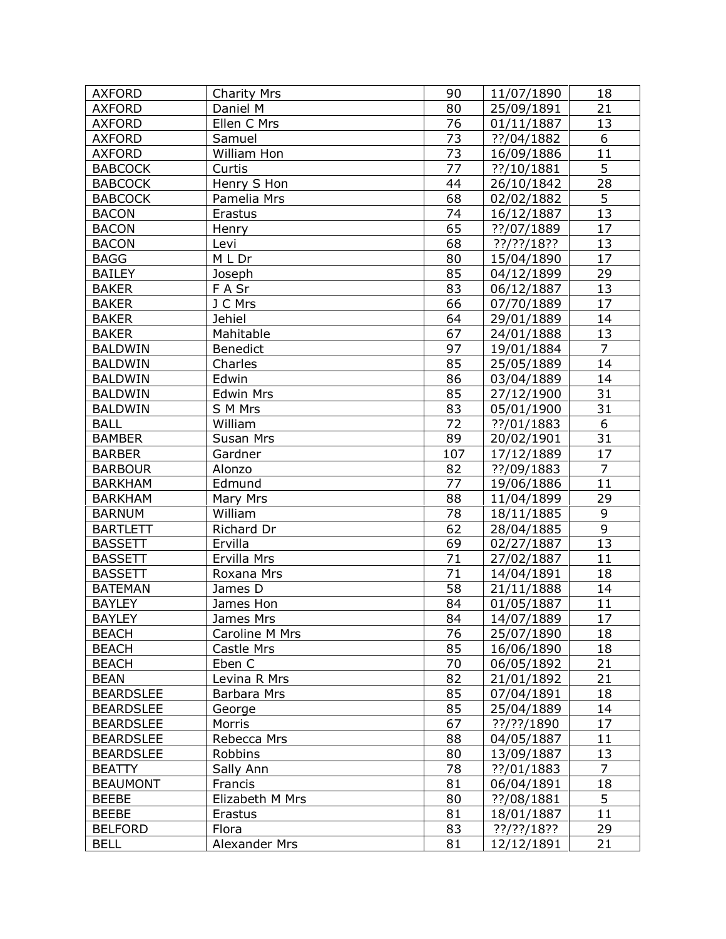| <b>AXFORD</b>    | <b>Charity Mrs</b> | 90              | 11/07/1890    | 18              |
|------------------|--------------------|-----------------|---------------|-----------------|
| <b>AXFORD</b>    | Daniel M           | 80              | 25/09/1891    | 21              |
| <b>AXFORD</b>    | Ellen C Mrs        | 76              | 01/11/1887    | 13              |
| <b>AXFORD</b>    | Samuel             | 73              | ??/04/1882    | 6               |
| <b>AXFORD</b>    | William Hon        | 73              | 16/09/1886    | 11              |
| <b>BABCOCK</b>   | Curtis             | 77              | ??/10/1881    | $\overline{5}$  |
| <b>BABCOCK</b>   | Henry S Hon        | 44              | 26/10/1842    | 28              |
| <b>BABCOCK</b>   | Pamelia Mrs        | 68              | 02/02/1882    | $\overline{5}$  |
| <b>BACON</b>     | Erastus            | $\overline{74}$ | 16/12/1887    | $\overline{13}$ |
| <b>BACON</b>     | Henry              | 65              | ??/07/1889    | 17              |
| <b>BACON</b>     | Levi               | 68              | ??/??/18??    | 13              |
| <b>BAGG</b>      | M L Dr             | 80              | 15/04/1890    | 17              |
| <b>BAILEY</b>    | Joseph             | 85              | 04/12/1899    | 29              |
| <b>BAKER</b>     | F A Sr             | 83              | 06/12/1887    | 13              |
| <b>BAKER</b>     | J C Mrs            | 66              | 07/70/1889    | 17              |
| <b>BAKER</b>     | <b>Jehiel</b>      | 64              | 29/01/1889    | 14              |
| <b>BAKER</b>     | Mahitable          | 67              | 24/01/1888    | 13              |
| <b>BALDWIN</b>   | <b>Benedict</b>    | 97              | 19/01/1884    | $\overline{7}$  |
| <b>BALDWIN</b>   | Charles            | 85              | 25/05/1889    | 14              |
| <b>BALDWIN</b>   | Edwin              | 86              | 03/04/1889    | 14              |
| <b>BALDWIN</b>   | <b>Edwin Mrs</b>   | 85              | 27/12/1900    | 31              |
| <b>BALDWIN</b>   | S M Mrs            | 83              | 05/01/1900    | 31              |
| <b>BALL</b>      | William            | 72              | ??/01/1883    | 6               |
| <b>BAMBER</b>    | Susan Mrs          | 89              | 20/02/1901    | 31              |
| <b>BARBER</b>    | Gardner            | 107             | 17/12/1889    | 17              |
| <b>BARBOUR</b>   | Alonzo             | 82              | ??/09/1883    | $\overline{7}$  |
| <b>BARKHAM</b>   | Edmund             | 77              | 19/06/1886    | $\overline{11}$ |
| <b>BARKHAM</b>   | Mary Mrs           | 88              | 11/04/1899    | 29              |
| <b>BARNUM</b>    | William            | 78              | 18/11/1885    | 9               |
| <b>BARTLETT</b>  | Richard Dr         | 62              | 28/04/1885    | 9               |
| <b>BASSETT</b>   | Ervilla            | 69              | 02/27/1887    | 13              |
| <b>BASSETT</b>   | Ervilla Mrs        | 71              | 27/02/1887    | 11              |
| <b>BASSETT</b>   | Roxana Mrs         | 71              | 14/04/1891    | 18              |
| <b>BATEMAN</b>   | James D            | 58              | 21/11/1888    | 14              |
| <b>BAYLEY</b>    | James Hon          | 84              | 01/05/1887    | 11              |
| <b>BAYLEY</b>    | James Mrs          | 84              | 14/07/1889    | 17              |
| <b>BEACH</b>     | Caroline M Mrs     | 76              | 25/07/1890    | 18              |
| <b>BEACH</b>     | Castle Mrs         | 85              | 16/06/1890    | 18              |
| <b>BEACH</b>     | Eben C             | 70              | 06/05/1892    | 21              |
| <b>BEAN</b>      | Levina R Mrs       | 82              | 21/01/1892    | 21              |
| <b>BEARDSLEE</b> | Barbara Mrs        | 85              | 07/04/1891    | 18              |
| <b>BEARDSLEE</b> | George             | 85              | 25/04/1889    | 14              |
| <b>BEARDSLEE</b> | Morris             | 67              | ??/??/1890    | 17              |
| <b>BEARDSLEE</b> | Rebecca Mrs        | 88              | 04/05/1887    | 11              |
| <b>BEARDSLEE</b> | Robbins            | 80              | 13/09/1887    | 13              |
| <b>BEATTY</b>    | Sally Ann          | 78              | ??/01/1883    | $\overline{7}$  |
| <b>BEAUMONT</b>  | Francis            | 81              | 06/04/1891    | 18              |
| <b>BEEBE</b>     | Elizabeth M Mrs    | 80              | ??/08/1881    | 5               |
| <b>BEEBE</b>     | Erastus            | 81              | 18/01/1887    | 11              |
| <b>BELFORD</b>   | Flora              | 83              | $??$ /??/18?? | 29              |
| <b>BELL</b>      | Alexander Mrs      | 81              | 12/12/1891    | 21              |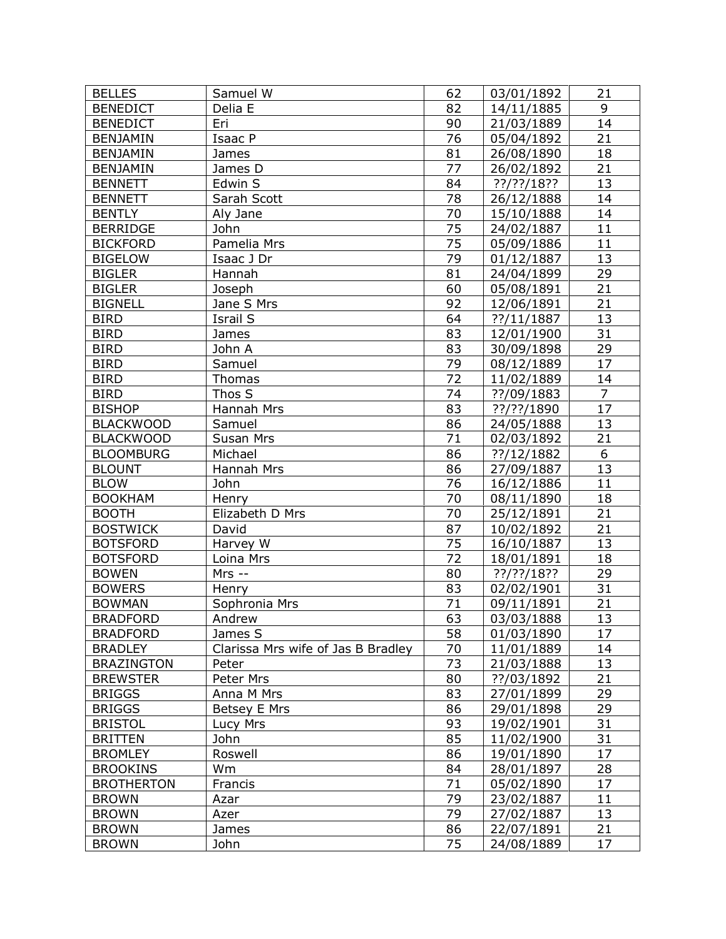| <b>BELLES</b>                     | Samuel W                           | 62              | 03/01/1892    | 21              |
|-----------------------------------|------------------------------------|-----------------|---------------|-----------------|
| <b>BENEDICT</b>                   | Delia E                            | 82              | 14/11/1885    | 9               |
| <b>BENEDICT</b>                   | Eri                                | 90              | 21/03/1889    | 14              |
| <b>BENJAMIN</b>                   | Isaac P                            | 76              | 05/04/1892    | 21              |
| <b>BENJAMIN</b>                   | James                              | 81              | 26/08/1890    | 18              |
| <b>BENJAMIN</b>                   | James D                            | 77              | 26/02/1892    | 21              |
| <b>BENNETT</b>                    | Edwin S                            | 84              | $??$ /??/18?? | 13              |
| <b>BENNETT</b>                    | Sarah Scott                        | 78              | 26/12/1888    | 14              |
| <b>BENTLY</b>                     | Aly Jane                           | $\overline{70}$ | 15/10/1888    | $\overline{14}$ |
| <b>BERRIDGE</b>                   | John                               | $\overline{75}$ | 24/02/1887    | 11              |
| <b>BICKFORD</b>                   | Pamelia Mrs                        | 75              | 05/09/1886    | 11              |
| <b>BIGELOW</b>                    | Isaac J Dr                         | 79              | 01/12/1887    | 13              |
| <b>BIGLER</b>                     | Hannah                             | 81              | 24/04/1899    | 29              |
| <b>BIGLER</b>                     | Joseph                             | 60              | 05/08/1891    | 21              |
| <b>BIGNELL</b>                    | Jane S Mrs                         | 92              | 12/06/1891    | 21              |
| <b>BIRD</b>                       | Israil S                           | 64              | ??/11/1887    | 13              |
| <b>BIRD</b>                       | James                              | 83              | 12/01/1900    | 31              |
| <b>BIRD</b>                       | John A                             | 83              | 30/09/1898    | 29              |
| <b>BIRD</b>                       | Samuel                             | 79              | 08/12/1889    | 17              |
| <b>BIRD</b>                       | Thomas                             | 72              | 11/02/1889    | 14              |
| <b>BIRD</b>                       | Thos S                             | 74              | ??/09/1883    | $\overline{7}$  |
| <b>BISHOP</b>                     | Hannah Mrs                         | 83              | ??/??/1890    | 17              |
| <b>BLACKWOOD</b>                  | Samuel                             | 86              | 24/05/1888    | 13              |
| <b>BLACKWOOD</b>                  | Susan Mrs                          | 71              | 02/03/1892    | 21              |
| <b>BLOOMBURG</b>                  | Michael                            | 86              | ??/12/1882    | $\overline{6}$  |
| <b>BLOUNT</b>                     | Hannah Mrs                         | 86              | 27/09/1887    | 13              |
| <b>BLOW</b>                       | John                               | $\overline{76}$ | 16/12/1886    | 11              |
| <b>BOOKHAM</b>                    | Henry                              | 70              | 08/11/1890    | 18              |
| <b>BOOTH</b>                      | Elizabeth D Mrs                    | 70              | 25/12/1891    | 21              |
| <b>BOSTWICK</b>                   | David                              | 87              | 10/02/1892    | 21              |
| <b>BOTSFORD</b>                   | Harvey W                           | 75              | 16/10/1887    | 13              |
| <b>BOTSFORD</b>                   | Loina Mrs                          | 72              | 18/01/1891    | 18              |
| <b>BOWEN</b>                      | $Mrs -$                            | 80              | $??$ /??/18?? | 29              |
| <b>BOWERS</b>                     | Henry                              | 83              | 02/02/1901    | 31              |
| <b>BOWMAN</b>                     | Sophronia Mrs                      | 71              | 09/11/1891    | 21              |
| <b>BRADFORD</b>                   | Andrew                             | 63              | 03/03/1888    | 13              |
| <b>BRADFORD</b>                   | James S                            | 58              | 01/03/1890    | 17              |
| <b>BRADLEY</b>                    | Clarissa Mrs wife of Jas B Bradley | 70              | 11/01/1889    | 14              |
| <b>BRAZINGTON</b>                 | Peter                              | 73              | 21/03/1888    | 13              |
| <b>BREWSTER</b>                   | Peter Mrs                          | 80              | ??/03/1892    | 21              |
| <b>BRIGGS</b>                     | Anna M Mrs                         | 83              | 27/01/1899    | 29              |
| <b>BRIGGS</b>                     | Betsey E Mrs                       | 86              | 29/01/1898    | 29              |
| <b>BRISTOL</b>                    | Lucy Mrs                           | 93              | 19/02/1901    | 31              |
| <b>BRITTEN</b>                    | John                               | 85              | 11/02/1900    | 31              |
| <b>BROMLEY</b>                    | Roswell                            | 86              | 19/01/1890    | 17              |
| <b>BROOKINS</b>                   | Wm                                 | 84              | 28/01/1897    | 28              |
|                                   |                                    | 71              |               | 17              |
| <b>BROTHERTON</b><br><b>BROWN</b> | Francis                            | 79              | 05/02/1890    | 11              |
|                                   | Azar                               |                 | 23/02/1887    |                 |
| <b>BROWN</b>                      | Azer                               | 79              | 27/02/1887    | 13              |
| <b>BROWN</b>                      | James                              | 86<br>75        | 22/07/1891    | 21<br>17        |
| <b>BROWN</b>                      | John                               |                 | 24/08/1889    |                 |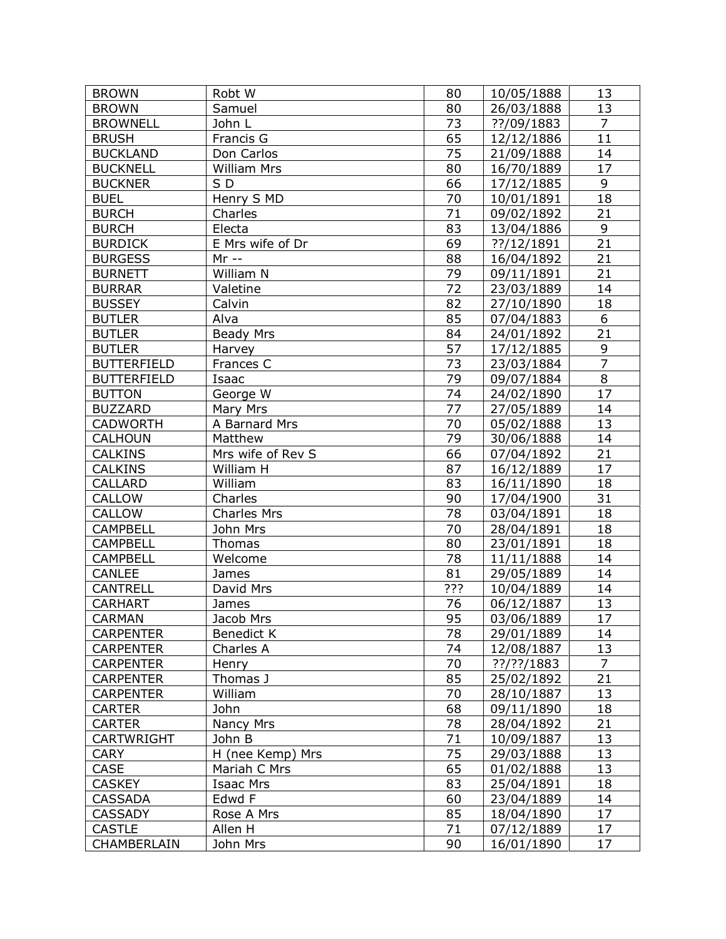| 13<br><b>BROWN</b><br>Samuel<br>80<br>26/03/1888<br><b>BROWNELL</b><br>73<br>$\overline{7}$<br>John L<br>??/09/1883<br>11<br>65<br><b>BRUSH</b><br>Francis G<br>12/12/1886<br>75<br><b>BUCKLAND</b><br>21/09/1888<br>14<br>Don Carlos<br>17<br><b>BUCKNELL</b><br><b>William Mrs</b><br>16/70/1889<br>80<br>9<br>SD<br>66<br><b>BUCKNER</b><br>17/12/1885<br>70<br>18<br>Henry S MD<br><b>BUEL</b><br>10/01/1891<br>$\overline{71}$<br>21<br><b>BURCH</b><br>Charles<br>09/02/1892<br>9<br>Electa<br>83<br><b>BURCH</b><br>13/04/1886<br>21<br>69<br><b>BURDICK</b><br>E Mrs wife of Dr<br>??/12/1891<br><b>BURGESS</b><br>$Mr -$<br>88<br>21<br>16/04/1892<br>William N<br>79<br>21<br><b>BURNETT</b><br>09/11/1891<br>72<br>14<br><b>BURRAR</b><br>Valetine<br>23/03/1889<br>82<br><b>BUSSEY</b><br>27/10/1890<br>18<br>Calvin<br>6<br>85<br><b>BUTLER</b><br>Alva<br>07/04/1883<br>21<br>84<br><b>BUTLER</b><br>Beady Mrs<br>24/01/1892<br>57<br>9<br><b>BUTLER</b><br>17/12/1885<br>Harvey<br>$\overline{7}$<br>73<br><b>BUTTERFIELD</b><br>Frances C<br>23/03/1884<br>8<br>79<br><b>BUTTERFIELD</b><br>Isaac<br>09/07/1884<br>17<br>74<br>George W<br><b>BUTTON</b><br>24/02/1890<br>77<br>14<br><b>BUZZARD</b><br>27/05/1889<br>Mary Mrs<br>70<br>13<br><b>CADWORTH</b><br>A Barnard Mrs<br>05/02/1888<br>79<br>30/06/1888<br>14<br><b>CALHOUN</b><br>Matthew<br>21<br>66<br><b>CALKINS</b><br>Mrs wife of Rev S<br>07/04/1892<br>17<br>87<br><b>CALKINS</b><br>William H<br>16/12/1889<br>18<br>William<br>83<br>CALLARD<br>16/11/1890<br>31<br>90<br>CALLOW<br>Charles<br>17/04/1900<br>18<br><b>CALLOW</b><br>78<br><b>Charles Mrs</b><br>03/04/1891<br><b>CAMPBELL</b><br>70<br>28/04/1891<br>18<br>John Mrs<br><b>CAMPBELL</b><br>80<br>18<br>Thomas<br>23/01/1891<br>78<br><b>CAMPBELL</b><br>Welcome<br>11/11/1888<br>14<br>81<br>CANLEE<br>29/05/1889<br>14<br>James<br>???<br><b>CANTRELL</b><br>10/04/1889<br>14<br>David Mrs<br>76<br>13<br><b>CARHART</b><br>06/12/1887<br>James<br>17<br><b>CARMAN</b><br>95<br>03/06/1889<br>Jacob Mrs<br>78<br><b>CARPENTER</b><br>14<br><b>Benedict K</b><br>29/01/1889<br>Charles A<br>74<br>13<br><b>CARPENTER</b><br>12/08/1887<br>70<br><b>CARPENTER</b><br>??/??/1883<br>7<br>Henry<br>85<br>21<br><b>CARPENTER</b><br>Thomas J<br>25/02/1892<br>70<br>William<br>13<br><b>CARPENTER</b><br>28/10/1887<br>68<br>John<br>09/11/1890<br>18<br><b>CARTER</b><br>Nancy Mrs<br>21<br><b>CARTER</b><br>78<br>28/04/1892 | <b>BROWN</b>      | Robt W | 80 | 10/05/1888 | 13 |
|------------------------------------------------------------------------------------------------------------------------------------------------------------------------------------------------------------------------------------------------------------------------------------------------------------------------------------------------------------------------------------------------------------------------------------------------------------------------------------------------------------------------------------------------------------------------------------------------------------------------------------------------------------------------------------------------------------------------------------------------------------------------------------------------------------------------------------------------------------------------------------------------------------------------------------------------------------------------------------------------------------------------------------------------------------------------------------------------------------------------------------------------------------------------------------------------------------------------------------------------------------------------------------------------------------------------------------------------------------------------------------------------------------------------------------------------------------------------------------------------------------------------------------------------------------------------------------------------------------------------------------------------------------------------------------------------------------------------------------------------------------------------------------------------------------------------------------------------------------------------------------------------------------------------------------------------------------------------------------------------------------------------------------------------------------------------------------------------------------------------------------------------------------------------------------------------------------------------------------------------------------------------------------------------------------------------------------------------------------------------------------------------------------------------------------------------------------------------------|-------------------|--------|----|------------|----|
|                                                                                                                                                                                                                                                                                                                                                                                                                                                                                                                                                                                                                                                                                                                                                                                                                                                                                                                                                                                                                                                                                                                                                                                                                                                                                                                                                                                                                                                                                                                                                                                                                                                                                                                                                                                                                                                                                                                                                                                                                                                                                                                                                                                                                                                                                                                                                                                                                                                                              |                   |        |    |            |    |
|                                                                                                                                                                                                                                                                                                                                                                                                                                                                                                                                                                                                                                                                                                                                                                                                                                                                                                                                                                                                                                                                                                                                                                                                                                                                                                                                                                                                                                                                                                                                                                                                                                                                                                                                                                                                                                                                                                                                                                                                                                                                                                                                                                                                                                                                                                                                                                                                                                                                              |                   |        |    |            |    |
|                                                                                                                                                                                                                                                                                                                                                                                                                                                                                                                                                                                                                                                                                                                                                                                                                                                                                                                                                                                                                                                                                                                                                                                                                                                                                                                                                                                                                                                                                                                                                                                                                                                                                                                                                                                                                                                                                                                                                                                                                                                                                                                                                                                                                                                                                                                                                                                                                                                                              |                   |        |    |            |    |
|                                                                                                                                                                                                                                                                                                                                                                                                                                                                                                                                                                                                                                                                                                                                                                                                                                                                                                                                                                                                                                                                                                                                                                                                                                                                                                                                                                                                                                                                                                                                                                                                                                                                                                                                                                                                                                                                                                                                                                                                                                                                                                                                                                                                                                                                                                                                                                                                                                                                              |                   |        |    |            |    |
|                                                                                                                                                                                                                                                                                                                                                                                                                                                                                                                                                                                                                                                                                                                                                                                                                                                                                                                                                                                                                                                                                                                                                                                                                                                                                                                                                                                                                                                                                                                                                                                                                                                                                                                                                                                                                                                                                                                                                                                                                                                                                                                                                                                                                                                                                                                                                                                                                                                                              |                   |        |    |            |    |
|                                                                                                                                                                                                                                                                                                                                                                                                                                                                                                                                                                                                                                                                                                                                                                                                                                                                                                                                                                                                                                                                                                                                                                                                                                                                                                                                                                                                                                                                                                                                                                                                                                                                                                                                                                                                                                                                                                                                                                                                                                                                                                                                                                                                                                                                                                                                                                                                                                                                              |                   |        |    |            |    |
|                                                                                                                                                                                                                                                                                                                                                                                                                                                                                                                                                                                                                                                                                                                                                                                                                                                                                                                                                                                                                                                                                                                                                                                                                                                                                                                                                                                                                                                                                                                                                                                                                                                                                                                                                                                                                                                                                                                                                                                                                                                                                                                                                                                                                                                                                                                                                                                                                                                                              |                   |        |    |            |    |
|                                                                                                                                                                                                                                                                                                                                                                                                                                                                                                                                                                                                                                                                                                                                                                                                                                                                                                                                                                                                                                                                                                                                                                                                                                                                                                                                                                                                                                                                                                                                                                                                                                                                                                                                                                                                                                                                                                                                                                                                                                                                                                                                                                                                                                                                                                                                                                                                                                                                              |                   |        |    |            |    |
|                                                                                                                                                                                                                                                                                                                                                                                                                                                                                                                                                                                                                                                                                                                                                                                                                                                                                                                                                                                                                                                                                                                                                                                                                                                                                                                                                                                                                                                                                                                                                                                                                                                                                                                                                                                                                                                                                                                                                                                                                                                                                                                                                                                                                                                                                                                                                                                                                                                                              |                   |        |    |            |    |
|                                                                                                                                                                                                                                                                                                                                                                                                                                                                                                                                                                                                                                                                                                                                                                                                                                                                                                                                                                                                                                                                                                                                                                                                                                                                                                                                                                                                                                                                                                                                                                                                                                                                                                                                                                                                                                                                                                                                                                                                                                                                                                                                                                                                                                                                                                                                                                                                                                                                              |                   |        |    |            |    |
|                                                                                                                                                                                                                                                                                                                                                                                                                                                                                                                                                                                                                                                                                                                                                                                                                                                                                                                                                                                                                                                                                                                                                                                                                                                                                                                                                                                                                                                                                                                                                                                                                                                                                                                                                                                                                                                                                                                                                                                                                                                                                                                                                                                                                                                                                                                                                                                                                                                                              |                   |        |    |            |    |
|                                                                                                                                                                                                                                                                                                                                                                                                                                                                                                                                                                                                                                                                                                                                                                                                                                                                                                                                                                                                                                                                                                                                                                                                                                                                                                                                                                                                                                                                                                                                                                                                                                                                                                                                                                                                                                                                                                                                                                                                                                                                                                                                                                                                                                                                                                                                                                                                                                                                              |                   |        |    |            |    |
|                                                                                                                                                                                                                                                                                                                                                                                                                                                                                                                                                                                                                                                                                                                                                                                                                                                                                                                                                                                                                                                                                                                                                                                                                                                                                                                                                                                                                                                                                                                                                                                                                                                                                                                                                                                                                                                                                                                                                                                                                                                                                                                                                                                                                                                                                                                                                                                                                                                                              |                   |        |    |            |    |
|                                                                                                                                                                                                                                                                                                                                                                                                                                                                                                                                                                                                                                                                                                                                                                                                                                                                                                                                                                                                                                                                                                                                                                                                                                                                                                                                                                                                                                                                                                                                                                                                                                                                                                                                                                                                                                                                                                                                                                                                                                                                                                                                                                                                                                                                                                                                                                                                                                                                              |                   |        |    |            |    |
|                                                                                                                                                                                                                                                                                                                                                                                                                                                                                                                                                                                                                                                                                                                                                                                                                                                                                                                                                                                                                                                                                                                                                                                                                                                                                                                                                                                                                                                                                                                                                                                                                                                                                                                                                                                                                                                                                                                                                                                                                                                                                                                                                                                                                                                                                                                                                                                                                                                                              |                   |        |    |            |    |
|                                                                                                                                                                                                                                                                                                                                                                                                                                                                                                                                                                                                                                                                                                                                                                                                                                                                                                                                                                                                                                                                                                                                                                                                                                                                                                                                                                                                                                                                                                                                                                                                                                                                                                                                                                                                                                                                                                                                                                                                                                                                                                                                                                                                                                                                                                                                                                                                                                                                              |                   |        |    |            |    |
|                                                                                                                                                                                                                                                                                                                                                                                                                                                                                                                                                                                                                                                                                                                                                                                                                                                                                                                                                                                                                                                                                                                                                                                                                                                                                                                                                                                                                                                                                                                                                                                                                                                                                                                                                                                                                                                                                                                                                                                                                                                                                                                                                                                                                                                                                                                                                                                                                                                                              |                   |        |    |            |    |
|                                                                                                                                                                                                                                                                                                                                                                                                                                                                                                                                                                                                                                                                                                                                                                                                                                                                                                                                                                                                                                                                                                                                                                                                                                                                                                                                                                                                                                                                                                                                                                                                                                                                                                                                                                                                                                                                                                                                                                                                                                                                                                                                                                                                                                                                                                                                                                                                                                                                              |                   |        |    |            |    |
|                                                                                                                                                                                                                                                                                                                                                                                                                                                                                                                                                                                                                                                                                                                                                                                                                                                                                                                                                                                                                                                                                                                                                                                                                                                                                                                                                                                                                                                                                                                                                                                                                                                                                                                                                                                                                                                                                                                                                                                                                                                                                                                                                                                                                                                                                                                                                                                                                                                                              |                   |        |    |            |    |
|                                                                                                                                                                                                                                                                                                                                                                                                                                                                                                                                                                                                                                                                                                                                                                                                                                                                                                                                                                                                                                                                                                                                                                                                                                                                                                                                                                                                                                                                                                                                                                                                                                                                                                                                                                                                                                                                                                                                                                                                                                                                                                                                                                                                                                                                                                                                                                                                                                                                              |                   |        |    |            |    |
|                                                                                                                                                                                                                                                                                                                                                                                                                                                                                                                                                                                                                                                                                                                                                                                                                                                                                                                                                                                                                                                                                                                                                                                                                                                                                                                                                                                                                                                                                                                                                                                                                                                                                                                                                                                                                                                                                                                                                                                                                                                                                                                                                                                                                                                                                                                                                                                                                                                                              |                   |        |    |            |    |
|                                                                                                                                                                                                                                                                                                                                                                                                                                                                                                                                                                                                                                                                                                                                                                                                                                                                                                                                                                                                                                                                                                                                                                                                                                                                                                                                                                                                                                                                                                                                                                                                                                                                                                                                                                                                                                                                                                                                                                                                                                                                                                                                                                                                                                                                                                                                                                                                                                                                              |                   |        |    |            |    |
|                                                                                                                                                                                                                                                                                                                                                                                                                                                                                                                                                                                                                                                                                                                                                                                                                                                                                                                                                                                                                                                                                                                                                                                                                                                                                                                                                                                                                                                                                                                                                                                                                                                                                                                                                                                                                                                                                                                                                                                                                                                                                                                                                                                                                                                                                                                                                                                                                                                                              |                   |        |    |            |    |
|                                                                                                                                                                                                                                                                                                                                                                                                                                                                                                                                                                                                                                                                                                                                                                                                                                                                                                                                                                                                                                                                                                                                                                                                                                                                                                                                                                                                                                                                                                                                                                                                                                                                                                                                                                                                                                                                                                                                                                                                                                                                                                                                                                                                                                                                                                                                                                                                                                                                              |                   |        |    |            |    |
|                                                                                                                                                                                                                                                                                                                                                                                                                                                                                                                                                                                                                                                                                                                                                                                                                                                                                                                                                                                                                                                                                                                                                                                                                                                                                                                                                                                                                                                                                                                                                                                                                                                                                                                                                                                                                                                                                                                                                                                                                                                                                                                                                                                                                                                                                                                                                                                                                                                                              |                   |        |    |            |    |
|                                                                                                                                                                                                                                                                                                                                                                                                                                                                                                                                                                                                                                                                                                                                                                                                                                                                                                                                                                                                                                                                                                                                                                                                                                                                                                                                                                                                                                                                                                                                                                                                                                                                                                                                                                                                                                                                                                                                                                                                                                                                                                                                                                                                                                                                                                                                                                                                                                                                              |                   |        |    |            |    |
|                                                                                                                                                                                                                                                                                                                                                                                                                                                                                                                                                                                                                                                                                                                                                                                                                                                                                                                                                                                                                                                                                                                                                                                                                                                                                                                                                                                                                                                                                                                                                                                                                                                                                                                                                                                                                                                                                                                                                                                                                                                                                                                                                                                                                                                                                                                                                                                                                                                                              |                   |        |    |            |    |
|                                                                                                                                                                                                                                                                                                                                                                                                                                                                                                                                                                                                                                                                                                                                                                                                                                                                                                                                                                                                                                                                                                                                                                                                                                                                                                                                                                                                                                                                                                                                                                                                                                                                                                                                                                                                                                                                                                                                                                                                                                                                                                                                                                                                                                                                                                                                                                                                                                                                              |                   |        |    |            |    |
|                                                                                                                                                                                                                                                                                                                                                                                                                                                                                                                                                                                                                                                                                                                                                                                                                                                                                                                                                                                                                                                                                                                                                                                                                                                                                                                                                                                                                                                                                                                                                                                                                                                                                                                                                                                                                                                                                                                                                                                                                                                                                                                                                                                                                                                                                                                                                                                                                                                                              |                   |        |    |            |    |
|                                                                                                                                                                                                                                                                                                                                                                                                                                                                                                                                                                                                                                                                                                                                                                                                                                                                                                                                                                                                                                                                                                                                                                                                                                                                                                                                                                                                                                                                                                                                                                                                                                                                                                                                                                                                                                                                                                                                                                                                                                                                                                                                                                                                                                                                                                                                                                                                                                                                              |                   |        |    |            |    |
|                                                                                                                                                                                                                                                                                                                                                                                                                                                                                                                                                                                                                                                                                                                                                                                                                                                                                                                                                                                                                                                                                                                                                                                                                                                                                                                                                                                                                                                                                                                                                                                                                                                                                                                                                                                                                                                                                                                                                                                                                                                                                                                                                                                                                                                                                                                                                                                                                                                                              |                   |        |    |            |    |
|                                                                                                                                                                                                                                                                                                                                                                                                                                                                                                                                                                                                                                                                                                                                                                                                                                                                                                                                                                                                                                                                                                                                                                                                                                                                                                                                                                                                                                                                                                                                                                                                                                                                                                                                                                                                                                                                                                                                                                                                                                                                                                                                                                                                                                                                                                                                                                                                                                                                              |                   |        |    |            |    |
|                                                                                                                                                                                                                                                                                                                                                                                                                                                                                                                                                                                                                                                                                                                                                                                                                                                                                                                                                                                                                                                                                                                                                                                                                                                                                                                                                                                                                                                                                                                                                                                                                                                                                                                                                                                                                                                                                                                                                                                                                                                                                                                                                                                                                                                                                                                                                                                                                                                                              |                   |        |    |            |    |
|                                                                                                                                                                                                                                                                                                                                                                                                                                                                                                                                                                                                                                                                                                                                                                                                                                                                                                                                                                                                                                                                                                                                                                                                                                                                                                                                                                                                                                                                                                                                                                                                                                                                                                                                                                                                                                                                                                                                                                                                                                                                                                                                                                                                                                                                                                                                                                                                                                                                              |                   |        |    |            |    |
|                                                                                                                                                                                                                                                                                                                                                                                                                                                                                                                                                                                                                                                                                                                                                                                                                                                                                                                                                                                                                                                                                                                                                                                                                                                                                                                                                                                                                                                                                                                                                                                                                                                                                                                                                                                                                                                                                                                                                                                                                                                                                                                                                                                                                                                                                                                                                                                                                                                                              |                   |        |    |            |    |
|                                                                                                                                                                                                                                                                                                                                                                                                                                                                                                                                                                                                                                                                                                                                                                                                                                                                                                                                                                                                                                                                                                                                                                                                                                                                                                                                                                                                                                                                                                                                                                                                                                                                                                                                                                                                                                                                                                                                                                                                                                                                                                                                                                                                                                                                                                                                                                                                                                                                              |                   |        |    |            |    |
|                                                                                                                                                                                                                                                                                                                                                                                                                                                                                                                                                                                                                                                                                                                                                                                                                                                                                                                                                                                                                                                                                                                                                                                                                                                                                                                                                                                                                                                                                                                                                                                                                                                                                                                                                                                                                                                                                                                                                                                                                                                                                                                                                                                                                                                                                                                                                                                                                                                                              |                   |        |    |            |    |
|                                                                                                                                                                                                                                                                                                                                                                                                                                                                                                                                                                                                                                                                                                                                                                                                                                                                                                                                                                                                                                                                                                                                                                                                                                                                                                                                                                                                                                                                                                                                                                                                                                                                                                                                                                                                                                                                                                                                                                                                                                                                                                                                                                                                                                                                                                                                                                                                                                                                              |                   |        |    |            |    |
|                                                                                                                                                                                                                                                                                                                                                                                                                                                                                                                                                                                                                                                                                                                                                                                                                                                                                                                                                                                                                                                                                                                                                                                                                                                                                                                                                                                                                                                                                                                                                                                                                                                                                                                                                                                                                                                                                                                                                                                                                                                                                                                                                                                                                                                                                                                                                                                                                                                                              |                   |        |    |            |    |
|                                                                                                                                                                                                                                                                                                                                                                                                                                                                                                                                                                                                                                                                                                                                                                                                                                                                                                                                                                                                                                                                                                                                                                                                                                                                                                                                                                                                                                                                                                                                                                                                                                                                                                                                                                                                                                                                                                                                                                                                                                                                                                                                                                                                                                                                                                                                                                                                                                                                              |                   |        |    |            |    |
|                                                                                                                                                                                                                                                                                                                                                                                                                                                                                                                                                                                                                                                                                                                                                                                                                                                                                                                                                                                                                                                                                                                                                                                                                                                                                                                                                                                                                                                                                                                                                                                                                                                                                                                                                                                                                                                                                                                                                                                                                                                                                                                                                                                                                                                                                                                                                                                                                                                                              |                   |        |    |            |    |
|                                                                                                                                                                                                                                                                                                                                                                                                                                                                                                                                                                                                                                                                                                                                                                                                                                                                                                                                                                                                                                                                                                                                                                                                                                                                                                                                                                                                                                                                                                                                                                                                                                                                                                                                                                                                                                                                                                                                                                                                                                                                                                                                                                                                                                                                                                                                                                                                                                                                              |                   |        |    |            |    |
|                                                                                                                                                                                                                                                                                                                                                                                                                                                                                                                                                                                                                                                                                                                                                                                                                                                                                                                                                                                                                                                                                                                                                                                                                                                                                                                                                                                                                                                                                                                                                                                                                                                                                                                                                                                                                                                                                                                                                                                                                                                                                                                                                                                                                                                                                                                                                                                                                                                                              | <b>CARTWRIGHT</b> | John B | 71 | 10/09/1887 | 13 |
| 75<br>13<br><b>CARY</b><br>H (nee Kemp) Mrs<br>29/03/1888                                                                                                                                                                                                                                                                                                                                                                                                                                                                                                                                                                                                                                                                                                                                                                                                                                                                                                                                                                                                                                                                                                                                                                                                                                                                                                                                                                                                                                                                                                                                                                                                                                                                                                                                                                                                                                                                                                                                                                                                                                                                                                                                                                                                                                                                                                                                                                                                                    |                   |        |    |            |    |
| 65<br>CASE<br>13<br>Mariah C Mrs<br>01/02/1888                                                                                                                                                                                                                                                                                                                                                                                                                                                                                                                                                                                                                                                                                                                                                                                                                                                                                                                                                                                                                                                                                                                                                                                                                                                                                                                                                                                                                                                                                                                                                                                                                                                                                                                                                                                                                                                                                                                                                                                                                                                                                                                                                                                                                                                                                                                                                                                                                               |                   |        |    |            |    |
| <b>CASKEY</b><br>Isaac Mrs<br>83<br>18<br>25/04/1891                                                                                                                                                                                                                                                                                                                                                                                                                                                                                                                                                                                                                                                                                                                                                                                                                                                                                                                                                                                                                                                                                                                                                                                                                                                                                                                                                                                                                                                                                                                                                                                                                                                                                                                                                                                                                                                                                                                                                                                                                                                                                                                                                                                                                                                                                                                                                                                                                         |                   |        |    |            |    |
| <b>CASSADA</b><br>Edwd F<br>60<br>14<br>23/04/1889                                                                                                                                                                                                                                                                                                                                                                                                                                                                                                                                                                                                                                                                                                                                                                                                                                                                                                                                                                                                                                                                                                                                                                                                                                                                                                                                                                                                                                                                                                                                                                                                                                                                                                                                                                                                                                                                                                                                                                                                                                                                                                                                                                                                                                                                                                                                                                                                                           |                   |        |    |            |    |
| <b>CASSADY</b><br>85<br>Rose A Mrs<br>17<br>18/04/1890                                                                                                                                                                                                                                                                                                                                                                                                                                                                                                                                                                                                                                                                                                                                                                                                                                                                                                                                                                                                                                                                                                                                                                                                                                                                                                                                                                                                                                                                                                                                                                                                                                                                                                                                                                                                                                                                                                                                                                                                                                                                                                                                                                                                                                                                                                                                                                                                                       |                   |        |    |            |    |
| 71<br><b>CASTLE</b><br>Allen H<br>07/12/1889<br>17                                                                                                                                                                                                                                                                                                                                                                                                                                                                                                                                                                                                                                                                                                                                                                                                                                                                                                                                                                                                                                                                                                                                                                                                                                                                                                                                                                                                                                                                                                                                                                                                                                                                                                                                                                                                                                                                                                                                                                                                                                                                                                                                                                                                                                                                                                                                                                                                                           |                   |        |    |            |    |
| CHAMBERLAIN<br>John Mrs<br>90<br>17<br>16/01/1890                                                                                                                                                                                                                                                                                                                                                                                                                                                                                                                                                                                                                                                                                                                                                                                                                                                                                                                                                                                                                                                                                                                                                                                                                                                                                                                                                                                                                                                                                                                                                                                                                                                                                                                                                                                                                                                                                                                                                                                                                                                                                                                                                                                                                                                                                                                                                                                                                            |                   |        |    |            |    |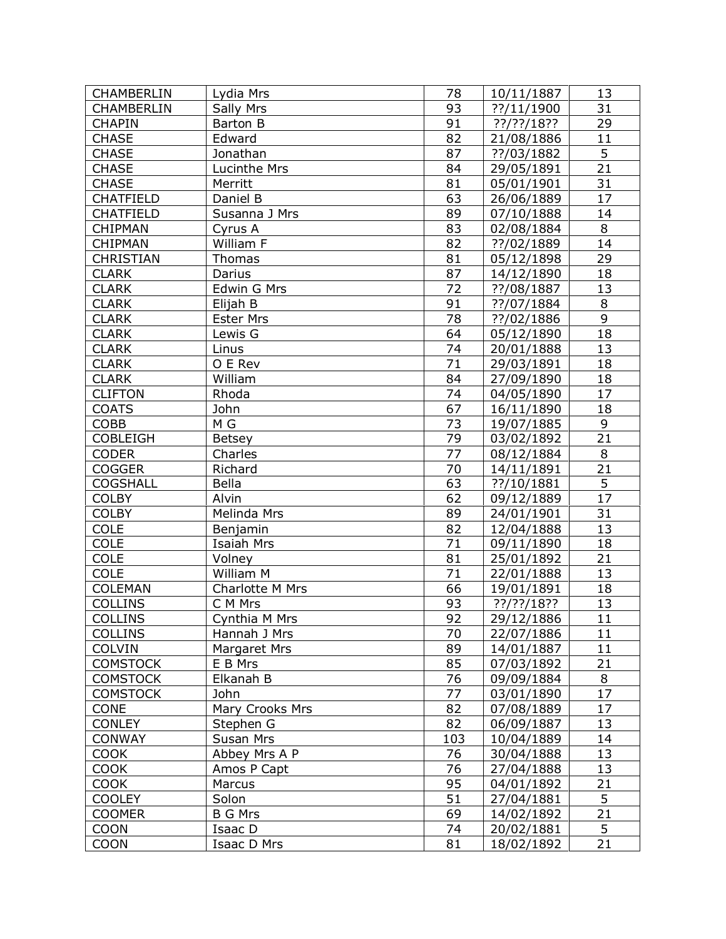| 93<br>31<br><b>CHAMBERLIN</b><br>Sally Mrs<br>??/11/1900<br>29<br>91<br><b>CHAPIN</b><br>Barton B<br>$??$ /??/18??<br>11<br>Edward<br>82<br><b>CHASE</b><br>21/08/1886<br>5<br>Jonathan<br>87<br><b>CHASE</b><br>??/03/1882<br>21<br><b>CHASE</b><br>Lucinthe Mrs<br>84<br>29/05/1891<br>31<br><b>CHASE</b><br>81<br>05/01/1901<br>Merritt<br>63<br>17<br><b>CHATFIELD</b><br>Daniel B<br>26/06/1889<br>14<br><b>CHATFIELD</b><br>89<br>07/10/1888<br>Susanna J Mrs<br>8<br>83<br><b>CHIPMAN</b><br>Cyrus A<br>02/08/1884<br>14<br>82<br>William F<br><b>CHIPMAN</b><br>??/02/1889<br>29<br><b>CHRISTIAN</b><br>81<br>Thomas<br>05/12/1898<br>87<br>18<br><b>CLARK</b><br>Darius<br>14/12/1890<br>72<br>13<br><b>CLARK</b><br>Edwin G Mrs<br>??/08/1887<br>91<br>8<br>Elijah B<br>??/07/1884<br><b>CLARK</b><br>9<br>78<br>??/02/1886<br><b>CLARK</b><br><b>Ester Mrs</b><br>18<br><b>CLARK</b><br>64<br>Lewis G<br>05/12/1890<br>74<br>13<br><b>CLARK</b><br>Linus<br>20/01/1888<br>71<br>O E Rev<br>18<br><b>CLARK</b><br>29/03/1891<br>84<br>William<br>18<br><b>CLARK</b><br>27/09/1890<br><b>CLIFTON</b><br>Rhoda<br>74<br>04/05/1890<br>17<br>John<br>67<br>18<br><b>COATS</b><br>16/11/1890<br>9<br>M G<br>73<br><b>COBB</b><br>19/07/1885<br>21<br>79<br><b>COBLEIGH</b><br>03/02/1892<br><b>Betsey</b><br>8<br>Charles<br>77<br>08/12/1884<br><b>CODER</b><br>21<br>70<br>14/11/1891<br><b>COGGER</b><br>Richard<br>$\overline{5}$<br>63<br><b>COGSHALL</b><br>Bella<br>??/10/1881<br>$\overline{17}$<br>62<br>Alvin<br><b>COLBY</b><br>09/12/1889<br>31<br>89<br><b>COLBY</b><br>Melinda Mrs<br>24/01/1901<br>82<br><b>COLE</b><br>12/04/1888<br>13<br>Benjamin<br><b>COLE</b><br>Isaiah Mrs<br>71<br>18<br>09/11/1890<br>81<br>21<br><b>COLE</b><br>Volney<br>25/01/1892<br>71<br><b>COLE</b><br>William M<br>13<br>22/01/1888<br><b>COLEMAN</b><br>66<br>19/01/1891<br>Charlotte M Mrs<br>18<br><b>COLLINS</b><br>93<br>??/??/18??<br>C M Mrs<br>13<br><b>COLLINS</b><br>92<br>11<br>Cynthia M Mrs<br>29/12/1886<br>70<br>11<br><b>COLLINS</b><br>Hannah J Mrs<br>22/07/1886<br>89<br>11<br><b>COLVIN</b><br>Margaret Mrs<br>14/01/1887<br>85<br>21<br><b>COMSTOCK</b><br>E B Mrs<br>07/03/1892<br><b>COMSTOCK</b><br>Elkanah B<br>76<br>09/09/1884<br>8<br>77<br>17<br><b>COMSTOCK</b><br>John<br>03/01/1890<br>82<br>CONE<br>Mary Crooks Mrs<br>07/08/1889<br>17<br>82<br><b>CONLEY</b><br>13<br>Stephen G<br>06/09/1887<br><b>CONWAY</b><br>Susan Mrs<br>103<br>10/04/1889<br>14<br>76<br><b>COOK</b><br>13<br>Abbey Mrs A P<br>30/04/1888<br>Amos P Capt<br>76<br><b>COOK</b><br>13<br>27/04/1888<br>95<br><b>COOK</b><br>Marcus<br>21<br>04/01/1892<br>5<br>51<br><b>COOLEY</b><br>Solon<br>27/04/1881<br><b>COOMER</b><br><b>B G Mrs</b><br>69<br>14/02/1892<br>21<br>5 <sub>1</sub><br><b>COON</b><br>Isaac D<br>74<br>20/02/1881<br><b>COON</b><br>81<br>21<br>Isaac D Mrs<br>18/02/1892 | <b>CHAMBERLIN</b> | Lydia Mrs | 78 | 10/11/1887 | 13 |
|--------------------------------------------------------------------------------------------------------------------------------------------------------------------------------------------------------------------------------------------------------------------------------------------------------------------------------------------------------------------------------------------------------------------------------------------------------------------------------------------------------------------------------------------------------------------------------------------------------------------------------------------------------------------------------------------------------------------------------------------------------------------------------------------------------------------------------------------------------------------------------------------------------------------------------------------------------------------------------------------------------------------------------------------------------------------------------------------------------------------------------------------------------------------------------------------------------------------------------------------------------------------------------------------------------------------------------------------------------------------------------------------------------------------------------------------------------------------------------------------------------------------------------------------------------------------------------------------------------------------------------------------------------------------------------------------------------------------------------------------------------------------------------------------------------------------------------------------------------------------------------------------------------------------------------------------------------------------------------------------------------------------------------------------------------------------------------------------------------------------------------------------------------------------------------------------------------------------------------------------------------------------------------------------------------------------------------------------------------------------------------------------------------------------------------------------------------------------------------------------------------------------------------------------------------------------------------------------------------------------------------------------------------------------------------------------------------------------------------------------------------------------------------------------------------------------------------------------------------------------------------------------------------------|-------------------|-----------|----|------------|----|
|                                                                                                                                                                                                                                                                                                                                                                                                                                                                                                                                                                                                                                                                                                                                                                                                                                                                                                                                                                                                                                                                                                                                                                                                                                                                                                                                                                                                                                                                                                                                                                                                                                                                                                                                                                                                                                                                                                                                                                                                                                                                                                                                                                                                                                                                                                                                                                                                                                                                                                                                                                                                                                                                                                                                                                                                                                                                                                              |                   |           |    |            |    |
|                                                                                                                                                                                                                                                                                                                                                                                                                                                                                                                                                                                                                                                                                                                                                                                                                                                                                                                                                                                                                                                                                                                                                                                                                                                                                                                                                                                                                                                                                                                                                                                                                                                                                                                                                                                                                                                                                                                                                                                                                                                                                                                                                                                                                                                                                                                                                                                                                                                                                                                                                                                                                                                                                                                                                                                                                                                                                                              |                   |           |    |            |    |
|                                                                                                                                                                                                                                                                                                                                                                                                                                                                                                                                                                                                                                                                                                                                                                                                                                                                                                                                                                                                                                                                                                                                                                                                                                                                                                                                                                                                                                                                                                                                                                                                                                                                                                                                                                                                                                                                                                                                                                                                                                                                                                                                                                                                                                                                                                                                                                                                                                                                                                                                                                                                                                                                                                                                                                                                                                                                                                              |                   |           |    |            |    |
|                                                                                                                                                                                                                                                                                                                                                                                                                                                                                                                                                                                                                                                                                                                                                                                                                                                                                                                                                                                                                                                                                                                                                                                                                                                                                                                                                                                                                                                                                                                                                                                                                                                                                                                                                                                                                                                                                                                                                                                                                                                                                                                                                                                                                                                                                                                                                                                                                                                                                                                                                                                                                                                                                                                                                                                                                                                                                                              |                   |           |    |            |    |
|                                                                                                                                                                                                                                                                                                                                                                                                                                                                                                                                                                                                                                                                                                                                                                                                                                                                                                                                                                                                                                                                                                                                                                                                                                                                                                                                                                                                                                                                                                                                                                                                                                                                                                                                                                                                                                                                                                                                                                                                                                                                                                                                                                                                                                                                                                                                                                                                                                                                                                                                                                                                                                                                                                                                                                                                                                                                                                              |                   |           |    |            |    |
|                                                                                                                                                                                                                                                                                                                                                                                                                                                                                                                                                                                                                                                                                                                                                                                                                                                                                                                                                                                                                                                                                                                                                                                                                                                                                                                                                                                                                                                                                                                                                                                                                                                                                                                                                                                                                                                                                                                                                                                                                                                                                                                                                                                                                                                                                                                                                                                                                                                                                                                                                                                                                                                                                                                                                                                                                                                                                                              |                   |           |    |            |    |
|                                                                                                                                                                                                                                                                                                                                                                                                                                                                                                                                                                                                                                                                                                                                                                                                                                                                                                                                                                                                                                                                                                                                                                                                                                                                                                                                                                                                                                                                                                                                                                                                                                                                                                                                                                                                                                                                                                                                                                                                                                                                                                                                                                                                                                                                                                                                                                                                                                                                                                                                                                                                                                                                                                                                                                                                                                                                                                              |                   |           |    |            |    |
|                                                                                                                                                                                                                                                                                                                                                                                                                                                                                                                                                                                                                                                                                                                                                                                                                                                                                                                                                                                                                                                                                                                                                                                                                                                                                                                                                                                                                                                                                                                                                                                                                                                                                                                                                                                                                                                                                                                                                                                                                                                                                                                                                                                                                                                                                                                                                                                                                                                                                                                                                                                                                                                                                                                                                                                                                                                                                                              |                   |           |    |            |    |
|                                                                                                                                                                                                                                                                                                                                                                                                                                                                                                                                                                                                                                                                                                                                                                                                                                                                                                                                                                                                                                                                                                                                                                                                                                                                                                                                                                                                                                                                                                                                                                                                                                                                                                                                                                                                                                                                                                                                                                                                                                                                                                                                                                                                                                                                                                                                                                                                                                                                                                                                                                                                                                                                                                                                                                                                                                                                                                              |                   |           |    |            |    |
|                                                                                                                                                                                                                                                                                                                                                                                                                                                                                                                                                                                                                                                                                                                                                                                                                                                                                                                                                                                                                                                                                                                                                                                                                                                                                                                                                                                                                                                                                                                                                                                                                                                                                                                                                                                                                                                                                                                                                                                                                                                                                                                                                                                                                                                                                                                                                                                                                                                                                                                                                                                                                                                                                                                                                                                                                                                                                                              |                   |           |    |            |    |
|                                                                                                                                                                                                                                                                                                                                                                                                                                                                                                                                                                                                                                                                                                                                                                                                                                                                                                                                                                                                                                                                                                                                                                                                                                                                                                                                                                                                                                                                                                                                                                                                                                                                                                                                                                                                                                                                                                                                                                                                                                                                                                                                                                                                                                                                                                                                                                                                                                                                                                                                                                                                                                                                                                                                                                                                                                                                                                              |                   |           |    |            |    |
|                                                                                                                                                                                                                                                                                                                                                                                                                                                                                                                                                                                                                                                                                                                                                                                                                                                                                                                                                                                                                                                                                                                                                                                                                                                                                                                                                                                                                                                                                                                                                                                                                                                                                                                                                                                                                                                                                                                                                                                                                                                                                                                                                                                                                                                                                                                                                                                                                                                                                                                                                                                                                                                                                                                                                                                                                                                                                                              |                   |           |    |            |    |
|                                                                                                                                                                                                                                                                                                                                                                                                                                                                                                                                                                                                                                                                                                                                                                                                                                                                                                                                                                                                                                                                                                                                                                                                                                                                                                                                                                                                                                                                                                                                                                                                                                                                                                                                                                                                                                                                                                                                                                                                                                                                                                                                                                                                                                                                                                                                                                                                                                                                                                                                                                                                                                                                                                                                                                                                                                                                                                              |                   |           |    |            |    |
|                                                                                                                                                                                                                                                                                                                                                                                                                                                                                                                                                                                                                                                                                                                                                                                                                                                                                                                                                                                                                                                                                                                                                                                                                                                                                                                                                                                                                                                                                                                                                                                                                                                                                                                                                                                                                                                                                                                                                                                                                                                                                                                                                                                                                                                                                                                                                                                                                                                                                                                                                                                                                                                                                                                                                                                                                                                                                                              |                   |           |    |            |    |
|                                                                                                                                                                                                                                                                                                                                                                                                                                                                                                                                                                                                                                                                                                                                                                                                                                                                                                                                                                                                                                                                                                                                                                                                                                                                                                                                                                                                                                                                                                                                                                                                                                                                                                                                                                                                                                                                                                                                                                                                                                                                                                                                                                                                                                                                                                                                                                                                                                                                                                                                                                                                                                                                                                                                                                                                                                                                                                              |                   |           |    |            |    |
|                                                                                                                                                                                                                                                                                                                                                                                                                                                                                                                                                                                                                                                                                                                                                                                                                                                                                                                                                                                                                                                                                                                                                                                                                                                                                                                                                                                                                                                                                                                                                                                                                                                                                                                                                                                                                                                                                                                                                                                                                                                                                                                                                                                                                                                                                                                                                                                                                                                                                                                                                                                                                                                                                                                                                                                                                                                                                                              |                   |           |    |            |    |
|                                                                                                                                                                                                                                                                                                                                                                                                                                                                                                                                                                                                                                                                                                                                                                                                                                                                                                                                                                                                                                                                                                                                                                                                                                                                                                                                                                                                                                                                                                                                                                                                                                                                                                                                                                                                                                                                                                                                                                                                                                                                                                                                                                                                                                                                                                                                                                                                                                                                                                                                                                                                                                                                                                                                                                                                                                                                                                              |                   |           |    |            |    |
|                                                                                                                                                                                                                                                                                                                                                                                                                                                                                                                                                                                                                                                                                                                                                                                                                                                                                                                                                                                                                                                                                                                                                                                                                                                                                                                                                                                                                                                                                                                                                                                                                                                                                                                                                                                                                                                                                                                                                                                                                                                                                                                                                                                                                                                                                                                                                                                                                                                                                                                                                                                                                                                                                                                                                                                                                                                                                                              |                   |           |    |            |    |
|                                                                                                                                                                                                                                                                                                                                                                                                                                                                                                                                                                                                                                                                                                                                                                                                                                                                                                                                                                                                                                                                                                                                                                                                                                                                                                                                                                                                                                                                                                                                                                                                                                                                                                                                                                                                                                                                                                                                                                                                                                                                                                                                                                                                                                                                                                                                                                                                                                                                                                                                                                                                                                                                                                                                                                                                                                                                                                              |                   |           |    |            |    |
|                                                                                                                                                                                                                                                                                                                                                                                                                                                                                                                                                                                                                                                                                                                                                                                                                                                                                                                                                                                                                                                                                                                                                                                                                                                                                                                                                                                                                                                                                                                                                                                                                                                                                                                                                                                                                                                                                                                                                                                                                                                                                                                                                                                                                                                                                                                                                                                                                                                                                                                                                                                                                                                                                                                                                                                                                                                                                                              |                   |           |    |            |    |
|                                                                                                                                                                                                                                                                                                                                                                                                                                                                                                                                                                                                                                                                                                                                                                                                                                                                                                                                                                                                                                                                                                                                                                                                                                                                                                                                                                                                                                                                                                                                                                                                                                                                                                                                                                                                                                                                                                                                                                                                                                                                                                                                                                                                                                                                                                                                                                                                                                                                                                                                                                                                                                                                                                                                                                                                                                                                                                              |                   |           |    |            |    |
|                                                                                                                                                                                                                                                                                                                                                                                                                                                                                                                                                                                                                                                                                                                                                                                                                                                                                                                                                                                                                                                                                                                                                                                                                                                                                                                                                                                                                                                                                                                                                                                                                                                                                                                                                                                                                                                                                                                                                                                                                                                                                                                                                                                                                                                                                                                                                                                                                                                                                                                                                                                                                                                                                                                                                                                                                                                                                                              |                   |           |    |            |    |
|                                                                                                                                                                                                                                                                                                                                                                                                                                                                                                                                                                                                                                                                                                                                                                                                                                                                                                                                                                                                                                                                                                                                                                                                                                                                                                                                                                                                                                                                                                                                                                                                                                                                                                                                                                                                                                                                                                                                                                                                                                                                                                                                                                                                                                                                                                                                                                                                                                                                                                                                                                                                                                                                                                                                                                                                                                                                                                              |                   |           |    |            |    |
|                                                                                                                                                                                                                                                                                                                                                                                                                                                                                                                                                                                                                                                                                                                                                                                                                                                                                                                                                                                                                                                                                                                                                                                                                                                                                                                                                                                                                                                                                                                                                                                                                                                                                                                                                                                                                                                                                                                                                                                                                                                                                                                                                                                                                                                                                                                                                                                                                                                                                                                                                                                                                                                                                                                                                                                                                                                                                                              |                   |           |    |            |    |
|                                                                                                                                                                                                                                                                                                                                                                                                                                                                                                                                                                                                                                                                                                                                                                                                                                                                                                                                                                                                                                                                                                                                                                                                                                                                                                                                                                                                                                                                                                                                                                                                                                                                                                                                                                                                                                                                                                                                                                                                                                                                                                                                                                                                                                                                                                                                                                                                                                                                                                                                                                                                                                                                                                                                                                                                                                                                                                              |                   |           |    |            |    |
|                                                                                                                                                                                                                                                                                                                                                                                                                                                                                                                                                                                                                                                                                                                                                                                                                                                                                                                                                                                                                                                                                                                                                                                                                                                                                                                                                                                                                                                                                                                                                                                                                                                                                                                                                                                                                                                                                                                                                                                                                                                                                                                                                                                                                                                                                                                                                                                                                                                                                                                                                                                                                                                                                                                                                                                                                                                                                                              |                   |           |    |            |    |
|                                                                                                                                                                                                                                                                                                                                                                                                                                                                                                                                                                                                                                                                                                                                                                                                                                                                                                                                                                                                                                                                                                                                                                                                                                                                                                                                                                                                                                                                                                                                                                                                                                                                                                                                                                                                                                                                                                                                                                                                                                                                                                                                                                                                                                                                                                                                                                                                                                                                                                                                                                                                                                                                                                                                                                                                                                                                                                              |                   |           |    |            |    |
|                                                                                                                                                                                                                                                                                                                                                                                                                                                                                                                                                                                                                                                                                                                                                                                                                                                                                                                                                                                                                                                                                                                                                                                                                                                                                                                                                                                                                                                                                                                                                                                                                                                                                                                                                                                                                                                                                                                                                                                                                                                                                                                                                                                                                                                                                                                                                                                                                                                                                                                                                                                                                                                                                                                                                                                                                                                                                                              |                   |           |    |            |    |
|                                                                                                                                                                                                                                                                                                                                                                                                                                                                                                                                                                                                                                                                                                                                                                                                                                                                                                                                                                                                                                                                                                                                                                                                                                                                                                                                                                                                                                                                                                                                                                                                                                                                                                                                                                                                                                                                                                                                                                                                                                                                                                                                                                                                                                                                                                                                                                                                                                                                                                                                                                                                                                                                                                                                                                                                                                                                                                              |                   |           |    |            |    |
|                                                                                                                                                                                                                                                                                                                                                                                                                                                                                                                                                                                                                                                                                                                                                                                                                                                                                                                                                                                                                                                                                                                                                                                                                                                                                                                                                                                                                                                                                                                                                                                                                                                                                                                                                                                                                                                                                                                                                                                                                                                                                                                                                                                                                                                                                                                                                                                                                                                                                                                                                                                                                                                                                                                                                                                                                                                                                                              |                   |           |    |            |    |
|                                                                                                                                                                                                                                                                                                                                                                                                                                                                                                                                                                                                                                                                                                                                                                                                                                                                                                                                                                                                                                                                                                                                                                                                                                                                                                                                                                                                                                                                                                                                                                                                                                                                                                                                                                                                                                                                                                                                                                                                                                                                                                                                                                                                                                                                                                                                                                                                                                                                                                                                                                                                                                                                                                                                                                                                                                                                                                              |                   |           |    |            |    |
|                                                                                                                                                                                                                                                                                                                                                                                                                                                                                                                                                                                                                                                                                                                                                                                                                                                                                                                                                                                                                                                                                                                                                                                                                                                                                                                                                                                                                                                                                                                                                                                                                                                                                                                                                                                                                                                                                                                                                                                                                                                                                                                                                                                                                                                                                                                                                                                                                                                                                                                                                                                                                                                                                                                                                                                                                                                                                                              |                   |           |    |            |    |
|                                                                                                                                                                                                                                                                                                                                                                                                                                                                                                                                                                                                                                                                                                                                                                                                                                                                                                                                                                                                                                                                                                                                                                                                                                                                                                                                                                                                                                                                                                                                                                                                                                                                                                                                                                                                                                                                                                                                                                                                                                                                                                                                                                                                                                                                                                                                                                                                                                                                                                                                                                                                                                                                                                                                                                                                                                                                                                              |                   |           |    |            |    |
|                                                                                                                                                                                                                                                                                                                                                                                                                                                                                                                                                                                                                                                                                                                                                                                                                                                                                                                                                                                                                                                                                                                                                                                                                                                                                                                                                                                                                                                                                                                                                                                                                                                                                                                                                                                                                                                                                                                                                                                                                                                                                                                                                                                                                                                                                                                                                                                                                                                                                                                                                                                                                                                                                                                                                                                                                                                                                                              |                   |           |    |            |    |
|                                                                                                                                                                                                                                                                                                                                                                                                                                                                                                                                                                                                                                                                                                                                                                                                                                                                                                                                                                                                                                                                                                                                                                                                                                                                                                                                                                                                                                                                                                                                                                                                                                                                                                                                                                                                                                                                                                                                                                                                                                                                                                                                                                                                                                                                                                                                                                                                                                                                                                                                                                                                                                                                                                                                                                                                                                                                                                              |                   |           |    |            |    |
|                                                                                                                                                                                                                                                                                                                                                                                                                                                                                                                                                                                                                                                                                                                                                                                                                                                                                                                                                                                                                                                                                                                                                                                                                                                                                                                                                                                                                                                                                                                                                                                                                                                                                                                                                                                                                                                                                                                                                                                                                                                                                                                                                                                                                                                                                                                                                                                                                                                                                                                                                                                                                                                                                                                                                                                                                                                                                                              |                   |           |    |            |    |
|                                                                                                                                                                                                                                                                                                                                                                                                                                                                                                                                                                                                                                                                                                                                                                                                                                                                                                                                                                                                                                                                                                                                                                                                                                                                                                                                                                                                                                                                                                                                                                                                                                                                                                                                                                                                                                                                                                                                                                                                                                                                                                                                                                                                                                                                                                                                                                                                                                                                                                                                                                                                                                                                                                                                                                                                                                                                                                              |                   |           |    |            |    |
|                                                                                                                                                                                                                                                                                                                                                                                                                                                                                                                                                                                                                                                                                                                                                                                                                                                                                                                                                                                                                                                                                                                                                                                                                                                                                                                                                                                                                                                                                                                                                                                                                                                                                                                                                                                                                                                                                                                                                                                                                                                                                                                                                                                                                                                                                                                                                                                                                                                                                                                                                                                                                                                                                                                                                                                                                                                                                                              |                   |           |    |            |    |
|                                                                                                                                                                                                                                                                                                                                                                                                                                                                                                                                                                                                                                                                                                                                                                                                                                                                                                                                                                                                                                                                                                                                                                                                                                                                                                                                                                                                                                                                                                                                                                                                                                                                                                                                                                                                                                                                                                                                                                                                                                                                                                                                                                                                                                                                                                                                                                                                                                                                                                                                                                                                                                                                                                                                                                                                                                                                                                              |                   |           |    |            |    |
|                                                                                                                                                                                                                                                                                                                                                                                                                                                                                                                                                                                                                                                                                                                                                                                                                                                                                                                                                                                                                                                                                                                                                                                                                                                                                                                                                                                                                                                                                                                                                                                                                                                                                                                                                                                                                                                                                                                                                                                                                                                                                                                                                                                                                                                                                                                                                                                                                                                                                                                                                                                                                                                                                                                                                                                                                                                                                                              |                   |           |    |            |    |
|                                                                                                                                                                                                                                                                                                                                                                                                                                                                                                                                                                                                                                                                                                                                                                                                                                                                                                                                                                                                                                                                                                                                                                                                                                                                                                                                                                                                                                                                                                                                                                                                                                                                                                                                                                                                                                                                                                                                                                                                                                                                                                                                                                                                                                                                                                                                                                                                                                                                                                                                                                                                                                                                                                                                                                                                                                                                                                              |                   |           |    |            |    |
|                                                                                                                                                                                                                                                                                                                                                                                                                                                                                                                                                                                                                                                                                                                                                                                                                                                                                                                                                                                                                                                                                                                                                                                                                                                                                                                                                                                                                                                                                                                                                                                                                                                                                                                                                                                                                                                                                                                                                                                                                                                                                                                                                                                                                                                                                                                                                                                                                                                                                                                                                                                                                                                                                                                                                                                                                                                                                                              |                   |           |    |            |    |
|                                                                                                                                                                                                                                                                                                                                                                                                                                                                                                                                                                                                                                                                                                                                                                                                                                                                                                                                                                                                                                                                                                                                                                                                                                                                                                                                                                                                                                                                                                                                                                                                                                                                                                                                                                                                                                                                                                                                                                                                                                                                                                                                                                                                                                                                                                                                                                                                                                                                                                                                                                                                                                                                                                                                                                                                                                                                                                              |                   |           |    |            |    |
|                                                                                                                                                                                                                                                                                                                                                                                                                                                                                                                                                                                                                                                                                                                                                                                                                                                                                                                                                                                                                                                                                                                                                                                                                                                                                                                                                                                                                                                                                                                                                                                                                                                                                                                                                                                                                                                                                                                                                                                                                                                                                                                                                                                                                                                                                                                                                                                                                                                                                                                                                                                                                                                                                                                                                                                                                                                                                                              |                   |           |    |            |    |
|                                                                                                                                                                                                                                                                                                                                                                                                                                                                                                                                                                                                                                                                                                                                                                                                                                                                                                                                                                                                                                                                                                                                                                                                                                                                                                                                                                                                                                                                                                                                                                                                                                                                                                                                                                                                                                                                                                                                                                                                                                                                                                                                                                                                                                                                                                                                                                                                                                                                                                                                                                                                                                                                                                                                                                                                                                                                                                              |                   |           |    |            |    |
|                                                                                                                                                                                                                                                                                                                                                                                                                                                                                                                                                                                                                                                                                                                                                                                                                                                                                                                                                                                                                                                                                                                                                                                                                                                                                                                                                                                                                                                                                                                                                                                                                                                                                                                                                                                                                                                                                                                                                                                                                                                                                                                                                                                                                                                                                                                                                                                                                                                                                                                                                                                                                                                                                                                                                                                                                                                                                                              |                   |           |    |            |    |
|                                                                                                                                                                                                                                                                                                                                                                                                                                                                                                                                                                                                                                                                                                                                                                                                                                                                                                                                                                                                                                                                                                                                                                                                                                                                                                                                                                                                                                                                                                                                                                                                                                                                                                                                                                                                                                                                                                                                                                                                                                                                                                                                                                                                                                                                                                                                                                                                                                                                                                                                                                                                                                                                                                                                                                                                                                                                                                              |                   |           |    |            |    |
|                                                                                                                                                                                                                                                                                                                                                                                                                                                                                                                                                                                                                                                                                                                                                                                                                                                                                                                                                                                                                                                                                                                                                                                                                                                                                                                                                                                                                                                                                                                                                                                                                                                                                                                                                                                                                                                                                                                                                                                                                                                                                                                                                                                                                                                                                                                                                                                                                                                                                                                                                                                                                                                                                                                                                                                                                                                                                                              |                   |           |    |            |    |
|                                                                                                                                                                                                                                                                                                                                                                                                                                                                                                                                                                                                                                                                                                                                                                                                                                                                                                                                                                                                                                                                                                                                                                                                                                                                                                                                                                                                                                                                                                                                                                                                                                                                                                                                                                                                                                                                                                                                                                                                                                                                                                                                                                                                                                                                                                                                                                                                                                                                                                                                                                                                                                                                                                                                                                                                                                                                                                              |                   |           |    |            |    |
|                                                                                                                                                                                                                                                                                                                                                                                                                                                                                                                                                                                                                                                                                                                                                                                                                                                                                                                                                                                                                                                                                                                                                                                                                                                                                                                                                                                                                                                                                                                                                                                                                                                                                                                                                                                                                                                                                                                                                                                                                                                                                                                                                                                                                                                                                                                                                                                                                                                                                                                                                                                                                                                                                                                                                                                                                                                                                                              |                   |           |    |            |    |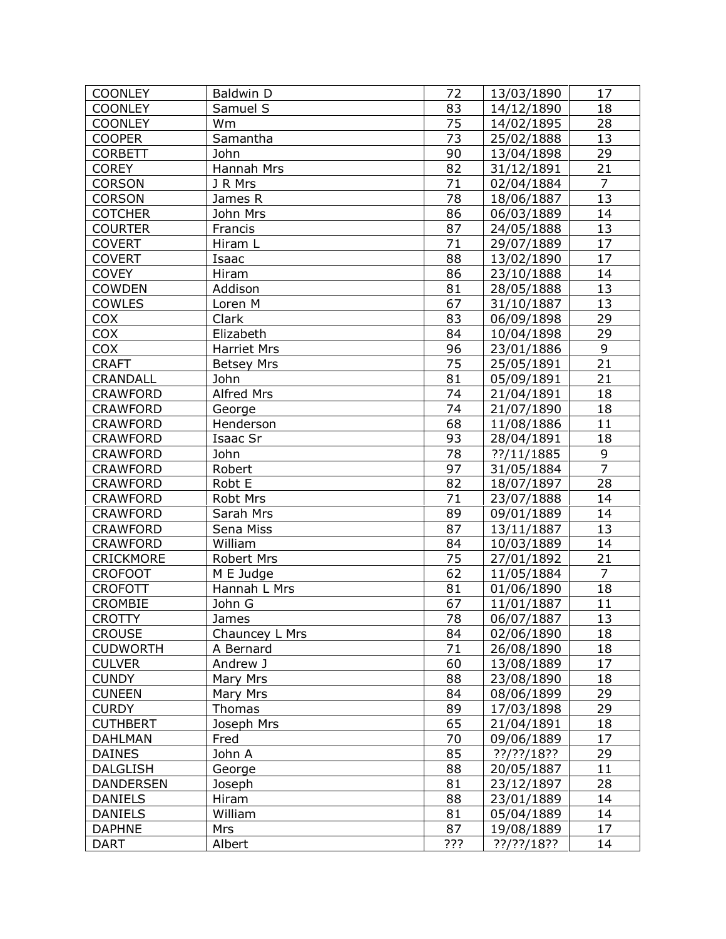| <b>COONLEY</b>   | Baldwin D          | 72              | 13/03/1890    | 17                  |
|------------------|--------------------|-----------------|---------------|---------------------|
| <b>COONLEY</b>   | Samuel S           | 83              | 14/12/1890    | 18                  |
| <b>COONLEY</b>   | Wm                 | 75              | 14/02/1895    | 28                  |
| <b>COOPER</b>    | Samantha           | 73              | 25/02/1888    | 13                  |
| <b>CORBETT</b>   | John               | 90              | 13/04/1898    | 29                  |
| <b>COREY</b>     | Hannah Mrs         | 82              | 31/12/1891    | 21                  |
| <b>CORSON</b>    | J R Mrs            | 71              | 02/04/1884    | $\overline{7}$      |
| <b>CORSON</b>    | James R            | 78              | 18/06/1887    | 13                  |
| <b>COTCHER</b>   | John Mrs           | 86              | 06/03/1889    | 14                  |
| <b>COURTER</b>   | Francis            | 87              | 24/05/1888    | 13                  |
| <b>COVERT</b>    | Hiram L            | 71              | 29/07/1889    | 17                  |
| <b>COVERT</b>    | Isaac              | 88              | 13/02/1890    | 17                  |
| <b>COVEY</b>     | Hiram              | 86              | 23/10/1888    | 14                  |
| <b>COWDEN</b>    | Addison            | 81              | 28/05/1888    | 13                  |
| <b>COWLES</b>    | Loren M            | 67              | 31/10/1887    | 13                  |
| <b>COX</b>       | Clark              | 83              | 06/09/1898    | 29                  |
| <b>COX</b>       | Elizabeth          | 84              | 10/04/1898    | 29                  |
| <b>COX</b>       | <b>Harriet Mrs</b> | 96              | 23/01/1886    | 9                   |
| <b>CRAFT</b>     | <b>Betsey Mrs</b>  | 75              | 25/05/1891    | 21                  |
| <b>CRANDALL</b>  | John               | 81              | 05/09/1891    | 21                  |
| <b>CRAWFORD</b>  | Alfred Mrs         | 74              | 21/04/1891    | 18                  |
|                  |                    | 74              | 21/07/1890    | 18                  |
| <b>CRAWFORD</b>  | George             | 68              |               | 11                  |
| <b>CRAWFORD</b>  | Henderson          |                 | 11/08/1886    |                     |
| <b>CRAWFORD</b>  | Isaac Sr           | 93              | 28/04/1891    | 18                  |
| <b>CRAWFORD</b>  | John               | 78              | ??/11/1885    | 9<br>$\overline{7}$ |
| <b>CRAWFORD</b>  | Robert             | 97              | 31/05/1884    |                     |
| <b>CRAWFORD</b>  | Robt E             | 82              | 18/07/1897    | 28                  |
| <b>CRAWFORD</b>  | Robt Mrs           | 71              | 23/07/1888    | 14                  |
| <b>CRAWFORD</b>  | Sarah Mrs          | 89              | 09/01/1889    | 14                  |
| <b>CRAWFORD</b>  | Sena Miss          | 87              | 13/11/1887    | 13                  |
| <b>CRAWFORD</b>  | William            | 84              | 10/03/1889    | 14                  |
| <b>CRICKMORE</b> | Robert Mrs         | 75              | 27/01/1892    | 21                  |
| <b>CROFOOT</b>   | M E Judge          | 62              | 11/05/1884    | $\overline{7}$      |
| <b>CROFOTT</b>   | Hannah L Mrs       | 81              | 01/06/1890    | 18                  |
| <b>CROMBIE</b>   | John G             | 67              | 11/01/1887    | 11                  |
| <b>CROTTY</b>    | James              | $\overline{78}$ | 06/07/1887    | 13                  |
| <b>CROUSE</b>    | Chauncey L Mrs     | 84              | 02/06/1890    | 18                  |
| <b>CUDWORTH</b>  | A Bernard          | 71              | 26/08/1890    | 18                  |
| <b>CULVER</b>    | Andrew J           | 60              | 13/08/1889    | 17                  |
| <b>CUNDY</b>     | Mary Mrs           | 88              | 23/08/1890    | 18                  |
| <b>CUNEEN</b>    | Mary Mrs           | 84              | 08/06/1899    | 29                  |
| <b>CURDY</b>     | Thomas             | 89              | 17/03/1898    | 29                  |
| <b>CUTHBERT</b>  | Joseph Mrs         | 65              | 21/04/1891    | 18                  |
| <b>DAHLMAN</b>   | Fred               | 70              | 09/06/1889    | 17                  |
| <b>DAINES</b>    | John A             | 85              | $??$ /??/18?? | 29                  |
| <b>DALGLISH</b>  | George             | 88              | 20/05/1887    | 11                  |
| <b>DANDERSEN</b> | Joseph             | 81              | 23/12/1897    | 28                  |
| <b>DANIELS</b>   | Hiram              | 88              | 23/01/1889    | 14                  |
| <b>DANIELS</b>   | William            | 81              | 05/04/1889    | 14                  |
| <b>DAPHNE</b>    | Mrs                | 87              | 19/08/1889    | 17                  |
| <b>DART</b>      | Albert             | ???             | ??/??/18??    | 14                  |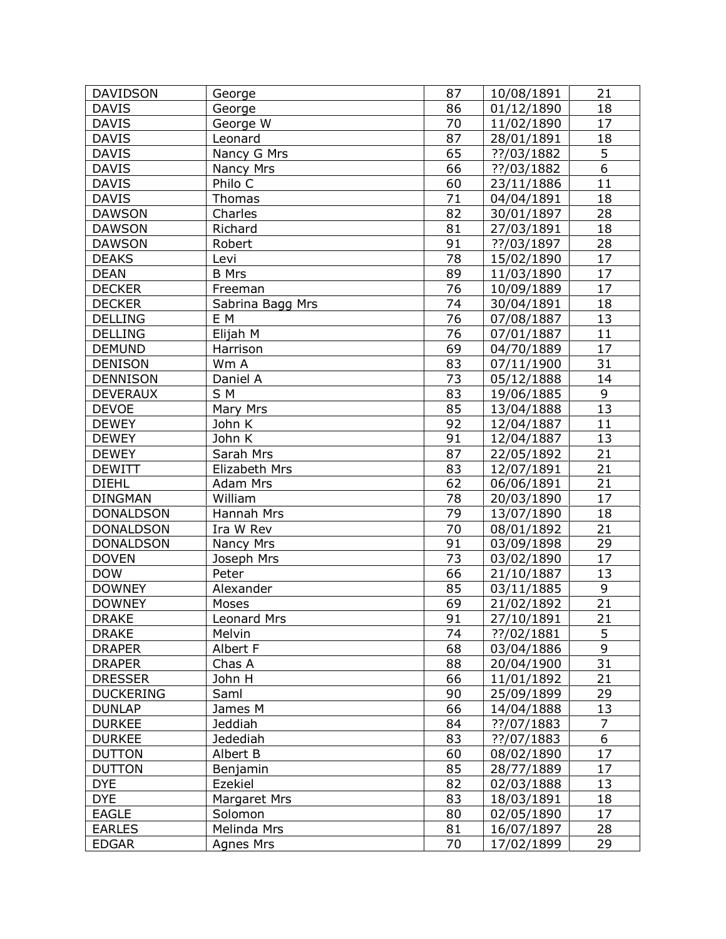| <b>DAVIDSON</b>  | George             | 87 | 10/08/1891            | 21              |
|------------------|--------------------|----|-----------------------|-----------------|
| <b>DAVIS</b>     | George             | 86 | 01/12/1890            | 18              |
| <b>DAVIS</b>     | George W           | 70 | 11/02/1890            | 17              |
| <b>DAVIS</b>     | Leonard            | 87 | 28/01/1891            | 18              |
| <b>DAVIS</b>     | Nancy G Mrs        | 65 | ??/03/1882            | 5               |
| <b>DAVIS</b>     | Nancy Mrs          | 66 | ??/03/1882            | $\overline{6}$  |
| <b>DAVIS</b>     | Philo C            | 60 | 23/11/1886            | 11              |
| <b>DAVIS</b>     | Thomas             | 71 | 04/04/1891            | 18              |
| <b>DAWSON</b>    | Charles            | 82 | 30/01/1897            | 28              |
| <b>DAWSON</b>    | Richard            | 81 | 27/03/1891            | 18              |
| <b>DAWSON</b>    | Robert             | 91 | ??/03/1897            | 28              |
| <b>DEAKS</b>     | Levi               | 78 | 15/02/1890            | 17              |
| <b>DEAN</b>      | <b>B</b> Mrs       | 89 | 11/03/1890            | 17              |
| <b>DECKER</b>    | Freeman            | 76 | 10/09/1889            | 17              |
| <b>DECKER</b>    | Sabrina Bagg Mrs   | 74 | 30/04/1891            | 18              |
| <b>DELLING</b>   | E M                | 76 | 07/08/1887            | 13              |
| <b>DELLING</b>   | Elijah M           | 76 | 07/01/1887            | 11              |
| <b>DEMUND</b>    | Harrison           | 69 | 04/70/1889            | 17              |
| <b>DENISON</b>   | Wm A               | 83 | 07/11/1900            | 31              |
| <b>DENNISON</b>  | Daniel A           | 73 | 05/12/1888            | 14              |
| <b>DEVERAUX</b>  | S M                | 83 | 19/06/1885            | 9               |
| <b>DEVOE</b>     | Mary Mrs           | 85 | 13/04/1888            | 13              |
| <b>DEWEY</b>     | John K             | 92 | 12/04/1887            | 11              |
| <b>DEWEY</b>     | John K             | 91 | 12/04/1887            | 13              |
| <b>DEWEY</b>     | Sarah Mrs          | 87 | 22/05/1892            | 21              |
| <b>DEWITT</b>    | Elizabeth Mrs      | 83 | 12/07/1891            | 21              |
| <b>DIEHL</b>     | <b>Adam Mrs</b>    | 62 | 06/06/1891            | $\overline{21}$ |
| <b>DINGMAN</b>   | William            | 78 | 20/03/1890            | 17              |
| <b>DONALDSON</b> | Hannah Mrs         | 79 | 13/07/1890            | 18              |
| <b>DONALDSON</b> | Ira W Rev          | 70 | 08/01/1892            | 21              |
| <b>DONALDSON</b> | Nancy Mrs          | 91 | 03/09/1898            | 29              |
| <b>DOVEN</b>     | Joseph Mrs         | 73 | 03/02/1890            | 17              |
| <b>DOW</b>       | Peter              | 66 | 21/10/1887            | 13              |
| <b>DOWNEY</b>    | Alexander          | 85 | 03/11/1885            | 9               |
| <b>DOWNEY</b>    | Moses              | 69 | 21/02/1892            | 21              |
| <b>DRAKE</b>     | <b>Leonard Mrs</b> | 91 | $\frac{27}{10}{1891}$ | $\overline{21}$ |
| <b>DRAKE</b>     | Melvin             | 74 | ??/02/1881            | 5               |
| <b>DRAPER</b>    | Albert F           | 68 | 03/04/1886            | 9               |
| <b>DRAPER</b>    | Chas A             | 88 | 20/04/1900            | 31              |
| <b>DRESSER</b>   | John H             | 66 | 11/01/1892            | 21              |
| <b>DUCKERING</b> | Saml               | 90 | 25/09/1899            | 29              |
| <b>DUNLAP</b>    | James M            | 66 | 14/04/1888            | 13              |
| <b>DURKEE</b>    | Jeddiah            | 84 | ??/07/1883            | $\overline{7}$  |
| <b>DURKEE</b>    | Jedediah           | 83 | ??/07/1883            | 6               |
| <b>DUTTON</b>    | Albert B           | 60 | 08/02/1890            | 17              |
| <b>DUTTON</b>    | Benjamin           | 85 | 28/77/1889            | 17              |
| <b>DYE</b>       | Ezekiel            | 82 | 02/03/1888            | 13              |
| <b>DYE</b>       | Margaret Mrs       | 83 | 18/03/1891            | 18              |
| <b>EAGLE</b>     | Solomon            | 80 | 02/05/1890            | 17              |
| <b>EARLES</b>    | Melinda Mrs        | 81 | 16/07/1897            | 28              |
| <b>EDGAR</b>     | Agnes Mrs          | 70 | 17/02/1899            | 29              |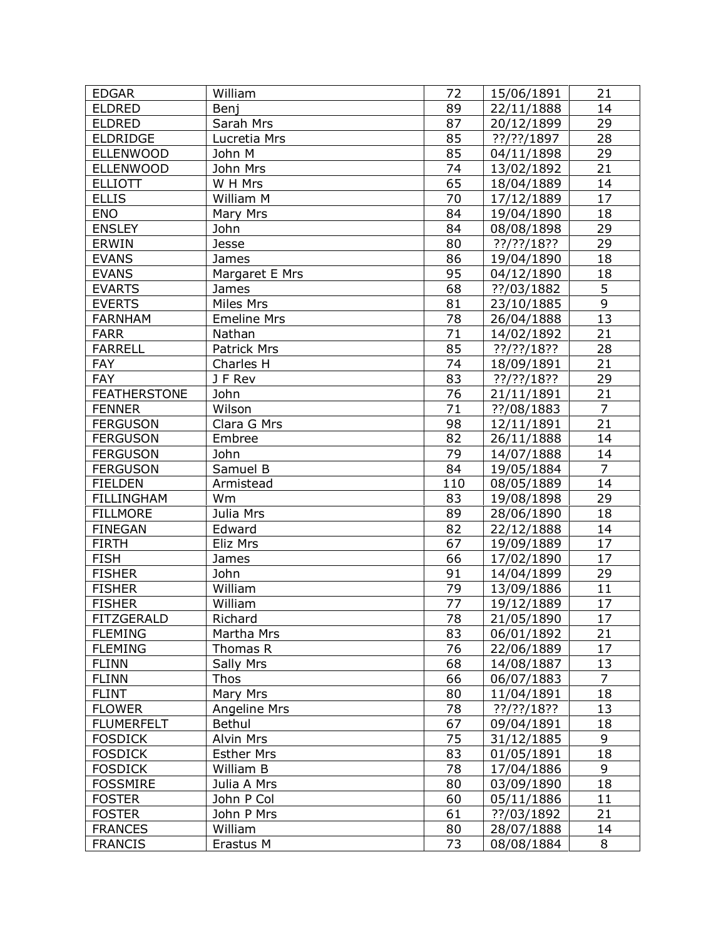| <b>EDGAR</b>        | William             | 72              | 15/06/1891    | 21                   |
|---------------------|---------------------|-----------------|---------------|----------------------|
| <b>ELDRED</b>       | Benj                | 89              | 22/11/1888    | 14                   |
| <b>ELDRED</b>       | Sarah Mrs           | 87              | 20/12/1899    | 29                   |
| <b>ELDRIDGE</b>     | Lucretia Mrs        | 85              | ??/??/1897    | 28                   |
| <b>ELLENWOOD</b>    | John M              | 85              | 04/11/1898    | 29                   |
| <b>ELLENWOOD</b>    | John Mrs            | 74              | 13/02/1892    | 21                   |
| <b>ELLIOTT</b>      | W H Mrs             | 65              | 18/04/1889    | 14                   |
| <b>ELLIS</b>        | William M           | 70              | 17/12/1889    | 17                   |
| <b>ENO</b>          | Mary Mrs            | 84              | 19/04/1890    | 18                   |
| <b>ENSLEY</b>       | John                | 84              | 08/08/1898    | 29                   |
| <b>ERWIN</b>        | Jesse               | 80              | ??/??/18??    | 29                   |
| <b>EVANS</b>        | James               | 86              | 19/04/1890    | 18                   |
| <b>EVANS</b>        | Margaret E Mrs      | 95              | 04/12/1890    | 18                   |
| <b>EVARTS</b>       | James               | 68              | ??/03/1882    | 5                    |
| <b>EVERTS</b>       | Miles Mrs           | 81              | 23/10/1885    | 9                    |
| <b>FARNHAM</b>      | <b>Emeline Mrs</b>  | 78              | 26/04/1888    | 13                   |
| <b>FARR</b>         | Nathan              | 71              | 14/02/1892    | 21                   |
| <b>FARRELL</b>      | Patrick Mrs         | 85              | $??$ /??/18?? | 28                   |
| <b>FAY</b>          | Charles H           | 74              | 18/09/1891    | 21                   |
| <b>FAY</b>          | J F Rev             | 83              | $??$ /??/18?? | 29                   |
| <b>FEATHERSTONE</b> | John                | 76              | 21/11/1891    | 21                   |
| <b>FENNER</b>       | Wilson              | 71              | ??/08/1883    | $\overline{7}$       |
| <b>FERGUSON</b>     | Clara G Mrs         | 98              |               | 21                   |
|                     |                     | 82              | 12/11/1891    | 14                   |
| <b>FERGUSON</b>     | Embree              |                 | 26/11/1888    |                      |
| <b>FERGUSON</b>     | John                | 79              | 14/07/1888    | 14<br>$\overline{7}$ |
| <b>FERGUSON</b>     | Samuel B            | 84              | 19/05/1884    | 14                   |
| <b>FIELDEN</b>      | Armistead           | 110             | 08/05/1889    |                      |
| <b>FILLINGHAM</b>   | Wm                  | 83              | 19/08/1898    | 29                   |
| <b>FILLMORE</b>     | Julia Mrs           | 89              | 28/06/1890    | 18                   |
| <b>FINEGAN</b>      | Edward              | 82              | 22/12/1888    | 14                   |
| <b>FIRTH</b>        | Eliz Mrs            | 67              | 19/09/1889    | 17                   |
| <b>FISH</b>         | James               | 66              | 17/02/1890    | 17                   |
| <b>FISHER</b>       | John                | 91              | 14/04/1899    | 29                   |
| <b>FISHER</b>       | William             | 79              | 13/09/1886    | 11                   |
| <b>FISHER</b>       | William             | 77              | 19/12/1889    | 17<br>17             |
| <b>FITZGERALD</b>   | Richard             | $\overline{78}$ | 21/05/1890    |                      |
| <b>FLEMING</b>      | Martha Mrs          | 83              | 06/01/1892    | 21                   |
| <b>FLEMING</b>      | Thomas R            | 76              | 22/06/1889    | 17                   |
| <b>FLINN</b>        | Sally Mrs           | 68              | 14/08/1887    | 13<br>$\overline{7}$ |
| <b>FLINN</b>        | Thos                | 66              | 06/07/1883    |                      |
| <b>FLINT</b>        | Mary Mrs            | 80              | 11/04/1891    | 18                   |
| <b>FLOWER</b>       | <b>Angeline Mrs</b> | 78              | $??$ /??/18?? | 13                   |
| <b>FLUMERFELT</b>   | <b>Bethul</b>       | 67              | 09/04/1891    | 18                   |
| <b>FOSDICK</b>      | Alvin Mrs           | 75              | 31/12/1885    | 9                    |
| <b>FOSDICK</b>      | <b>Esther Mrs</b>   | 83              | 01/05/1891    | 18                   |
| <b>FOSDICK</b>      | William B           | 78              | 17/04/1886    | 9                    |
| <b>FOSSMIRE</b>     | Julia A Mrs         | 80              | 03/09/1890    | 18                   |
| <b>FOSTER</b>       | John P Col          | 60              | 05/11/1886    | 11                   |
| <b>FOSTER</b>       | John P Mrs          | 61              | ??/03/1892    | 21                   |
| <b>FRANCES</b>      | William             | 80              | 28/07/1888    | 14                   |
| <b>FRANCIS</b>      | Erastus M           | 73              | 08/08/1884    | 8                    |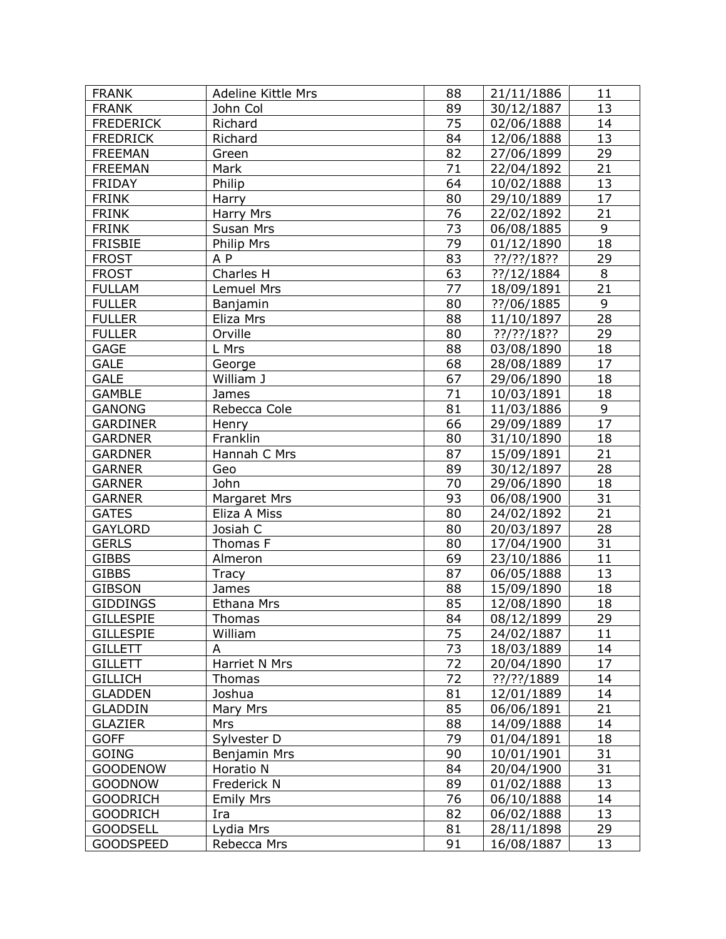| <b>FRANK</b>     | Adeline Kittle Mrs | 88 | 21/11/1886    | 11 |
|------------------|--------------------|----|---------------|----|
| <b>FRANK</b>     | John Col           | 89 | 30/12/1887    | 13 |
| <b>FREDERICK</b> | Richard            | 75 | 02/06/1888    | 14 |
| <b>FREDRICK</b>  | Richard            | 84 | 12/06/1888    | 13 |
| <b>FREEMAN</b>   | Green              | 82 | 27/06/1899    | 29 |
| <b>FREEMAN</b>   | Mark               | 71 | 22/04/1892    | 21 |
| <b>FRIDAY</b>    | Philip             | 64 | 10/02/1888    | 13 |
| <b>FRINK</b>     | Harry              | 80 | 29/10/1889    | 17 |
| <b>FRINK</b>     | <b>Harry Mrs</b>   | 76 | 22/02/1892    | 21 |
| <b>FRINK</b>     | Susan Mrs          | 73 | 06/08/1885    | 9  |
| <b>FRISBIE</b>   | <b>Philip Mrs</b>  | 79 | 01/12/1890    | 18 |
| <b>FROST</b>     | A P                | 83 | ??/??/18??    | 29 |
| <b>FROST</b>     | Charles H          | 63 | ??/12/1884    | 8  |
| <b>FULLAM</b>    | Lemuel Mrs         | 77 | 18/09/1891    | 21 |
| <b>FULLER</b>    | Banjamin           | 80 | ??/06/1885    | 9  |
| <b>FULLER</b>    | Eliza Mrs          | 88 | 11/10/1897    | 28 |
| <b>FULLER</b>    | Orville            | 80 | $??$ /??/18?? | 29 |
| <b>GAGE</b>      | L Mrs              | 88 | 03/08/1890    | 18 |
| <b>GALE</b>      | George             | 68 | 28/08/1889    | 17 |
| <b>GALE</b>      | William J          | 67 | 29/06/1890    | 18 |
| <b>GAMBLE</b>    | James              | 71 | 10/03/1891    | 18 |
| <b>GANONG</b>    | Rebecca Cole       | 81 | 11/03/1886    | 9  |
| <b>GARDINER</b>  | Henry              | 66 | 29/09/1889    | 17 |
| <b>GARDNER</b>   | Franklin           | 80 | 31/10/1890    | 18 |
| <b>GARDNER</b>   | Hannah C Mrs       | 87 | 15/09/1891    | 21 |
| <b>GARNER</b>    | Geo                | 89 | 30/12/1897    | 28 |
| <b>GARNER</b>    | John               | 70 | 29/06/1890    | 18 |
| <b>GARNER</b>    | Margaret Mrs       | 93 | 06/08/1900    | 31 |
| <b>GATES</b>     | Eliza A Miss       | 80 | 24/02/1892    | 21 |
| <b>GAYLORD</b>   | Josiah C           | 80 | 20/03/1897    | 28 |
| <b>GERLS</b>     | Thomas F           | 80 | 17/04/1900    | 31 |
| <b>GIBBS</b>     | Almeron            | 69 | 23/10/1886    | 11 |
| <b>GIBBS</b>     | Tracy              | 87 | 06/05/1888    | 13 |
| <b>GIBSON</b>    | James              | 88 | 15/09/1890    | 18 |
| <b>GIDDINGS</b>  | <b>Ethana Mrs</b>  | 85 | 12/08/1890    | 18 |
| <b>GILLESPIE</b> | Thomas             | 84 | 08/12/1899    | 29 |
| <b>GILLESPIE</b> | William            | 75 | 24/02/1887    | 11 |
| <b>GILLETT</b>   | A                  | 73 | 18/03/1889    | 14 |
| <b>GILLETT</b>   | Harriet N Mrs      | 72 | 20/04/1890    | 17 |
| <b>GILLICH</b>   | Thomas             | 72 | ??/??/1889    | 14 |
| <b>GLADDEN</b>   | Joshua             | 81 | 12/01/1889    | 14 |
| <b>GLADDIN</b>   | Mary Mrs           | 85 | 06/06/1891    | 21 |
| <b>GLAZIER</b>   | Mrs                | 88 | 14/09/1888    | 14 |
| <b>GOFF</b>      | Sylvester D        | 79 | 01/04/1891    | 18 |
| <b>GOING</b>     | Benjamin Mrs       | 90 | 10/01/1901    | 31 |
| <b>GOODENOW</b>  | Horatio N          | 84 | 20/04/1900    | 31 |
| <b>GOODNOW</b>   | Frederick N        | 89 | 01/02/1888    | 13 |
| <b>GOODRICH</b>  | <b>Emily Mrs</b>   | 76 | 06/10/1888    | 14 |
| <b>GOODRICH</b>  | Ira                | 82 | 06/02/1888    | 13 |
| <b>GOODSELL</b>  | Lydia Mrs          | 81 | 28/11/1898    | 29 |
| <b>GOODSPEED</b> | Rebecca Mrs        | 91 | 16/08/1887    | 13 |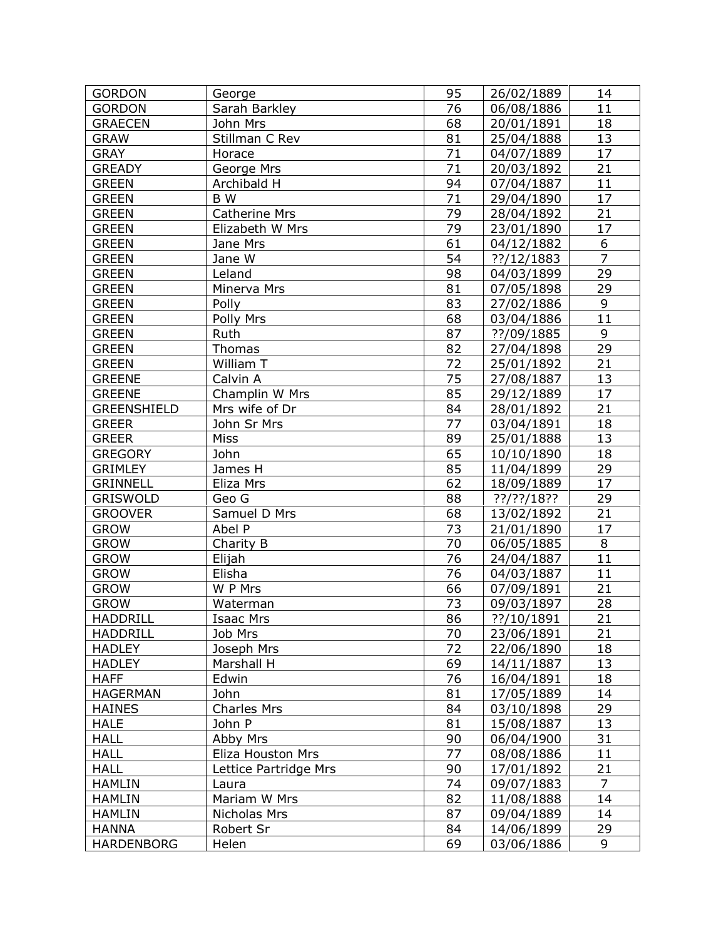| <b>GORDON</b>                  | George                       | 95              | 26/02/1889                         | 14                           |
|--------------------------------|------------------------------|-----------------|------------------------------------|------------------------------|
| <b>GORDON</b>                  | Sarah Barkley                | 76              | 06/08/1886                         | 11                           |
| <b>GRAECEN</b>                 | John Mrs                     | 68              | 20/01/1891                         | 18                           |
| <b>GRAW</b>                    | Stillman C Rev               | 81              | 25/04/1888                         | 13                           |
| <b>GRAY</b>                    | Horace                       | 71              | 04/07/1889                         | 17                           |
| <b>GREADY</b>                  | George Mrs                   | $\overline{71}$ | 20/03/1892                         | 21                           |
| <b>GREEN</b>                   | Archibald H                  | 94              | 07/04/1887                         | 11                           |
| <b>GREEN</b>                   | B W                          | 71              | 29/04/1890                         | 17                           |
| <b>GREEN</b>                   | <b>Catherine Mrs</b>         | $\overline{79}$ | 28/04/1892                         | $\overline{21}$              |
| <b>GREEN</b>                   | Elizabeth W Mrs              | 79              | 23/01/1890                         | 17                           |
| <b>GREEN</b>                   | Jane Mrs                     | 61              | 04/12/1882                         | 6                            |
| <b>GREEN</b>                   | Jane W                       | 54              | ??/12/1883                         | $\overline{7}$               |
| <b>GREEN</b>                   | Leland                       | 98              | 04/03/1899                         | 29                           |
| <b>GREEN</b>                   | Minerva Mrs                  | 81              | 07/05/1898                         | 29                           |
| <b>GREEN</b>                   | Polly                        | 83              | 27/02/1886                         | 9                            |
| <b>GREEN</b>                   | Polly Mrs                    | 68              | 03/04/1886                         | 11                           |
| <b>GREEN</b>                   | Ruth                         | 87              | ??/09/1885                         | 9                            |
| <b>GREEN</b>                   | Thomas                       | 82              | 27/04/1898                         | 29                           |
| <b>GREEN</b>                   | William T                    | 72              | 25/01/1892                         | 21                           |
| <b>GREENE</b>                  | Calvin A                     | 75              | 27/08/1887                         | 13                           |
| <b>GREENE</b>                  | Champlin W Mrs               | 85              | 29/12/1889                         | 17                           |
| <b>GREENSHIELD</b>             | Mrs wife of Dr               | 84              | 28/01/1892                         | 21                           |
| <b>GREER</b>                   | John Sr Mrs                  | 77              | 03/04/1891                         | 18                           |
| <b>GREER</b>                   | Miss                         | 89              | 25/01/1888                         | 13                           |
| <b>GREGORY</b>                 | John                         | 65              | 10/10/1890                         | 18                           |
| <b>GRIMLEY</b>                 |                              | 85              |                                    |                              |
| <b>GRINNELL</b>                | James H<br>Eliza Mrs         | 62              | 11/04/1899                         | <u>29</u><br>$\overline{17}$ |
| <b>GRISWOLD</b>                | Geo G                        | 88              | 18/09/1889                         | 29                           |
| <b>GROOVER</b>                 |                              | 68              | ??/??/18??                         | 21                           |
| <b>GROW</b>                    | Samuel D Mrs<br>Abel P       | 73              | 13/02/1892                         | 17                           |
| <b>GROW</b>                    |                              | 70              | 21/01/1890                         | 8                            |
| <b>GROW</b>                    | Charity B                    | 76              | 06/05/1885                         | 11                           |
| <b>GROW</b>                    | Elijah                       | 76              | 24/04/1887                         | 11                           |
| <b>GROW</b>                    | Elisha<br>W P Mrs            | 66              | 04/03/1887<br>07/09/1891           | 21                           |
| <b>GROW</b>                    |                              | 73              |                                    | 28                           |
| HADDRILL                       | Waterman<br><b>Isaac Mrs</b> | 86              | 09/03/1897<br>$\frac{77}{10/1891}$ | $\overline{21}$              |
|                                |                              | 70              |                                    | 21                           |
| <b>HADDRILL</b>                | Job Mrs                      | 72              | 23/06/1891                         |                              |
| <b>HADLEY</b><br><b>HADLEY</b> | Joseph Mrs<br>Marshall H     | 69              | 22/06/1890<br>14/11/1887           | 18<br>13                     |
| <b>HAFF</b>                    |                              | 76              |                                    |                              |
|                                | Edwin<br>John                | 81              | 16/04/1891                         | 18<br>14                     |
| <b>HAGERMAN</b>                | <b>Charles Mrs</b>           | 84              | 17/05/1889                         |                              |
| <b>HAINES</b>                  |                              |                 | 03/10/1898                         | 29                           |
| <b>HALE</b>                    | John P                       | 81              | 15/08/1887                         | 13                           |
| <b>HALL</b>                    | Abby Mrs                     | 90<br>77        | 06/04/1900                         | 31                           |
| <b>HALL</b>                    | Eliza Houston Mrs            |                 | 08/08/1886                         | 11                           |
| <b>HALL</b>                    | Lettice Partridge Mrs        | 90              | 17/01/1892                         | 21                           |
| <b>HAMLIN</b>                  | Laura                        | 74              | 09/07/1883                         | 7                            |
| <b>HAMLIN</b>                  | Mariam W Mrs                 | 82              | 11/08/1888                         | 14                           |
| <b>HAMLIN</b>                  | Nicholas Mrs                 | 87              | 09/04/1889                         | 14                           |
| <b>HANNA</b>                   | Robert Sr                    | 84              | 14/06/1899                         | 29                           |
| <b>HARDENBORG</b>              | Helen                        | 69              | 03/06/1886                         | 9                            |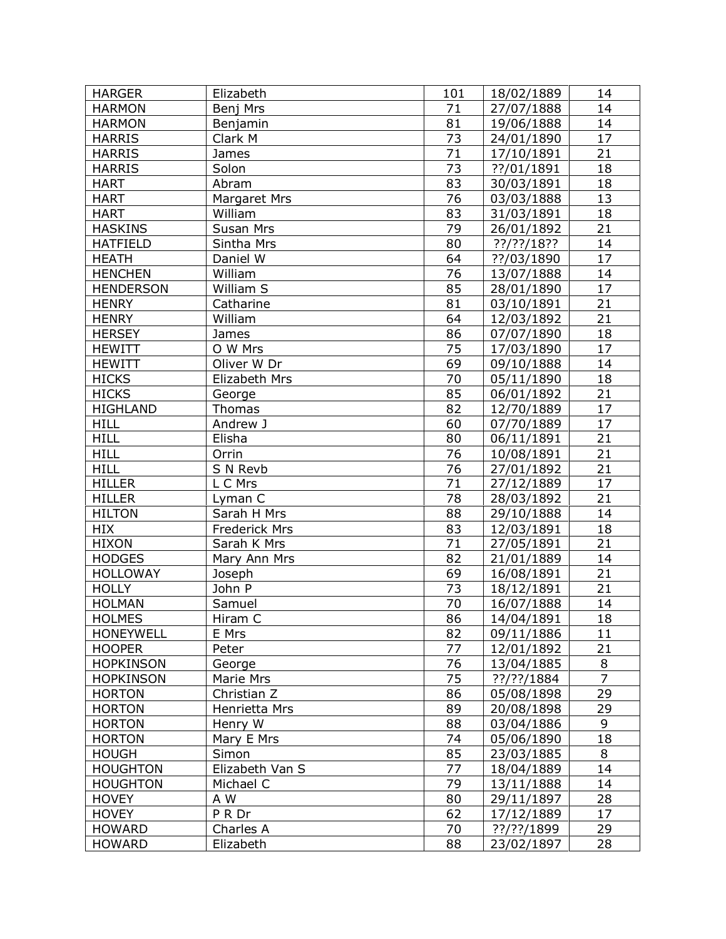| <b>HARGER</b>    | Elizabeth       | 101             | 18/02/1889 | 14              |
|------------------|-----------------|-----------------|------------|-----------------|
| <b>HARMON</b>    | Benj Mrs        | 71              | 27/07/1888 | 14              |
| <b>HARMON</b>    | Benjamin        | 81              | 19/06/1888 | 14              |
| <b>HARRIS</b>    | Clark M         | 73              | 24/01/1890 | 17              |
| <b>HARRIS</b>    | James           | 71              | 17/10/1891 | 21              |
| <b>HARRIS</b>    | Solon           | $\overline{73}$ | ??/01/1891 | 18              |
| <b>HART</b>      | Abram           | 83              | 30/03/1891 | 18              |
| <b>HART</b>      | Margaret Mrs    | 76              | 03/03/1888 | 13              |
| <b>HART</b>      | William         | 83              | 31/03/1891 | 18              |
| <b>HASKINS</b>   | Susan Mrs       | 79              | 26/01/1892 | 21              |
| <b>HATFIELD</b>  | Sintha Mrs      | 80              | ??/??/18?? | 14              |
| <b>HEATH</b>     | Daniel W        | 64              | ??/03/1890 | 17              |
| <b>HENCHEN</b>   | William         | 76              | 13/07/1888 | 14              |
| <b>HENDERSON</b> | William S       | 85              | 28/01/1890 | 17              |
| <b>HENRY</b>     | Catharine       | 81              | 03/10/1891 | 21              |
| <b>HENRY</b>     | William         | 64              | 12/03/1892 | 21              |
| <b>HERSEY</b>    | James           | 86              | 07/07/1890 | 18              |
| <b>HEWITT</b>    | O W Mrs         | 75              | 17/03/1890 | 17              |
| <b>HEWITT</b>    | Oliver W Dr     | 69              | 09/10/1888 | 14              |
| <b>HICKS</b>     | Elizabeth Mrs   | 70              | 05/11/1890 | 18              |
| <b>HICKS</b>     | George          | 85              | 06/01/1892 | 21              |
| <b>HIGHLAND</b>  | Thomas          | 82              | 12/70/1889 | 17              |
| <b>HILL</b>      | Andrew J        | 60              | 07/70/1889 | 17              |
| <b>HILL</b>      | Elisha          | 80              | 06/11/1891 | 21              |
| <b>HILL</b>      | Orrin           | 76              | 10/08/1891 | 21              |
| <b>HILL</b>      | S N Revb        | 76              | 27/01/1892 | 21              |
| <b>HILLER</b>    | L C Mrs         | $\overline{71}$ | 27/12/1889 | $\overline{17}$ |
| <b>HILLER</b>    | Lyman C         | 78              | 28/03/1892 | 21              |
| <b>HILTON</b>    | Sarah H Mrs     | 88              | 29/10/1888 | 14              |
| <b>HIX</b>       | Frederick Mrs   | 83              | 12/03/1891 | 18              |
| <b>HIXON</b>     | Sarah K Mrs     | 71              | 27/05/1891 | 21              |
| <b>HODGES</b>    | Mary Ann Mrs    | 82              | 21/01/1889 | 14              |
| <b>HOLLOWAY</b>  | Joseph          | 69              | 16/08/1891 | 21              |
| <b>HOLLY</b>     | John P          | 73              | 18/12/1891 | 21              |
| <b>HOLMAN</b>    | Samuel          | 70              | 16/07/1888 | 14              |
| HOLMES           | Hiram C         | 86              | 14/04/1891 | 18              |
| <b>HONEYWELL</b> | E Mrs           | 82              | 09/11/1886 | 11              |
| <b>HOOPER</b>    | Peter           | 77              | 12/01/1892 | 21              |
| <b>HOPKINSON</b> | George          | 76              | 13/04/1885 | 8               |
| <b>HOPKINSON</b> | Marie Mrs       | 75              | ??/??/1884 | $\overline{7}$  |
| <b>HORTON</b>    | Christian Z     | 86              | 05/08/1898 | 29              |
| <b>HORTON</b>    | Henrietta Mrs   | 89              | 20/08/1898 | 29              |
| <b>HORTON</b>    | Henry W         | 88              | 03/04/1886 | 9               |
| <b>HORTON</b>    | Mary E Mrs      | 74              | 05/06/1890 | 18              |
| <b>HOUGH</b>     | Simon           | 85              | 23/03/1885 | 8               |
| <b>HOUGHTON</b>  | Elizabeth Van S | 77              | 18/04/1889 | 14              |
| <b>HOUGHTON</b>  | Michael C       | 79              | 13/11/1888 | 14              |
| <b>HOVEY</b>     | A W             | 80              | 29/11/1897 | 28              |
| <b>HOVEY</b>     | P R Dr          | 62              | 17/12/1889 | 17              |
| <b>HOWARD</b>    | Charles A       | 70              | ??/??/1899 | 29              |
| <b>HOWARD</b>    | Elizabeth       | 88              | 23/02/1897 | 28              |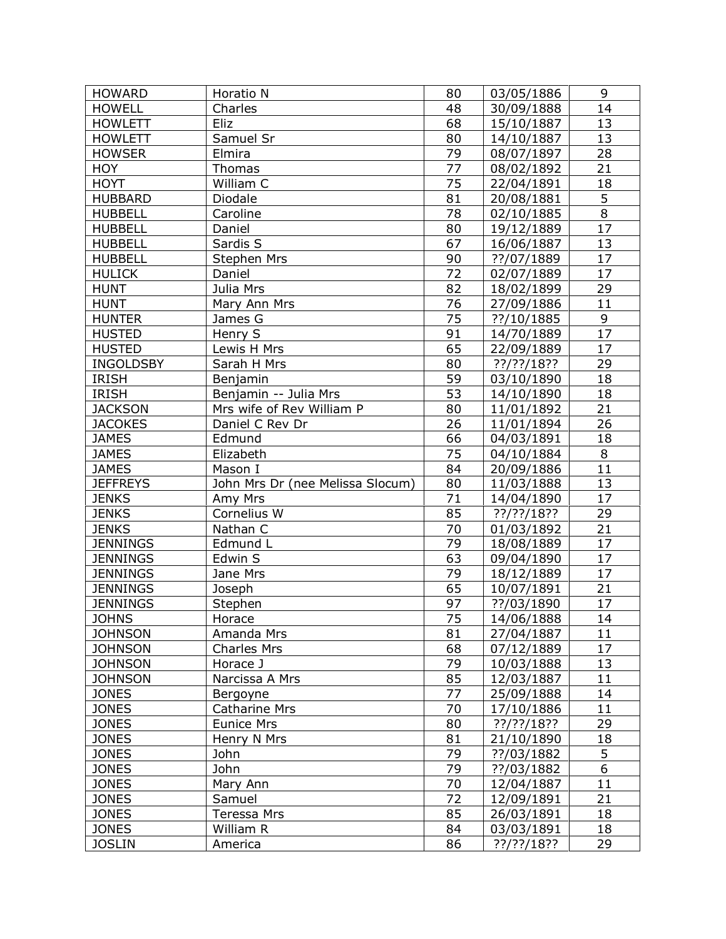| <b>HOWARD</b><br>Horatio N<br>80<br>03/05/1886<br>14<br><b>HOWELL</b><br>Charles<br>48<br>30/09/1888<br><b>HOWLETT</b><br>68<br>13<br>Eliz<br>15/10/1887<br>Samuel Sr<br>80<br>13<br><b>HOWLETT</b><br>14/10/1887<br>79<br>28<br>08/07/1897<br><b>HOWSER</b><br>Elmira<br>21<br>HOY<br>77<br>08/02/1892<br>Thomas<br>75<br><b>HOYT</b><br>William C<br>22/04/1891<br>18<br>$\overline{5}$<br>81<br><b>HUBBARD</b><br>Diodale<br>20/08/1881<br>$\overline{8}$<br>$\overline{78}$<br><b>HUBBELL</b><br>Caroline<br>02/10/1885<br>17<br>80<br><b>HUBBELL</b><br>Daniel<br>19/12/1889<br>67<br>13<br><b>HUBBELL</b><br>Sardis S<br>16/06/1887<br><b>HUBBELL</b><br>90<br>??/07/1889<br>17<br><b>Stephen Mrs</b><br>72<br><b>HULICK</b><br>17<br>Daniel<br>02/07/1889<br>82<br>29<br>Julia Mrs<br><b>HUNT</b><br>18/02/1899<br>76<br>27/09/1886<br>11<br><b>HUNT</b><br>Mary Ann Mrs<br>75<br>9<br><b>HUNTER</b><br>??/10/1885<br>James G<br>$\overline{17}$<br>91<br><b>HUSTED</b><br>Henry S<br>14/70/1889<br>65<br><b>HUSTED</b><br>17<br>Lewis H Mrs<br>22/09/1889<br>80<br>29<br><b>INGOLDSBY</b><br>Sarah H Mrs<br>??/??/18??<br>59<br><b>IRISH</b><br>18<br>Benjamin<br>03/10/1890<br>53<br>Benjamin -- Julia Mrs<br>18<br><b>IRISH</b><br>14/10/1890<br>80<br>21<br><b>JACKSON</b><br>Mrs wife of Rev William P<br>11/01/1892<br>26<br>26<br><b>JACOKES</b><br>Daniel C Rev Dr<br>11/01/1894<br>66<br>18<br><b>JAMES</b><br>04/03/1891<br>Edmund<br>75<br>8<br><b>JAMES</b><br>Elizabeth<br>04/10/1884<br>11<br>84<br><b>JAMES</b><br>Mason I<br>20/09/1886<br>13<br>80<br>John Mrs Dr (nee Melissa Slocum)<br><b>JEFFREYS</b><br>11/03/1888<br>71<br>17<br><b>JENKS</b><br>Amy Mrs<br>14/04/1890<br>85<br>Cornelius W<br>29<br><b>JENKS</b><br>??/??/18??<br><b>JENKS</b><br>Nathan C<br>70<br>21<br>01/03/1892<br>79<br><b>JENNINGS</b><br>17<br>Edmund L<br>18/08/1889<br>63<br>17<br><b>JENNINGS</b><br>Edwin S<br>09/04/1890<br>79<br>17<br><b>JENNINGS</b><br>18/12/1889<br>Jane Mrs<br>65<br>21<br><b>JENNINGS</b><br>10/07/1891<br>Joseph<br>$\overline{17}$<br>97<br><b>JENNINGS</b><br>??/03/1890<br>Stephen<br>$\overline{75}$<br>14<br>14/06/1888<br><b>JOHNS</b><br>Horace<br>81<br><b>JOHNSON</b><br>11<br>Amanda Mrs<br>27/04/1887<br>68<br>17<br><b>JOHNSON</b><br><b>Charles Mrs</b><br>07/12/1889<br><b>JOHNSON</b><br>Horace J<br>79<br>13<br>10/03/1888<br>85<br><b>JOHNSON</b><br>11<br>Narcissa A Mrs<br>12/03/1887<br>77<br><b>JONES</b><br>25/09/1888<br>14<br>Bergoyne |
|----------------------------------------------------------------------------------------------------------------------------------------------------------------------------------------------------------------------------------------------------------------------------------------------------------------------------------------------------------------------------------------------------------------------------------------------------------------------------------------------------------------------------------------------------------------------------------------------------------------------------------------------------------------------------------------------------------------------------------------------------------------------------------------------------------------------------------------------------------------------------------------------------------------------------------------------------------------------------------------------------------------------------------------------------------------------------------------------------------------------------------------------------------------------------------------------------------------------------------------------------------------------------------------------------------------------------------------------------------------------------------------------------------------------------------------------------------------------------------------------------------------------------------------------------------------------------------------------------------------------------------------------------------------------------------------------------------------------------------------------------------------------------------------------------------------------------------------------------------------------------------------------------------------------------------------------------------------------------------------------------------------------------------------------------------------------------------------------------------------------------------------------------------------------------------------------------------------------------------------------------------------------------------------------------------------------------------------------------------------------------------------------------------------------------------------------------------------------------------------------------|
|                                                                                                                                                                                                                                                                                                                                                                                                                                                                                                                                                                                                                                                                                                                                                                                                                                                                                                                                                                                                                                                                                                                                                                                                                                                                                                                                                                                                                                                                                                                                                                                                                                                                                                                                                                                                                                                                                                                                                                                                                                                                                                                                                                                                                                                                                                                                                                                                                                                                                                    |
|                                                                                                                                                                                                                                                                                                                                                                                                                                                                                                                                                                                                                                                                                                                                                                                                                                                                                                                                                                                                                                                                                                                                                                                                                                                                                                                                                                                                                                                                                                                                                                                                                                                                                                                                                                                                                                                                                                                                                                                                                                                                                                                                                                                                                                                                                                                                                                                                                                                                                                    |
|                                                                                                                                                                                                                                                                                                                                                                                                                                                                                                                                                                                                                                                                                                                                                                                                                                                                                                                                                                                                                                                                                                                                                                                                                                                                                                                                                                                                                                                                                                                                                                                                                                                                                                                                                                                                                                                                                                                                                                                                                                                                                                                                                                                                                                                                                                                                                                                                                                                                                                    |
|                                                                                                                                                                                                                                                                                                                                                                                                                                                                                                                                                                                                                                                                                                                                                                                                                                                                                                                                                                                                                                                                                                                                                                                                                                                                                                                                                                                                                                                                                                                                                                                                                                                                                                                                                                                                                                                                                                                                                                                                                                                                                                                                                                                                                                                                                                                                                                                                                                                                                                    |
|                                                                                                                                                                                                                                                                                                                                                                                                                                                                                                                                                                                                                                                                                                                                                                                                                                                                                                                                                                                                                                                                                                                                                                                                                                                                                                                                                                                                                                                                                                                                                                                                                                                                                                                                                                                                                                                                                                                                                                                                                                                                                                                                                                                                                                                                                                                                                                                                                                                                                                    |
|                                                                                                                                                                                                                                                                                                                                                                                                                                                                                                                                                                                                                                                                                                                                                                                                                                                                                                                                                                                                                                                                                                                                                                                                                                                                                                                                                                                                                                                                                                                                                                                                                                                                                                                                                                                                                                                                                                                                                                                                                                                                                                                                                                                                                                                                                                                                                                                                                                                                                                    |
|                                                                                                                                                                                                                                                                                                                                                                                                                                                                                                                                                                                                                                                                                                                                                                                                                                                                                                                                                                                                                                                                                                                                                                                                                                                                                                                                                                                                                                                                                                                                                                                                                                                                                                                                                                                                                                                                                                                                                                                                                                                                                                                                                                                                                                                                                                                                                                                                                                                                                                    |
|                                                                                                                                                                                                                                                                                                                                                                                                                                                                                                                                                                                                                                                                                                                                                                                                                                                                                                                                                                                                                                                                                                                                                                                                                                                                                                                                                                                                                                                                                                                                                                                                                                                                                                                                                                                                                                                                                                                                                                                                                                                                                                                                                                                                                                                                                                                                                                                                                                                                                                    |
|                                                                                                                                                                                                                                                                                                                                                                                                                                                                                                                                                                                                                                                                                                                                                                                                                                                                                                                                                                                                                                                                                                                                                                                                                                                                                                                                                                                                                                                                                                                                                                                                                                                                                                                                                                                                                                                                                                                                                                                                                                                                                                                                                                                                                                                                                                                                                                                                                                                                                                    |
|                                                                                                                                                                                                                                                                                                                                                                                                                                                                                                                                                                                                                                                                                                                                                                                                                                                                                                                                                                                                                                                                                                                                                                                                                                                                                                                                                                                                                                                                                                                                                                                                                                                                                                                                                                                                                                                                                                                                                                                                                                                                                                                                                                                                                                                                                                                                                                                                                                                                                                    |
|                                                                                                                                                                                                                                                                                                                                                                                                                                                                                                                                                                                                                                                                                                                                                                                                                                                                                                                                                                                                                                                                                                                                                                                                                                                                                                                                                                                                                                                                                                                                                                                                                                                                                                                                                                                                                                                                                                                                                                                                                                                                                                                                                                                                                                                                                                                                                                                                                                                                                                    |
|                                                                                                                                                                                                                                                                                                                                                                                                                                                                                                                                                                                                                                                                                                                                                                                                                                                                                                                                                                                                                                                                                                                                                                                                                                                                                                                                                                                                                                                                                                                                                                                                                                                                                                                                                                                                                                                                                                                                                                                                                                                                                                                                                                                                                                                                                                                                                                                                                                                                                                    |
|                                                                                                                                                                                                                                                                                                                                                                                                                                                                                                                                                                                                                                                                                                                                                                                                                                                                                                                                                                                                                                                                                                                                                                                                                                                                                                                                                                                                                                                                                                                                                                                                                                                                                                                                                                                                                                                                                                                                                                                                                                                                                                                                                                                                                                                                                                                                                                                                                                                                                                    |
|                                                                                                                                                                                                                                                                                                                                                                                                                                                                                                                                                                                                                                                                                                                                                                                                                                                                                                                                                                                                                                                                                                                                                                                                                                                                                                                                                                                                                                                                                                                                                                                                                                                                                                                                                                                                                                                                                                                                                                                                                                                                                                                                                                                                                                                                                                                                                                                                                                                                                                    |
|                                                                                                                                                                                                                                                                                                                                                                                                                                                                                                                                                                                                                                                                                                                                                                                                                                                                                                                                                                                                                                                                                                                                                                                                                                                                                                                                                                                                                                                                                                                                                                                                                                                                                                                                                                                                                                                                                                                                                                                                                                                                                                                                                                                                                                                                                                                                                                                                                                                                                                    |
|                                                                                                                                                                                                                                                                                                                                                                                                                                                                                                                                                                                                                                                                                                                                                                                                                                                                                                                                                                                                                                                                                                                                                                                                                                                                                                                                                                                                                                                                                                                                                                                                                                                                                                                                                                                                                                                                                                                                                                                                                                                                                                                                                                                                                                                                                                                                                                                                                                                                                                    |
|                                                                                                                                                                                                                                                                                                                                                                                                                                                                                                                                                                                                                                                                                                                                                                                                                                                                                                                                                                                                                                                                                                                                                                                                                                                                                                                                                                                                                                                                                                                                                                                                                                                                                                                                                                                                                                                                                                                                                                                                                                                                                                                                                                                                                                                                                                                                                                                                                                                                                                    |
|                                                                                                                                                                                                                                                                                                                                                                                                                                                                                                                                                                                                                                                                                                                                                                                                                                                                                                                                                                                                                                                                                                                                                                                                                                                                                                                                                                                                                                                                                                                                                                                                                                                                                                                                                                                                                                                                                                                                                                                                                                                                                                                                                                                                                                                                                                                                                                                                                                                                                                    |
|                                                                                                                                                                                                                                                                                                                                                                                                                                                                                                                                                                                                                                                                                                                                                                                                                                                                                                                                                                                                                                                                                                                                                                                                                                                                                                                                                                                                                                                                                                                                                                                                                                                                                                                                                                                                                                                                                                                                                                                                                                                                                                                                                                                                                                                                                                                                                                                                                                                                                                    |
|                                                                                                                                                                                                                                                                                                                                                                                                                                                                                                                                                                                                                                                                                                                                                                                                                                                                                                                                                                                                                                                                                                                                                                                                                                                                                                                                                                                                                                                                                                                                                                                                                                                                                                                                                                                                                                                                                                                                                                                                                                                                                                                                                                                                                                                                                                                                                                                                                                                                                                    |
|                                                                                                                                                                                                                                                                                                                                                                                                                                                                                                                                                                                                                                                                                                                                                                                                                                                                                                                                                                                                                                                                                                                                                                                                                                                                                                                                                                                                                                                                                                                                                                                                                                                                                                                                                                                                                                                                                                                                                                                                                                                                                                                                                                                                                                                                                                                                                                                                                                                                                                    |
|                                                                                                                                                                                                                                                                                                                                                                                                                                                                                                                                                                                                                                                                                                                                                                                                                                                                                                                                                                                                                                                                                                                                                                                                                                                                                                                                                                                                                                                                                                                                                                                                                                                                                                                                                                                                                                                                                                                                                                                                                                                                                                                                                                                                                                                                                                                                                                                                                                                                                                    |
|                                                                                                                                                                                                                                                                                                                                                                                                                                                                                                                                                                                                                                                                                                                                                                                                                                                                                                                                                                                                                                                                                                                                                                                                                                                                                                                                                                                                                                                                                                                                                                                                                                                                                                                                                                                                                                                                                                                                                                                                                                                                                                                                                                                                                                                                                                                                                                                                                                                                                                    |
|                                                                                                                                                                                                                                                                                                                                                                                                                                                                                                                                                                                                                                                                                                                                                                                                                                                                                                                                                                                                                                                                                                                                                                                                                                                                                                                                                                                                                                                                                                                                                                                                                                                                                                                                                                                                                                                                                                                                                                                                                                                                                                                                                                                                                                                                                                                                                                                                                                                                                                    |
|                                                                                                                                                                                                                                                                                                                                                                                                                                                                                                                                                                                                                                                                                                                                                                                                                                                                                                                                                                                                                                                                                                                                                                                                                                                                                                                                                                                                                                                                                                                                                                                                                                                                                                                                                                                                                                                                                                                                                                                                                                                                                                                                                                                                                                                                                                                                                                                                                                                                                                    |
|                                                                                                                                                                                                                                                                                                                                                                                                                                                                                                                                                                                                                                                                                                                                                                                                                                                                                                                                                                                                                                                                                                                                                                                                                                                                                                                                                                                                                                                                                                                                                                                                                                                                                                                                                                                                                                                                                                                                                                                                                                                                                                                                                                                                                                                                                                                                                                                                                                                                                                    |
|                                                                                                                                                                                                                                                                                                                                                                                                                                                                                                                                                                                                                                                                                                                                                                                                                                                                                                                                                                                                                                                                                                                                                                                                                                                                                                                                                                                                                                                                                                                                                                                                                                                                                                                                                                                                                                                                                                                                                                                                                                                                                                                                                                                                                                                                                                                                                                                                                                                                                                    |
|                                                                                                                                                                                                                                                                                                                                                                                                                                                                                                                                                                                                                                                                                                                                                                                                                                                                                                                                                                                                                                                                                                                                                                                                                                                                                                                                                                                                                                                                                                                                                                                                                                                                                                                                                                                                                                                                                                                                                                                                                                                                                                                                                                                                                                                                                                                                                                                                                                                                                                    |
|                                                                                                                                                                                                                                                                                                                                                                                                                                                                                                                                                                                                                                                                                                                                                                                                                                                                                                                                                                                                                                                                                                                                                                                                                                                                                                                                                                                                                                                                                                                                                                                                                                                                                                                                                                                                                                                                                                                                                                                                                                                                                                                                                                                                                                                                                                                                                                                                                                                                                                    |
|                                                                                                                                                                                                                                                                                                                                                                                                                                                                                                                                                                                                                                                                                                                                                                                                                                                                                                                                                                                                                                                                                                                                                                                                                                                                                                                                                                                                                                                                                                                                                                                                                                                                                                                                                                                                                                                                                                                                                                                                                                                                                                                                                                                                                                                                                                                                                                                                                                                                                                    |
|                                                                                                                                                                                                                                                                                                                                                                                                                                                                                                                                                                                                                                                                                                                                                                                                                                                                                                                                                                                                                                                                                                                                                                                                                                                                                                                                                                                                                                                                                                                                                                                                                                                                                                                                                                                                                                                                                                                                                                                                                                                                                                                                                                                                                                                                                                                                                                                                                                                                                                    |
|                                                                                                                                                                                                                                                                                                                                                                                                                                                                                                                                                                                                                                                                                                                                                                                                                                                                                                                                                                                                                                                                                                                                                                                                                                                                                                                                                                                                                                                                                                                                                                                                                                                                                                                                                                                                                                                                                                                                                                                                                                                                                                                                                                                                                                                                                                                                                                                                                                                                                                    |
|                                                                                                                                                                                                                                                                                                                                                                                                                                                                                                                                                                                                                                                                                                                                                                                                                                                                                                                                                                                                                                                                                                                                                                                                                                                                                                                                                                                                                                                                                                                                                                                                                                                                                                                                                                                                                                                                                                                                                                                                                                                                                                                                                                                                                                                                                                                                                                                                                                                                                                    |
|                                                                                                                                                                                                                                                                                                                                                                                                                                                                                                                                                                                                                                                                                                                                                                                                                                                                                                                                                                                                                                                                                                                                                                                                                                                                                                                                                                                                                                                                                                                                                                                                                                                                                                                                                                                                                                                                                                                                                                                                                                                                                                                                                                                                                                                                                                                                                                                                                                                                                                    |
|                                                                                                                                                                                                                                                                                                                                                                                                                                                                                                                                                                                                                                                                                                                                                                                                                                                                                                                                                                                                                                                                                                                                                                                                                                                                                                                                                                                                                                                                                                                                                                                                                                                                                                                                                                                                                                                                                                                                                                                                                                                                                                                                                                                                                                                                                                                                                                                                                                                                                                    |
|                                                                                                                                                                                                                                                                                                                                                                                                                                                                                                                                                                                                                                                                                                                                                                                                                                                                                                                                                                                                                                                                                                                                                                                                                                                                                                                                                                                                                                                                                                                                                                                                                                                                                                                                                                                                                                                                                                                                                                                                                                                                                                                                                                                                                                                                                                                                                                                                                                                                                                    |
|                                                                                                                                                                                                                                                                                                                                                                                                                                                                                                                                                                                                                                                                                                                                                                                                                                                                                                                                                                                                                                                                                                                                                                                                                                                                                                                                                                                                                                                                                                                                                                                                                                                                                                                                                                                                                                                                                                                                                                                                                                                                                                                                                                                                                                                                                                                                                                                                                                                                                                    |
|                                                                                                                                                                                                                                                                                                                                                                                                                                                                                                                                                                                                                                                                                                                                                                                                                                                                                                                                                                                                                                                                                                                                                                                                                                                                                                                                                                                                                                                                                                                                                                                                                                                                                                                                                                                                                                                                                                                                                                                                                                                                                                                                                                                                                                                                                                                                                                                                                                                                                                    |
|                                                                                                                                                                                                                                                                                                                                                                                                                                                                                                                                                                                                                                                                                                                                                                                                                                                                                                                                                                                                                                                                                                                                                                                                                                                                                                                                                                                                                                                                                                                                                                                                                                                                                                                                                                                                                                                                                                                                                                                                                                                                                                                                                                                                                                                                                                                                                                                                                                                                                                    |
|                                                                                                                                                                                                                                                                                                                                                                                                                                                                                                                                                                                                                                                                                                                                                                                                                                                                                                                                                                                                                                                                                                                                                                                                                                                                                                                                                                                                                                                                                                                                                                                                                                                                                                                                                                                                                                                                                                                                                                                                                                                                                                                                                                                                                                                                                                                                                                                                                                                                                                    |
| 70<br>11<br><b>JONES</b><br><b>Catharine Mrs</b><br>17/10/1886                                                                                                                                                                                                                                                                                                                                                                                                                                                                                                                                                                                                                                                                                                                                                                                                                                                                                                                                                                                                                                                                                                                                                                                                                                                                                                                                                                                                                                                                                                                                                                                                                                                                                                                                                                                                                                                                                                                                                                                                                                                                                                                                                                                                                                                                                                                                                                                                                                     |
| <b>JONES</b><br><b>Eunice Mrs</b><br>80<br>??/??/18??<br>29                                                                                                                                                                                                                                                                                                                                                                                                                                                                                                                                                                                                                                                                                                                                                                                                                                                                                                                                                                                                                                                                                                                                                                                                                                                                                                                                                                                                                                                                                                                                                                                                                                                                                                                                                                                                                                                                                                                                                                                                                                                                                                                                                                                                                                                                                                                                                                                                                                        |
| <b>JONES</b><br>Henry N Mrs<br>81<br>21/10/1890<br>18                                                                                                                                                                                                                                                                                                                                                                                                                                                                                                                                                                                                                                                                                                                                                                                                                                                                                                                                                                                                                                                                                                                                                                                                                                                                                                                                                                                                                                                                                                                                                                                                                                                                                                                                                                                                                                                                                                                                                                                                                                                                                                                                                                                                                                                                                                                                                                                                                                              |
| 5<br>John<br>79<br><b>JONES</b><br>??/03/1882                                                                                                                                                                                                                                                                                                                                                                                                                                                                                                                                                                                                                                                                                                                                                                                                                                                                                                                                                                                                                                                                                                                                                                                                                                                                                                                                                                                                                                                                                                                                                                                                                                                                                                                                                                                                                                                                                                                                                                                                                                                                                                                                                                                                                                                                                                                                                                                                                                                      |
| 6<br>John<br>79<br><b>JONES</b><br>??/03/1882                                                                                                                                                                                                                                                                                                                                                                                                                                                                                                                                                                                                                                                                                                                                                                                                                                                                                                                                                                                                                                                                                                                                                                                                                                                                                                                                                                                                                                                                                                                                                                                                                                                                                                                                                                                                                                                                                                                                                                                                                                                                                                                                                                                                                                                                                                                                                                                                                                                      |
| 70<br>11<br><b>JONES</b><br>Mary Ann<br>12/04/1887                                                                                                                                                                                                                                                                                                                                                                                                                                                                                                                                                                                                                                                                                                                                                                                                                                                                                                                                                                                                                                                                                                                                                                                                                                                                                                                                                                                                                                                                                                                                                                                                                                                                                                                                                                                                                                                                                                                                                                                                                                                                                                                                                                                                                                                                                                                                                                                                                                                 |
| 72<br><b>JONES</b><br>21<br>Samuel<br>12/09/1891                                                                                                                                                                                                                                                                                                                                                                                                                                                                                                                                                                                                                                                                                                                                                                                                                                                                                                                                                                                                                                                                                                                                                                                                                                                                                                                                                                                                                                                                                                                                                                                                                                                                                                                                                                                                                                                                                                                                                                                                                                                                                                                                                                                                                                                                                                                                                                                                                                                   |
| 85<br><b>JONES</b><br>Teressa Mrs<br>26/03/1891<br>18                                                                                                                                                                                                                                                                                                                                                                                                                                                                                                                                                                                                                                                                                                                                                                                                                                                                                                                                                                                                                                                                                                                                                                                                                                                                                                                                                                                                                                                                                                                                                                                                                                                                                                                                                                                                                                                                                                                                                                                                                                                                                                                                                                                                                                                                                                                                                                                                                                              |
| <b>JONES</b><br>William R<br>84<br>03/03/1891<br>18                                                                                                                                                                                                                                                                                                                                                                                                                                                                                                                                                                                                                                                                                                                                                                                                                                                                                                                                                                                                                                                                                                                                                                                                                                                                                                                                                                                                                                                                                                                                                                                                                                                                                                                                                                                                                                                                                                                                                                                                                                                                                                                                                                                                                                                                                                                                                                                                                                                |
| <b>JOSLIN</b><br>86<br>??/??/18??<br>29<br>America                                                                                                                                                                                                                                                                                                                                                                                                                                                                                                                                                                                                                                                                                                                                                                                                                                                                                                                                                                                                                                                                                                                                                                                                                                                                                                                                                                                                                                                                                                                                                                                                                                                                                                                                                                                                                                                                                                                                                                                                                                                                                                                                                                                                                                                                                                                                                                                                                                                 |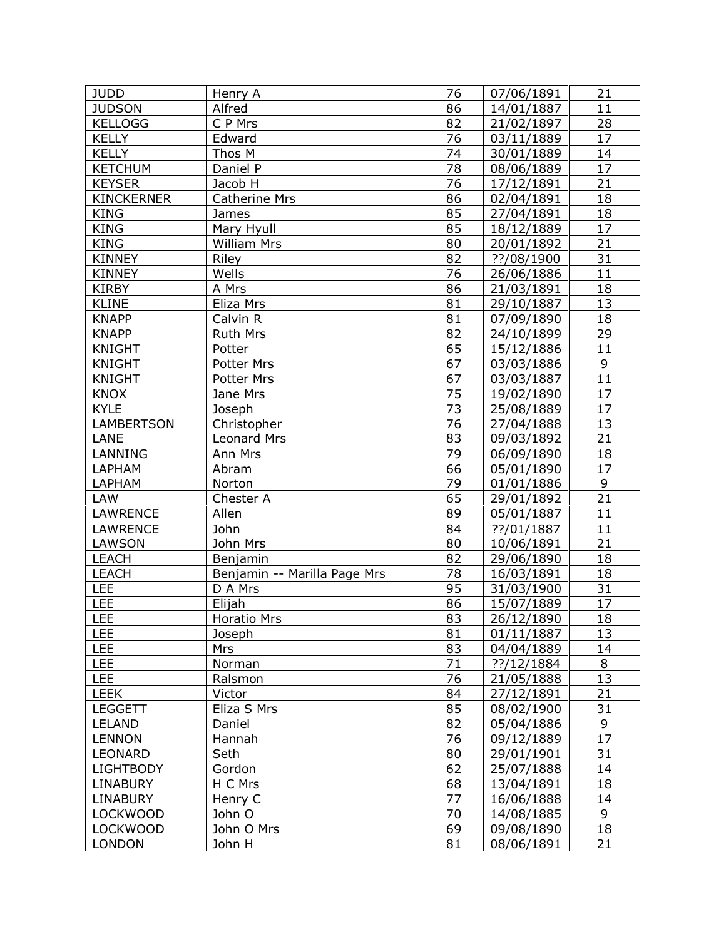| <b>JUDD</b>       | Henry A                      | 76 | 07/06/1891 | 21 |
|-------------------|------------------------------|----|------------|----|
| <b>JUDSON</b>     | Alfred                       | 86 | 14/01/1887 | 11 |
| <b>KELLOGG</b>    | C P Mrs                      | 82 | 21/02/1897 | 28 |
| <b>KELLY</b>      | Edward                       | 76 | 03/11/1889 | 17 |
| <b>KELLY</b>      | Thos M                       | 74 | 30/01/1889 | 14 |
| <b>KETCHUM</b>    | Daniel P                     | 78 | 08/06/1889 | 17 |
| <b>KEYSER</b>     | Jacob H                      | 76 | 17/12/1891 | 21 |
| <b>KINCKERNER</b> | <b>Catherine Mrs</b>         | 86 | 02/04/1891 | 18 |
| <b>KING</b>       | James                        | 85 | 27/04/1891 | 18 |
| <b>KING</b>       | Mary Hyull                   | 85 | 18/12/1889 | 17 |
| <b>KING</b>       | <b>William Mrs</b>           | 80 | 20/01/1892 | 21 |
| <b>KINNEY</b>     | Riley                        | 82 | ??/08/1900 | 31 |
| <b>KINNEY</b>     | Wells                        | 76 | 26/06/1886 | 11 |
| <b>KIRBY</b>      | A Mrs                        | 86 | 21/03/1891 | 18 |
| <b>KLINE</b>      | Eliza Mrs                    | 81 | 29/10/1887 | 13 |
| <b>KNAPP</b>      | Calvin R                     | 81 | 07/09/1890 | 18 |
| <b>KNAPP</b>      | Ruth Mrs                     | 82 | 24/10/1899 | 29 |
| <b>KNIGHT</b>     | Potter                       | 65 | 15/12/1886 | 11 |
| <b>KNIGHT</b>     | <b>Potter Mrs</b>            | 67 | 03/03/1886 | 9  |
| <b>KNIGHT</b>     | Potter Mrs                   | 67 | 03/03/1887 | 11 |
| <b>KNOX</b>       | Jane Mrs                     | 75 | 19/02/1890 | 17 |
| <b>KYLE</b>       | Joseph                       | 73 | 25/08/1889 | 17 |
| <b>LAMBERTSON</b> | Christopher                  | 76 | 27/04/1888 | 13 |
| LANE              | Leonard Mrs                  | 83 | 09/03/1892 | 21 |
| <b>LANNING</b>    | Ann Mrs                      | 79 | 06/09/1890 | 18 |
| LAPHAM            | Abram                        | 66 | 05/01/1890 | 17 |
| LAPHAM            | Norton                       | 79 | 01/01/1886 | 9  |
| LAW               | Chester A                    | 65 | 29/01/1892 | 21 |
| <b>LAWRENCE</b>   | Allen                        | 89 | 05/01/1887 | 11 |
| <b>LAWRENCE</b>   | John                         | 84 | ??/01/1887 | 11 |
| <b>LAWSON</b>     | John Mrs                     | 80 | 10/06/1891 | 21 |
| <b>LEACH</b>      | Benjamin                     | 82 | 29/06/1890 | 18 |
| <b>LEACH</b>      | Benjamin -- Marilla Page Mrs | 78 | 16/03/1891 | 18 |
| <b>LEE</b>        | D A Mrs                      | 95 | 31/03/1900 | 31 |
| <b>LEE</b>        | Elijah                       | 86 | 15/07/1889 | 17 |
| LEE               | Horatio Mrs                  | 83 | 26/12/1890 | 18 |
| <b>LEE</b>        | Joseph                       | 81 | 01/11/1887 | 13 |
| <b>LEE</b>        | <b>Mrs</b>                   | 83 | 04/04/1889 | 14 |
| <b>LEE</b>        | Norman                       | 71 | ??/12/1884 | 8  |
| <b>LEE</b>        | Ralsmon                      | 76 | 21/05/1888 | 13 |
| <b>LEEK</b>       | Victor                       | 84 | 27/12/1891 | 21 |
| <b>LEGGETT</b>    | Eliza S Mrs                  | 85 | 08/02/1900 | 31 |
| <b>LELAND</b>     | Daniel                       | 82 | 05/04/1886 | 9  |
| <b>LENNON</b>     | Hannah                       | 76 | 09/12/1889 | 17 |
| LEONARD           | Seth                         | 80 | 29/01/1901 | 31 |
| <b>LIGHTBODY</b>  | Gordon                       | 62 | 25/07/1888 | 14 |
| <b>LINABURY</b>   | H C Mrs                      | 68 | 13/04/1891 | 18 |
| <b>LINABURY</b>   | Henry C                      | 77 | 16/06/1888 | 14 |
| <b>LOCKWOOD</b>   | John O                       | 70 | 14/08/1885 | 9  |
| <b>LOCKWOOD</b>   | John O Mrs                   | 69 | 09/08/1890 | 18 |
| <b>LONDON</b>     | John H                       | 81 | 08/06/1891 | 21 |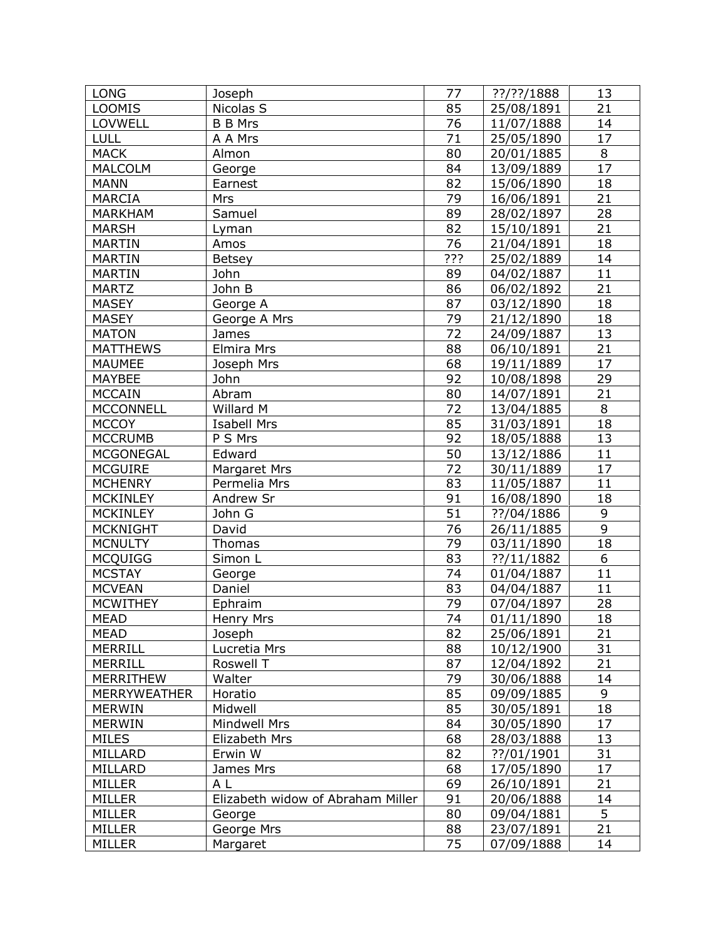| <b>LONG</b>         | Joseph                            | 77              | $?$ ?/??/1888 | 13              |
|---------------------|-----------------------------------|-----------------|---------------|-----------------|
| <b>LOOMIS</b>       | Nicolas S                         | 85              | 25/08/1891    | 21              |
| LOVWELL             | <b>B B Mrs</b>                    | 76              | 11/07/1888    | 14              |
| LULL                | A A Mrs                           | 71              | 25/05/1890    | 17              |
| <b>MACK</b>         | Almon                             | 80              | 20/01/1885    | 8               |
| <b>MALCOLM</b>      | George                            | 84              | 13/09/1889    | 17              |
| <b>MANN</b>         | Earnest                           | 82              | 15/06/1890    | 18              |
| <b>MARCIA</b>       | Mrs                               | 79              | 16/06/1891    | $\overline{21}$ |
| <b>MARKHAM</b>      | Samuel                            | 89              | 28/02/1897    | 28              |
| <b>MARSH</b>        | Lyman                             | 82              | 15/10/1891    | 21              |
| <b>MARTIN</b>       | Amos                              | 76              | 21/04/1891    | 18              |
| <b>MARTIN</b>       | <b>Betsey</b>                     | ???             | 25/02/1889    | 14              |
| <b>MARTIN</b>       | John                              | 89              | 04/02/1887    | 11              |
| <b>MARTZ</b>        | John B                            | 86              | 06/02/1892    | 21              |
| <b>MASEY</b>        | George A                          | 87              | 03/12/1890    | 18              |
| <b>MASEY</b>        | George A Mrs                      | 79              | 21/12/1890    | 18              |
| <b>MATON</b>        | James                             | $\overline{72}$ | 24/09/1887    | 13              |
| <b>MATTHEWS</b>     | <b>Elmira Mrs</b>                 | 88              | 06/10/1891    | 21              |
| <b>MAUMEE</b>       | Joseph Mrs                        | 68              | 19/11/1889    | 17              |
| <b>MAYBEE</b>       | John                              | 92              | 10/08/1898    | 29              |
| <b>MCCAIN</b>       | Abram                             | 80              | 14/07/1891    | 21              |
| <b>MCCONNELL</b>    | Willard M                         | 72              | 13/04/1885    | 8               |
| <b>MCCOY</b>        | <b>Isabell Mrs</b>                | 85              | 31/03/1891    | 18              |
| <b>MCCRUMB</b>      | P S Mrs                           | 92              | 18/05/1888    | 13              |
| <b>MCGONEGAL</b>    | Edward                            | 50              | 13/12/1886    | 11              |
| <b>MCGUIRE</b>      | Margaret Mrs                      | 72              | 30/11/1889    | 17              |
| <b>MCHENRY</b>      | Permelia Mrs                      | 83              | 11/05/1887    | 11              |
| <b>MCKINLEY</b>     | Andrew Sr                         | 91              | 16/08/1890    | 18              |
| <b>MCKINLEY</b>     | John G                            | 51              | ??/04/1886    | 9               |
| <b>MCKNIGHT</b>     | David                             | 76              | 26/11/1885    | 9               |
| <b>MCNULTY</b>      | Thomas                            | 79              | 03/11/1890    | 18              |
| <b>MCQUIGG</b>      | Simon L                           | 83              | ??/11/1882    | 6               |
| <b>MCSTAY</b>       | George                            | 74              | 01/04/1887    | 11              |
| <b>MCVEAN</b>       | Daniel                            | 83              | 04/04/1887    | 11              |
| <b>MCWITHEY</b>     | Ephraim                           | 79              | 07/04/1897    | 28              |
| <b>MEAD</b>         | Henry Mrs                         | $\overline{74}$ | 01/11/1890    | $\overline{18}$ |
| <b>MEAD</b>         | Joseph                            | 82              | 25/06/1891    | 21              |
| <b>MERRILL</b>      | Lucretia Mrs                      | 88              | 10/12/1900    | 31              |
| MERRILL             | Roswell T                         | 87              | 12/04/1892    | 21              |
| MERRITHEW           | Walter                            | 79              | 30/06/1888    | 14              |
| <b>MERRYWEATHER</b> | Horatio                           | 85              | 09/09/1885    | 9               |
| <b>MERWIN</b>       | Midwell                           | 85              | 30/05/1891    | 18              |
| <b>MERWIN</b>       | Mindwell Mrs                      | 84              | 30/05/1890    | 17              |
| <b>MILES</b>        | Elizabeth Mrs                     | 68              | 28/03/1888    | 13              |
| MILLARD             | Erwin W                           | 82              | ??/01/1901    | 31              |
| MILLARD             | James Mrs                         | 68              | 17/05/1890    | 17              |
| <b>MILLER</b>       | ΑL                                | 69              | 26/10/1891    | 21              |
| <b>MILLER</b>       | Elizabeth widow of Abraham Miller | 91              | 20/06/1888    | 14              |
| MILLER              | George                            | 80              | 09/04/1881    | 5               |
| <b>MILLER</b>       | George Mrs                        | 88              | 23/07/1891    | 21              |
| MILLER              | Margaret                          | 75              | 07/09/1888    | 14              |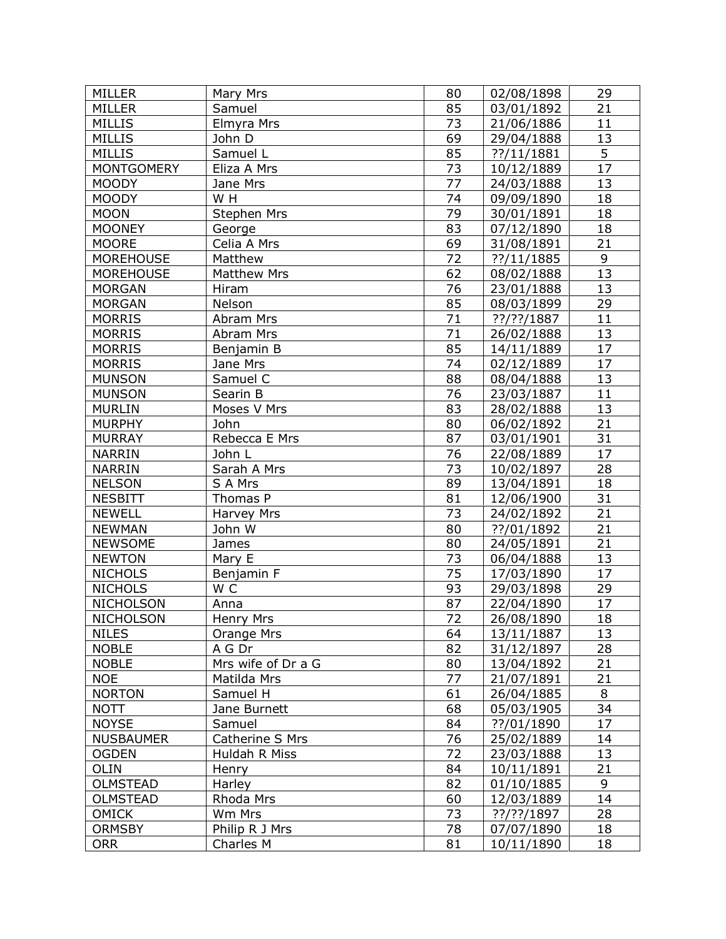| <b>MILLER</b>                    | Mary Mrs                     | 80              | 02/08/1898               | 29              |
|----------------------------------|------------------------------|-----------------|--------------------------|-----------------|
| <b>MILLER</b>                    | Samuel                       | 85              | 03/01/1892               | 21              |
| <b>MILLIS</b>                    | Elmyra Mrs                   | 73              | 21/06/1886               | 11              |
| <b>MILLIS</b>                    | John D                       | 69              | 29/04/1888               | 13              |
| <b>MILLIS</b>                    | Samuel L                     | 85              | ??/11/1881               | 5               |
| <b>MONTGOMERY</b>                | Eliza A Mrs                  | 73              | 10/12/1889               | $\overline{17}$ |
| <b>MOODY</b>                     | Jane Mrs                     | 77              | 24/03/1888               | 13              |
| <b>MOODY</b>                     | W H                          | 74              | 09/09/1890               | 18              |
| <b>MOON</b>                      | Stephen Mrs                  | 79              | 30/01/1891               | 18              |
| <b>MOONEY</b>                    | George                       | 83              | 07/12/1890               | 18              |
| <b>MOORE</b>                     | Celia A Mrs                  | 69              | 31/08/1891               | 21              |
| <b>MOREHOUSE</b>                 | Matthew                      | 72              | ??/11/1885               | 9               |
| <b>MOREHOUSE</b>                 | <b>Matthew Mrs</b>           | 62              | 08/02/1888               | 13              |
| <b>MORGAN</b>                    | Hiram                        | 76              | 23/01/1888               | 13              |
| <b>MORGAN</b>                    | Nelson                       | 85              | 08/03/1899               | 29              |
| <b>MORRIS</b>                    | Abram Mrs                    | 71              | $??$ /??/1887            | 11              |
| <b>MORRIS</b>                    | Abram Mrs                    | 71              | 26/02/1888               | 13              |
| <b>MORRIS</b>                    | Benjamin B                   | 85              | 14/11/1889               | 17              |
| <b>MORRIS</b>                    | Jane Mrs                     | 74              | 02/12/1889               | 17              |
| <b>MUNSON</b>                    | Samuel C                     | 88              | 08/04/1888               | 13              |
| <b>MUNSON</b>                    | Searin B                     | 76              | 23/03/1887               | 11              |
| <b>MURLIN</b>                    | Moses V Mrs                  | 83              | 28/02/1888               | 13              |
| <b>MURPHY</b>                    | John                         | 80              | 06/02/1892               | 21              |
| <b>MURRAY</b>                    | Rebecca E Mrs                | 87              | 03/01/1901               | 31              |
| <b>NARRIN</b>                    | John L                       | 76              | 22/08/1889               | 17              |
| <b>NARRIN</b>                    |                              | 73              |                          | 28              |
| <b>NELSON</b>                    | Sarah A Mrs                  | 89              | 10/02/1897               | 18              |
| <b>NESBITT</b>                   | S A Mrs<br>Thomas P          | 81              | 13/04/1891               | $\overline{31}$ |
|                                  |                              | 73              | 12/06/1900               | 21              |
| <b>NEWELL</b><br><b>NEWMAN</b>   | Harvey Mrs<br>John W         | 80              | 24/02/1892               | 21              |
| <b>NEWSOME</b>                   |                              |                 | ??/01/1892               | 21              |
| <b>NEWTON</b>                    | James<br>Mary E              | 80<br>73        | 24/05/1891               | 13              |
|                                  | Benjamin F                   | 75              | 06/04/1888               | 17              |
| <b>NICHOLS</b><br><b>NICHOLS</b> | W <sub>C</sub>               | 93              | 17/03/1890<br>29/03/1898 | 29              |
| <b>NICHOLSON</b>                 |                              | 87              | 22/04/1890               | 17              |
| <b>NICHOLSON</b>                 | Anna                         | $\overline{72}$ | 26/08/1890               | 18              |
|                                  | Henry Mrs                    | 64              |                          |                 |
| <b>NILES</b>                     | Orange Mrs                   | 82              | 13/11/1887               | 13              |
| <b>NOBLE</b><br><b>NOBLE</b>     | A G Dr<br>Mrs wife of Dr a G | 80              | 31/12/1897               | 28<br>21        |
|                                  |                              | 77              | 13/04/1892               |                 |
| <b>NOE</b><br><b>NORTON</b>      | Matilda Mrs                  | 61              | 21/07/1891               | 21<br>8         |
|                                  | Samuel H                     | 68              | 26/04/1885               | 34              |
| <b>NOTT</b><br><b>NOYSE</b>      | Jane Burnett                 | 84              | 05/03/1905               | 17              |
|                                  | Samuel                       | 76              | ??/01/1890               |                 |
| <b>NUSBAUMER</b>                 | Catherine S Mrs              | 72              | 25/02/1889               | 14              |
| <b>OGDEN</b>                     | Huldah R Miss                |                 | 23/03/1888               | 13              |
| OLIN                             | Henry                        | 84              | 10/11/1891               | 21              |
| <b>OLMSTEAD</b>                  | Harley                       | 82              | 01/10/1885               | 9               |
| <b>OLMSTEAD</b>                  | Rhoda Mrs                    | 60              | 12/03/1889               | 14              |
| <b>OMICK</b>                     | Wm Mrs                       | 73              | $??$ /??/1897            | 28              |
| <b>ORMSBY</b>                    | Philip R J Mrs               | 78              | 07/07/1890               | 18              |
| <b>ORR</b>                       | Charles M                    | 81              | 10/11/1890               | 18              |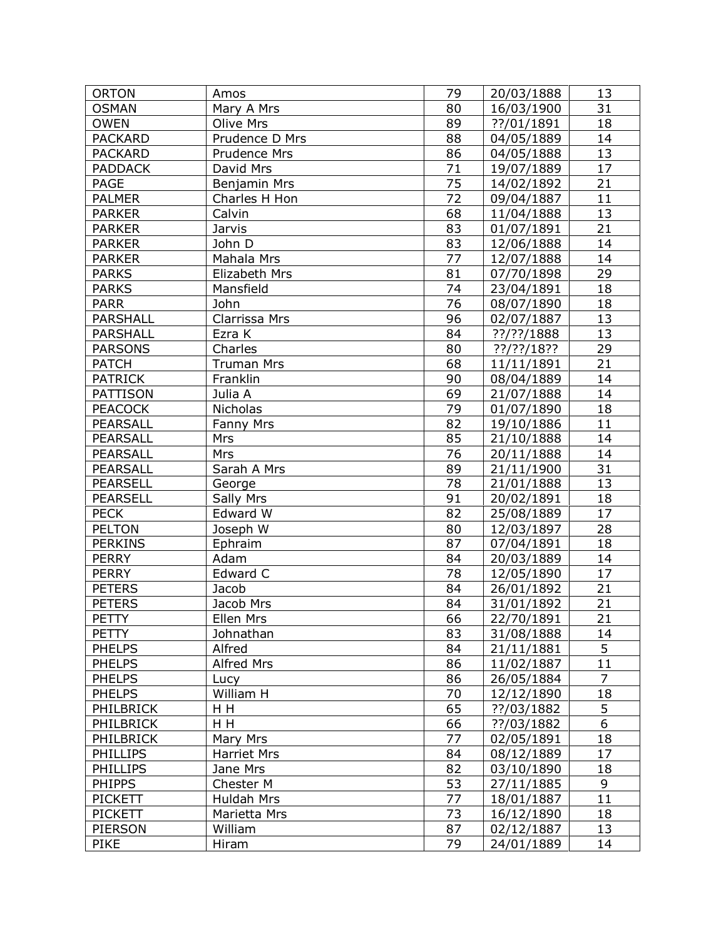| <b>ORTON</b>    | Amos               | 79 | 20/03/1888    | 13              |
|-----------------|--------------------|----|---------------|-----------------|
| <b>OSMAN</b>    | Mary A Mrs         | 80 | 16/03/1900    | 31              |
| <b>OWEN</b>     | Olive Mrs          | 89 | ??/01/1891    | 18              |
| <b>PACKARD</b>  | Prudence D Mrs     | 88 | 04/05/1889    | 14              |
| <b>PACKARD</b>  | Prudence Mrs       | 86 | 04/05/1888    | 13              |
| <b>PADDACK</b>  | David Mrs          | 71 | 19/07/1889    | 17              |
| <b>PAGE</b>     | Benjamin Mrs       | 75 | 14/02/1892    | 21              |
| <b>PALMER</b>   | Charles H Hon      | 72 | 09/04/1887    | 11              |
| <b>PARKER</b>   | Calvin             | 68 | 11/04/1888    | 13              |
| <b>PARKER</b>   | Jarvis             | 83 | 01/07/1891    | 21              |
| <b>PARKER</b>   | John D             | 83 | 12/06/1888    | 14              |
| <b>PARKER</b>   | Mahala Mrs         | 77 | 12/07/1888    | 14              |
| <b>PARKS</b>    | Elizabeth Mrs      | 81 | 07/70/1898    | 29              |
| <b>PARKS</b>    | Mansfield          | 74 | 23/04/1891    | 18              |
| <b>PARR</b>     | John               | 76 | 08/07/1890    | 18              |
| PARSHALL        | Clarrissa Mrs      | 96 | 02/07/1887    | 13              |
| PARSHALL        | Ezra K             | 84 | $?$ ?/??/1888 | 13              |
| <b>PARSONS</b>  | Charles            | 80 | ??/??/18??    | 29              |
| <b>PATCH</b>    | <b>Truman Mrs</b>  | 68 | 11/11/1891    | 21              |
| <b>PATRICK</b>  | Franklin           | 90 | 08/04/1889    | 14              |
| PATTISON        | Julia A            | 69 | 21/07/1888    | 14              |
| <b>PEACOCK</b>  | Nicholas           | 79 | 01/07/1890    | 18              |
| PEARSALL        | Fanny Mrs          | 82 | 19/10/1886    | 11              |
| <b>PEARSALL</b> | Mrs                | 85 | 21/10/1888    | 14              |
| <b>PEARSALL</b> | Mrs                | 76 | 20/11/1888    | 14              |
| PEARSALL        | Sarah A Mrs        | 89 | 21/11/1900    | 31              |
| <b>PEARSELL</b> | George             | 78 | 21/01/1888    | 13              |
| <b>PEARSELL</b> | Sally Mrs          | 91 | 20/02/1891    | 18              |
| <b>PECK</b>     | Edward W           | 82 | 25/08/1889    | 17              |
| <b>PELTON</b>   | Joseph W           | 80 | 12/03/1897    | 28              |
| <b>PERKINS</b>  | Ephraim            | 87 | 07/04/1891    | 18              |
| <b>PERRY</b>    | Adam               | 84 | 20/03/1889    | 14              |
| <b>PERRY</b>    | Edward C           | 78 | 12/05/1890    | 17              |
| <b>PETERS</b>   | Jacob              | 84 | 26/01/1892    | 21              |
| <b>PETERS</b>   | Jacob Mrs          | 84 | 31/01/1892    | 21              |
| <b>PETTY</b>    | Ellen Mrs          | 66 | 22/70/1891    | $\overline{21}$ |
| <b>PETTY</b>    | Johnathan          | 83 | 31/08/1888    | 14              |
| <b>PHELPS</b>   | Alfred             | 84 | 21/11/1881    | 5               |
| <b>PHELPS</b>   | Alfred Mrs         | 86 | 11/02/1887    | 11              |
| <b>PHELPS</b>   | Lucy               | 86 | 26/05/1884    | 7               |
| <b>PHELPS</b>   | William H          | 70 | 12/12/1890    | 18              |
| PHILBRICK       | H H                | 65 | ??/03/1882    | 5               |
| PHILBRICK       | H H                | 66 | ??/03/1882    | 6               |
| PHILBRICK       | Mary Mrs           | 77 | 02/05/1891    | 18              |
| <b>PHILLIPS</b> | <b>Harriet Mrs</b> | 84 | 08/12/1889    | 17              |
| <b>PHILLIPS</b> | Jane Mrs           | 82 | 03/10/1890    | 18              |
| <b>PHIPPS</b>   | Chester M          | 53 | 27/11/1885    | 9               |
| <b>PICKETT</b>  | Huldah Mrs         | 77 | 18/01/1887    | 11              |
| <b>PICKETT</b>  | Marietta Mrs       | 73 | 16/12/1890    | 18              |
| PIERSON         | William            | 87 | 02/12/1887    | 13              |
| <b>PIKE</b>     | Hiram              | 79 | 24/01/1889    | 14              |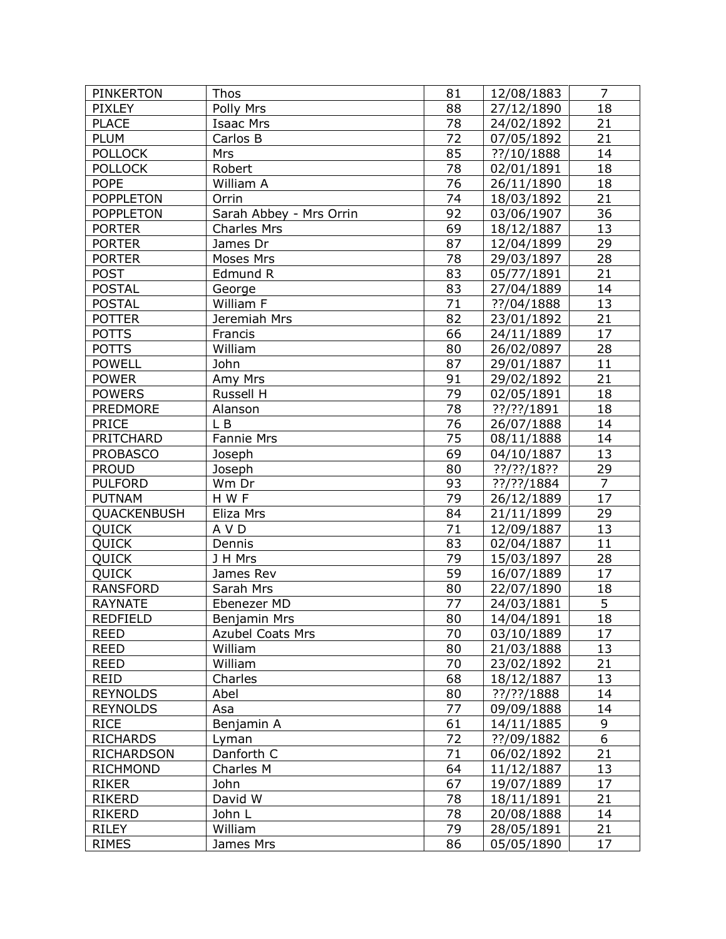| <b>PIXLEY</b><br>Polly Mrs<br>88<br>18<br>27/12/1890<br><b>PLACE</b><br>78<br><b>Isaac Mrs</b><br>24/02/1892<br>21<br>72<br>21<br><b>PLUM</b><br>Carlos B<br>07/05/1892<br><b>POLLOCK</b><br>85<br>??/10/1888<br>14<br>Mrs<br>18<br><b>POLLOCK</b><br>Robert<br>78<br>02/01/1891<br>76<br><b>POPE</b><br>William A<br>26/11/1890<br>18<br>$\overline{21}$<br>74<br><b>POPPLETON</b><br>Orrin<br>18/03/1892<br>$\overline{36}$<br>92<br><b>POPPLETON</b><br>Sarah Abbey - Mrs Orrin<br>03/06/1907<br>69<br>13<br><b>PORTER</b><br>18/12/1887<br><b>Charles Mrs</b><br>29<br><b>PORTER</b><br>James Dr<br>87<br>12/04/1899<br>28<br><b>PORTER</b><br>78<br>Moses Mrs<br>29/03/1897<br>83<br>21<br><b>POST</b><br>Edmund R<br>05/77/1891<br>83<br>14<br><b>POSTAL</b><br>27/04/1889<br>George<br>71<br>13<br><b>POSTAL</b><br>William F<br>??/04/1888<br>21<br>82<br><b>POTTER</b><br>23/01/1892<br>Jeremiah Mrs<br>17<br>66<br><b>POTTS</b><br>Francis<br>24/11/1889<br>80<br>28<br><b>POTTS</b><br>William<br>26/02/0897<br>87<br>11<br><b>POWELL</b><br>John<br>29/01/1887<br>21<br><b>POWER</b><br>91<br>Amy Mrs<br>29/02/1892<br>79<br><b>POWERS</b><br>18<br>Russell H<br>02/05/1891<br>78<br>??/??/1891<br>18<br><b>PREDMORE</b><br>Alanson<br>76<br>14<br><b>PRICE</b><br>L B<br>26/07/1888<br>75<br>PRITCHARD<br>Fannie Mrs<br>08/11/1888<br>14<br>13<br>69<br><b>PROBASCO</b><br>04/10/1887<br>Joseph<br>Joseph<br>80<br>??/??/18??<br><u>29</u><br><b>PROUD</b><br>$\overline{7}$<br>93<br><b>PULFORD</b><br>Wm Dr<br>??/??/1884<br>79<br>17<br>H W F<br><b>PUTNAM</b><br>26/12/1889<br>29<br>QUACKENBUSH<br>Eliza Mrs<br>84<br>21/11/1899<br><b>QUICK</b><br>71<br>13<br>A V D<br>12/09/1887<br>83<br>11<br>QUICK<br>02/04/1887<br>Dennis<br>79<br>28<br><b>QUICK</b><br>J H Mrs<br>15/03/1897<br>59<br>17<br><b>QUICK</b><br>16/07/1889<br>James Rev<br><b>RANSFORD</b><br>Sarah Mrs<br>80<br>22/07/1890<br>18<br>$\overline{5}$<br>77<br><b>RAYNATE</b><br>24/03/1881<br>Ebenezer MD<br>$\overline{18}$<br>80<br>14/04/1891<br><b>REDFIELD</b><br>Benjamin Mrs<br>70<br><b>REED</b><br><b>Azubel Coats Mrs</b><br>17<br>03/10/1889<br>William<br><b>REED</b><br>80<br>13<br>21/03/1888<br><b>REED</b><br>William<br>70<br>21<br>23/02/1892<br>68<br>13<br>REID<br>Charles<br>18/12/1887<br><b>REYNOLDS</b><br>80<br>??/??/1888<br>14<br>Abel<br>77<br><b>REYNOLDS</b><br>09/09/1888<br>14<br>Asa<br>9<br><b>RICE</b><br>61<br>14/11/1885<br>Benjamin A<br>6<br><b>RICHARDS</b><br>72<br>??/09/1882<br>Lyman<br>21<br>Danforth C<br>71<br><b>RICHARDSON</b><br>06/02/1892<br>64<br>13<br><b>RICHMOND</b><br>Charles M<br>11/12/1887<br>67<br>17<br><b>RIKER</b><br>John<br>19/07/1889<br>David W<br>78<br>21<br><b>RIKERD</b><br>18/11/1891<br>78<br><b>RIKERD</b><br>John L<br>20/08/1888<br>14<br>79<br>William<br><b>RILEY</b><br>28/05/1891<br>21 | <b>PINKERTON</b> | Thos      | 81 | 12/08/1883 | $\overline{7}$ |
|-----------------------------------------------------------------------------------------------------------------------------------------------------------------------------------------------------------------------------------------------------------------------------------------------------------------------------------------------------------------------------------------------------------------------------------------------------------------------------------------------------------------------------------------------------------------------------------------------------------------------------------------------------------------------------------------------------------------------------------------------------------------------------------------------------------------------------------------------------------------------------------------------------------------------------------------------------------------------------------------------------------------------------------------------------------------------------------------------------------------------------------------------------------------------------------------------------------------------------------------------------------------------------------------------------------------------------------------------------------------------------------------------------------------------------------------------------------------------------------------------------------------------------------------------------------------------------------------------------------------------------------------------------------------------------------------------------------------------------------------------------------------------------------------------------------------------------------------------------------------------------------------------------------------------------------------------------------------------------------------------------------------------------------------------------------------------------------------------------------------------------------------------------------------------------------------------------------------------------------------------------------------------------------------------------------------------------------------------------------------------------------------------------------------------------------------------------------------------------------------------------------------------------------------------------------------------------------------------------------------------------------------------------------------------------------------------------------------------------------------------------------------------------------------------------------------------------------------------------------------|------------------|-----------|----|------------|----------------|
|                                                                                                                                                                                                                                                                                                                                                                                                                                                                                                                                                                                                                                                                                                                                                                                                                                                                                                                                                                                                                                                                                                                                                                                                                                                                                                                                                                                                                                                                                                                                                                                                                                                                                                                                                                                                                                                                                                                                                                                                                                                                                                                                                                                                                                                                                                                                                                                                                                                                                                                                                                                                                                                                                                                                                                                                                                                                 |                  |           |    |            |                |
|                                                                                                                                                                                                                                                                                                                                                                                                                                                                                                                                                                                                                                                                                                                                                                                                                                                                                                                                                                                                                                                                                                                                                                                                                                                                                                                                                                                                                                                                                                                                                                                                                                                                                                                                                                                                                                                                                                                                                                                                                                                                                                                                                                                                                                                                                                                                                                                                                                                                                                                                                                                                                                                                                                                                                                                                                                                                 |                  |           |    |            |                |
|                                                                                                                                                                                                                                                                                                                                                                                                                                                                                                                                                                                                                                                                                                                                                                                                                                                                                                                                                                                                                                                                                                                                                                                                                                                                                                                                                                                                                                                                                                                                                                                                                                                                                                                                                                                                                                                                                                                                                                                                                                                                                                                                                                                                                                                                                                                                                                                                                                                                                                                                                                                                                                                                                                                                                                                                                                                                 |                  |           |    |            |                |
|                                                                                                                                                                                                                                                                                                                                                                                                                                                                                                                                                                                                                                                                                                                                                                                                                                                                                                                                                                                                                                                                                                                                                                                                                                                                                                                                                                                                                                                                                                                                                                                                                                                                                                                                                                                                                                                                                                                                                                                                                                                                                                                                                                                                                                                                                                                                                                                                                                                                                                                                                                                                                                                                                                                                                                                                                                                                 |                  |           |    |            |                |
|                                                                                                                                                                                                                                                                                                                                                                                                                                                                                                                                                                                                                                                                                                                                                                                                                                                                                                                                                                                                                                                                                                                                                                                                                                                                                                                                                                                                                                                                                                                                                                                                                                                                                                                                                                                                                                                                                                                                                                                                                                                                                                                                                                                                                                                                                                                                                                                                                                                                                                                                                                                                                                                                                                                                                                                                                                                                 |                  |           |    |            |                |
|                                                                                                                                                                                                                                                                                                                                                                                                                                                                                                                                                                                                                                                                                                                                                                                                                                                                                                                                                                                                                                                                                                                                                                                                                                                                                                                                                                                                                                                                                                                                                                                                                                                                                                                                                                                                                                                                                                                                                                                                                                                                                                                                                                                                                                                                                                                                                                                                                                                                                                                                                                                                                                                                                                                                                                                                                                                                 |                  |           |    |            |                |
|                                                                                                                                                                                                                                                                                                                                                                                                                                                                                                                                                                                                                                                                                                                                                                                                                                                                                                                                                                                                                                                                                                                                                                                                                                                                                                                                                                                                                                                                                                                                                                                                                                                                                                                                                                                                                                                                                                                                                                                                                                                                                                                                                                                                                                                                                                                                                                                                                                                                                                                                                                                                                                                                                                                                                                                                                                                                 |                  |           |    |            |                |
|                                                                                                                                                                                                                                                                                                                                                                                                                                                                                                                                                                                                                                                                                                                                                                                                                                                                                                                                                                                                                                                                                                                                                                                                                                                                                                                                                                                                                                                                                                                                                                                                                                                                                                                                                                                                                                                                                                                                                                                                                                                                                                                                                                                                                                                                                                                                                                                                                                                                                                                                                                                                                                                                                                                                                                                                                                                                 |                  |           |    |            |                |
|                                                                                                                                                                                                                                                                                                                                                                                                                                                                                                                                                                                                                                                                                                                                                                                                                                                                                                                                                                                                                                                                                                                                                                                                                                                                                                                                                                                                                                                                                                                                                                                                                                                                                                                                                                                                                                                                                                                                                                                                                                                                                                                                                                                                                                                                                                                                                                                                                                                                                                                                                                                                                                                                                                                                                                                                                                                                 |                  |           |    |            |                |
|                                                                                                                                                                                                                                                                                                                                                                                                                                                                                                                                                                                                                                                                                                                                                                                                                                                                                                                                                                                                                                                                                                                                                                                                                                                                                                                                                                                                                                                                                                                                                                                                                                                                                                                                                                                                                                                                                                                                                                                                                                                                                                                                                                                                                                                                                                                                                                                                                                                                                                                                                                                                                                                                                                                                                                                                                                                                 |                  |           |    |            |                |
|                                                                                                                                                                                                                                                                                                                                                                                                                                                                                                                                                                                                                                                                                                                                                                                                                                                                                                                                                                                                                                                                                                                                                                                                                                                                                                                                                                                                                                                                                                                                                                                                                                                                                                                                                                                                                                                                                                                                                                                                                                                                                                                                                                                                                                                                                                                                                                                                                                                                                                                                                                                                                                                                                                                                                                                                                                                                 |                  |           |    |            |                |
|                                                                                                                                                                                                                                                                                                                                                                                                                                                                                                                                                                                                                                                                                                                                                                                                                                                                                                                                                                                                                                                                                                                                                                                                                                                                                                                                                                                                                                                                                                                                                                                                                                                                                                                                                                                                                                                                                                                                                                                                                                                                                                                                                                                                                                                                                                                                                                                                                                                                                                                                                                                                                                                                                                                                                                                                                                                                 |                  |           |    |            |                |
|                                                                                                                                                                                                                                                                                                                                                                                                                                                                                                                                                                                                                                                                                                                                                                                                                                                                                                                                                                                                                                                                                                                                                                                                                                                                                                                                                                                                                                                                                                                                                                                                                                                                                                                                                                                                                                                                                                                                                                                                                                                                                                                                                                                                                                                                                                                                                                                                                                                                                                                                                                                                                                                                                                                                                                                                                                                                 |                  |           |    |            |                |
|                                                                                                                                                                                                                                                                                                                                                                                                                                                                                                                                                                                                                                                                                                                                                                                                                                                                                                                                                                                                                                                                                                                                                                                                                                                                                                                                                                                                                                                                                                                                                                                                                                                                                                                                                                                                                                                                                                                                                                                                                                                                                                                                                                                                                                                                                                                                                                                                                                                                                                                                                                                                                                                                                                                                                                                                                                                                 |                  |           |    |            |                |
|                                                                                                                                                                                                                                                                                                                                                                                                                                                                                                                                                                                                                                                                                                                                                                                                                                                                                                                                                                                                                                                                                                                                                                                                                                                                                                                                                                                                                                                                                                                                                                                                                                                                                                                                                                                                                                                                                                                                                                                                                                                                                                                                                                                                                                                                                                                                                                                                                                                                                                                                                                                                                                                                                                                                                                                                                                                                 |                  |           |    |            |                |
|                                                                                                                                                                                                                                                                                                                                                                                                                                                                                                                                                                                                                                                                                                                                                                                                                                                                                                                                                                                                                                                                                                                                                                                                                                                                                                                                                                                                                                                                                                                                                                                                                                                                                                                                                                                                                                                                                                                                                                                                                                                                                                                                                                                                                                                                                                                                                                                                                                                                                                                                                                                                                                                                                                                                                                                                                                                                 |                  |           |    |            |                |
|                                                                                                                                                                                                                                                                                                                                                                                                                                                                                                                                                                                                                                                                                                                                                                                                                                                                                                                                                                                                                                                                                                                                                                                                                                                                                                                                                                                                                                                                                                                                                                                                                                                                                                                                                                                                                                                                                                                                                                                                                                                                                                                                                                                                                                                                                                                                                                                                                                                                                                                                                                                                                                                                                                                                                                                                                                                                 |                  |           |    |            |                |
|                                                                                                                                                                                                                                                                                                                                                                                                                                                                                                                                                                                                                                                                                                                                                                                                                                                                                                                                                                                                                                                                                                                                                                                                                                                                                                                                                                                                                                                                                                                                                                                                                                                                                                                                                                                                                                                                                                                                                                                                                                                                                                                                                                                                                                                                                                                                                                                                                                                                                                                                                                                                                                                                                                                                                                                                                                                                 |                  |           |    |            |                |
|                                                                                                                                                                                                                                                                                                                                                                                                                                                                                                                                                                                                                                                                                                                                                                                                                                                                                                                                                                                                                                                                                                                                                                                                                                                                                                                                                                                                                                                                                                                                                                                                                                                                                                                                                                                                                                                                                                                                                                                                                                                                                                                                                                                                                                                                                                                                                                                                                                                                                                                                                                                                                                                                                                                                                                                                                                                                 |                  |           |    |            |                |
|                                                                                                                                                                                                                                                                                                                                                                                                                                                                                                                                                                                                                                                                                                                                                                                                                                                                                                                                                                                                                                                                                                                                                                                                                                                                                                                                                                                                                                                                                                                                                                                                                                                                                                                                                                                                                                                                                                                                                                                                                                                                                                                                                                                                                                                                                                                                                                                                                                                                                                                                                                                                                                                                                                                                                                                                                                                                 |                  |           |    |            |                |
|                                                                                                                                                                                                                                                                                                                                                                                                                                                                                                                                                                                                                                                                                                                                                                                                                                                                                                                                                                                                                                                                                                                                                                                                                                                                                                                                                                                                                                                                                                                                                                                                                                                                                                                                                                                                                                                                                                                                                                                                                                                                                                                                                                                                                                                                                                                                                                                                                                                                                                                                                                                                                                                                                                                                                                                                                                                                 |                  |           |    |            |                |
|                                                                                                                                                                                                                                                                                                                                                                                                                                                                                                                                                                                                                                                                                                                                                                                                                                                                                                                                                                                                                                                                                                                                                                                                                                                                                                                                                                                                                                                                                                                                                                                                                                                                                                                                                                                                                                                                                                                                                                                                                                                                                                                                                                                                                                                                                                                                                                                                                                                                                                                                                                                                                                                                                                                                                                                                                                                                 |                  |           |    |            |                |
|                                                                                                                                                                                                                                                                                                                                                                                                                                                                                                                                                                                                                                                                                                                                                                                                                                                                                                                                                                                                                                                                                                                                                                                                                                                                                                                                                                                                                                                                                                                                                                                                                                                                                                                                                                                                                                                                                                                                                                                                                                                                                                                                                                                                                                                                                                                                                                                                                                                                                                                                                                                                                                                                                                                                                                                                                                                                 |                  |           |    |            |                |
|                                                                                                                                                                                                                                                                                                                                                                                                                                                                                                                                                                                                                                                                                                                                                                                                                                                                                                                                                                                                                                                                                                                                                                                                                                                                                                                                                                                                                                                                                                                                                                                                                                                                                                                                                                                                                                                                                                                                                                                                                                                                                                                                                                                                                                                                                                                                                                                                                                                                                                                                                                                                                                                                                                                                                                                                                                                                 |                  |           |    |            |                |
|                                                                                                                                                                                                                                                                                                                                                                                                                                                                                                                                                                                                                                                                                                                                                                                                                                                                                                                                                                                                                                                                                                                                                                                                                                                                                                                                                                                                                                                                                                                                                                                                                                                                                                                                                                                                                                                                                                                                                                                                                                                                                                                                                                                                                                                                                                                                                                                                                                                                                                                                                                                                                                                                                                                                                                                                                                                                 |                  |           |    |            |                |
|                                                                                                                                                                                                                                                                                                                                                                                                                                                                                                                                                                                                                                                                                                                                                                                                                                                                                                                                                                                                                                                                                                                                                                                                                                                                                                                                                                                                                                                                                                                                                                                                                                                                                                                                                                                                                                                                                                                                                                                                                                                                                                                                                                                                                                                                                                                                                                                                                                                                                                                                                                                                                                                                                                                                                                                                                                                                 |                  |           |    |            |                |
|                                                                                                                                                                                                                                                                                                                                                                                                                                                                                                                                                                                                                                                                                                                                                                                                                                                                                                                                                                                                                                                                                                                                                                                                                                                                                                                                                                                                                                                                                                                                                                                                                                                                                                                                                                                                                                                                                                                                                                                                                                                                                                                                                                                                                                                                                                                                                                                                                                                                                                                                                                                                                                                                                                                                                                                                                                                                 |                  |           |    |            |                |
|                                                                                                                                                                                                                                                                                                                                                                                                                                                                                                                                                                                                                                                                                                                                                                                                                                                                                                                                                                                                                                                                                                                                                                                                                                                                                                                                                                                                                                                                                                                                                                                                                                                                                                                                                                                                                                                                                                                                                                                                                                                                                                                                                                                                                                                                                                                                                                                                                                                                                                                                                                                                                                                                                                                                                                                                                                                                 |                  |           |    |            |                |
|                                                                                                                                                                                                                                                                                                                                                                                                                                                                                                                                                                                                                                                                                                                                                                                                                                                                                                                                                                                                                                                                                                                                                                                                                                                                                                                                                                                                                                                                                                                                                                                                                                                                                                                                                                                                                                                                                                                                                                                                                                                                                                                                                                                                                                                                                                                                                                                                                                                                                                                                                                                                                                                                                                                                                                                                                                                                 |                  |           |    |            |                |
|                                                                                                                                                                                                                                                                                                                                                                                                                                                                                                                                                                                                                                                                                                                                                                                                                                                                                                                                                                                                                                                                                                                                                                                                                                                                                                                                                                                                                                                                                                                                                                                                                                                                                                                                                                                                                                                                                                                                                                                                                                                                                                                                                                                                                                                                                                                                                                                                                                                                                                                                                                                                                                                                                                                                                                                                                                                                 |                  |           |    |            |                |
|                                                                                                                                                                                                                                                                                                                                                                                                                                                                                                                                                                                                                                                                                                                                                                                                                                                                                                                                                                                                                                                                                                                                                                                                                                                                                                                                                                                                                                                                                                                                                                                                                                                                                                                                                                                                                                                                                                                                                                                                                                                                                                                                                                                                                                                                                                                                                                                                                                                                                                                                                                                                                                                                                                                                                                                                                                                                 |                  |           |    |            |                |
|                                                                                                                                                                                                                                                                                                                                                                                                                                                                                                                                                                                                                                                                                                                                                                                                                                                                                                                                                                                                                                                                                                                                                                                                                                                                                                                                                                                                                                                                                                                                                                                                                                                                                                                                                                                                                                                                                                                                                                                                                                                                                                                                                                                                                                                                                                                                                                                                                                                                                                                                                                                                                                                                                                                                                                                                                                                                 |                  |           |    |            |                |
|                                                                                                                                                                                                                                                                                                                                                                                                                                                                                                                                                                                                                                                                                                                                                                                                                                                                                                                                                                                                                                                                                                                                                                                                                                                                                                                                                                                                                                                                                                                                                                                                                                                                                                                                                                                                                                                                                                                                                                                                                                                                                                                                                                                                                                                                                                                                                                                                                                                                                                                                                                                                                                                                                                                                                                                                                                                                 |                  |           |    |            |                |
|                                                                                                                                                                                                                                                                                                                                                                                                                                                                                                                                                                                                                                                                                                                                                                                                                                                                                                                                                                                                                                                                                                                                                                                                                                                                                                                                                                                                                                                                                                                                                                                                                                                                                                                                                                                                                                                                                                                                                                                                                                                                                                                                                                                                                                                                                                                                                                                                                                                                                                                                                                                                                                                                                                                                                                                                                                                                 |                  |           |    |            |                |
|                                                                                                                                                                                                                                                                                                                                                                                                                                                                                                                                                                                                                                                                                                                                                                                                                                                                                                                                                                                                                                                                                                                                                                                                                                                                                                                                                                                                                                                                                                                                                                                                                                                                                                                                                                                                                                                                                                                                                                                                                                                                                                                                                                                                                                                                                                                                                                                                                                                                                                                                                                                                                                                                                                                                                                                                                                                                 |                  |           |    |            |                |
|                                                                                                                                                                                                                                                                                                                                                                                                                                                                                                                                                                                                                                                                                                                                                                                                                                                                                                                                                                                                                                                                                                                                                                                                                                                                                                                                                                                                                                                                                                                                                                                                                                                                                                                                                                                                                                                                                                                                                                                                                                                                                                                                                                                                                                                                                                                                                                                                                                                                                                                                                                                                                                                                                                                                                                                                                                                                 |                  |           |    |            |                |
|                                                                                                                                                                                                                                                                                                                                                                                                                                                                                                                                                                                                                                                                                                                                                                                                                                                                                                                                                                                                                                                                                                                                                                                                                                                                                                                                                                                                                                                                                                                                                                                                                                                                                                                                                                                                                                                                                                                                                                                                                                                                                                                                                                                                                                                                                                                                                                                                                                                                                                                                                                                                                                                                                                                                                                                                                                                                 |                  |           |    |            |                |
|                                                                                                                                                                                                                                                                                                                                                                                                                                                                                                                                                                                                                                                                                                                                                                                                                                                                                                                                                                                                                                                                                                                                                                                                                                                                                                                                                                                                                                                                                                                                                                                                                                                                                                                                                                                                                                                                                                                                                                                                                                                                                                                                                                                                                                                                                                                                                                                                                                                                                                                                                                                                                                                                                                                                                                                                                                                                 |                  |           |    |            |                |
|                                                                                                                                                                                                                                                                                                                                                                                                                                                                                                                                                                                                                                                                                                                                                                                                                                                                                                                                                                                                                                                                                                                                                                                                                                                                                                                                                                                                                                                                                                                                                                                                                                                                                                                                                                                                                                                                                                                                                                                                                                                                                                                                                                                                                                                                                                                                                                                                                                                                                                                                                                                                                                                                                                                                                                                                                                                                 |                  |           |    |            |                |
|                                                                                                                                                                                                                                                                                                                                                                                                                                                                                                                                                                                                                                                                                                                                                                                                                                                                                                                                                                                                                                                                                                                                                                                                                                                                                                                                                                                                                                                                                                                                                                                                                                                                                                                                                                                                                                                                                                                                                                                                                                                                                                                                                                                                                                                                                                                                                                                                                                                                                                                                                                                                                                                                                                                                                                                                                                                                 |                  |           |    |            |                |
|                                                                                                                                                                                                                                                                                                                                                                                                                                                                                                                                                                                                                                                                                                                                                                                                                                                                                                                                                                                                                                                                                                                                                                                                                                                                                                                                                                                                                                                                                                                                                                                                                                                                                                                                                                                                                                                                                                                                                                                                                                                                                                                                                                                                                                                                                                                                                                                                                                                                                                                                                                                                                                                                                                                                                                                                                                                                 |                  |           |    |            |                |
|                                                                                                                                                                                                                                                                                                                                                                                                                                                                                                                                                                                                                                                                                                                                                                                                                                                                                                                                                                                                                                                                                                                                                                                                                                                                                                                                                                                                                                                                                                                                                                                                                                                                                                                                                                                                                                                                                                                                                                                                                                                                                                                                                                                                                                                                                                                                                                                                                                                                                                                                                                                                                                                                                                                                                                                                                                                                 |                  |           |    |            |                |
|                                                                                                                                                                                                                                                                                                                                                                                                                                                                                                                                                                                                                                                                                                                                                                                                                                                                                                                                                                                                                                                                                                                                                                                                                                                                                                                                                                                                                                                                                                                                                                                                                                                                                                                                                                                                                                                                                                                                                                                                                                                                                                                                                                                                                                                                                                                                                                                                                                                                                                                                                                                                                                                                                                                                                                                                                                                                 |                  |           |    |            |                |
|                                                                                                                                                                                                                                                                                                                                                                                                                                                                                                                                                                                                                                                                                                                                                                                                                                                                                                                                                                                                                                                                                                                                                                                                                                                                                                                                                                                                                                                                                                                                                                                                                                                                                                                                                                                                                                                                                                                                                                                                                                                                                                                                                                                                                                                                                                                                                                                                                                                                                                                                                                                                                                                                                                                                                                                                                                                                 |                  |           |    |            |                |
|                                                                                                                                                                                                                                                                                                                                                                                                                                                                                                                                                                                                                                                                                                                                                                                                                                                                                                                                                                                                                                                                                                                                                                                                                                                                                                                                                                                                                                                                                                                                                                                                                                                                                                                                                                                                                                                                                                                                                                                                                                                                                                                                                                                                                                                                                                                                                                                                                                                                                                                                                                                                                                                                                                                                                                                                                                                                 |                  |           |    |            |                |
|                                                                                                                                                                                                                                                                                                                                                                                                                                                                                                                                                                                                                                                                                                                                                                                                                                                                                                                                                                                                                                                                                                                                                                                                                                                                                                                                                                                                                                                                                                                                                                                                                                                                                                                                                                                                                                                                                                                                                                                                                                                                                                                                                                                                                                                                                                                                                                                                                                                                                                                                                                                                                                                                                                                                                                                                                                                                 |                  |           |    |            |                |
|                                                                                                                                                                                                                                                                                                                                                                                                                                                                                                                                                                                                                                                                                                                                                                                                                                                                                                                                                                                                                                                                                                                                                                                                                                                                                                                                                                                                                                                                                                                                                                                                                                                                                                                                                                                                                                                                                                                                                                                                                                                                                                                                                                                                                                                                                                                                                                                                                                                                                                                                                                                                                                                                                                                                                                                                                                                                 |                  |           |    |            |                |
|                                                                                                                                                                                                                                                                                                                                                                                                                                                                                                                                                                                                                                                                                                                                                                                                                                                                                                                                                                                                                                                                                                                                                                                                                                                                                                                                                                                                                                                                                                                                                                                                                                                                                                                                                                                                                                                                                                                                                                                                                                                                                                                                                                                                                                                                                                                                                                                                                                                                                                                                                                                                                                                                                                                                                                                                                                                                 |                  |           |    |            |                |
|                                                                                                                                                                                                                                                                                                                                                                                                                                                                                                                                                                                                                                                                                                                                                                                                                                                                                                                                                                                                                                                                                                                                                                                                                                                                                                                                                                                                                                                                                                                                                                                                                                                                                                                                                                                                                                                                                                                                                                                                                                                                                                                                                                                                                                                                                                                                                                                                                                                                                                                                                                                                                                                                                                                                                                                                                                                                 |                  |           |    |            |                |
|                                                                                                                                                                                                                                                                                                                                                                                                                                                                                                                                                                                                                                                                                                                                                                                                                                                                                                                                                                                                                                                                                                                                                                                                                                                                                                                                                                                                                                                                                                                                                                                                                                                                                                                                                                                                                                                                                                                                                                                                                                                                                                                                                                                                                                                                                                                                                                                                                                                                                                                                                                                                                                                                                                                                                                                                                                                                 | <b>RIMES</b>     | James Mrs | 86 | 05/05/1890 | 17             |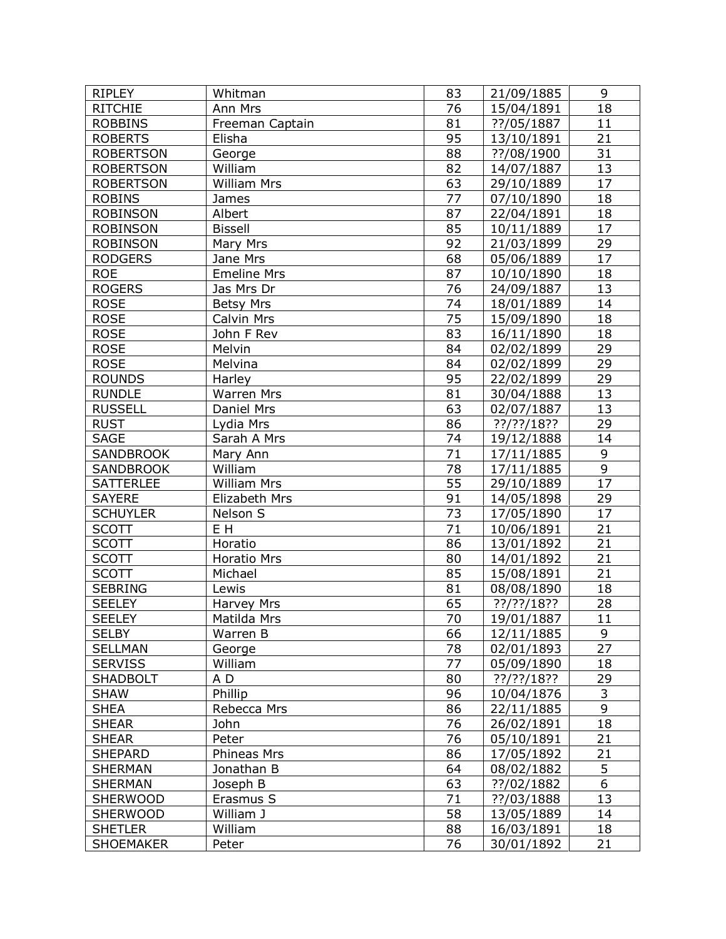| <b>RIPLEY</b>    | Whitman            | 83              | 21/09/1885    | 9               |
|------------------|--------------------|-----------------|---------------|-----------------|
| <b>RITCHIE</b>   | Ann Mrs            | 76              | 15/04/1891    | 18              |
| <b>ROBBINS</b>   | Freeman Captain    | 81              | ??/05/1887    | 11              |
| <b>ROBERTS</b>   | Elisha             | 95              | 13/10/1891    | 21              |
| <b>ROBERTSON</b> | George             | 88              | ??/08/1900    | 31              |
| <b>ROBERTSON</b> | William            | 82              | 14/07/1887    | 13              |
| <b>ROBERTSON</b> | <b>William Mrs</b> | 63              | 29/10/1889    | 17              |
| <b>ROBINS</b>    | James              | $\overline{77}$ | 07/10/1890    | 18              |
| <b>ROBINSON</b>  | Albert             | 87              | 22/04/1891    | 18              |
| <b>ROBINSON</b>  | <b>Bissell</b>     | 85              | 10/11/1889    | 17              |
| <b>ROBINSON</b>  | Mary Mrs           | 92              | 21/03/1899    | 29              |
| <b>RODGERS</b>   | Jane Mrs           | 68              | 05/06/1889    | 17              |
| <b>ROE</b>       | <b>Emeline Mrs</b> | 87              | 10/10/1890    | 18              |
| <b>ROGERS</b>    | Jas Mrs Dr         | 76              | 24/09/1887    | 13              |
| <b>ROSE</b>      | <b>Betsy Mrs</b>   | 74              | 18/01/1889    | 14              |
| <b>ROSE</b>      | Calvin Mrs         | 75              | 15/09/1890    | 18              |
| <b>ROSE</b>      | John F Rev         | 83              | 16/11/1890    | 18              |
| <b>ROSE</b>      | Melvin             | 84              | 02/02/1899    | 29              |
| <b>ROSE</b>      | Melvina            | 84              | 02/02/1899    | 29              |
| <b>ROUNDS</b>    | Harley             | 95              | 22/02/1899    | 29              |
| <b>RUNDLE</b>    | <b>Warren Mrs</b>  | 81              | 30/04/1888    | 13              |
| <b>RUSSELL</b>   | Daniel Mrs         | 63              | 02/07/1887    | 13              |
| <b>RUST</b>      | Lydia Mrs          | 86              | $??$ /??/18?? | 29              |
| <b>SAGE</b>      | Sarah A Mrs        | 74              | 19/12/1888    | 14              |
| <b>SANDBROOK</b> | Mary Ann           | 71              | 17/11/1885    | 9               |
| <b>SANDBROOK</b> | William            | 78              | 17/11/1885    | 9               |
| <b>SATTERLEE</b> | <b>William Mrs</b> | 55              | 29/10/1889    | $\overline{17}$ |
| <b>SAYERE</b>    | Elizabeth Mrs      | 91              | 14/05/1898    | 29              |
| <b>SCHUYLER</b>  | Nelson S           | 73              | 17/05/1890    | 17              |
| <b>SCOTT</b>     | E H                | 71              | 10/06/1891    | 21              |
| <b>SCOTT</b>     | Horatio            | 86              | 13/01/1892    | 21              |
| <b>SCOTT</b>     | Horatio Mrs        | 80              | 14/01/1892    | 21              |
| <b>SCOTT</b>     | Michael            | 85              | 15/08/1891    | 21              |
| <b>SEBRING</b>   | Lewis              | 81              | 08/08/1890    | 18              |
| <b>SEELEY</b>    | Harvey Mrs         | 65              | ??/??/18??    | 28              |
| <b>SEELEY</b>    | Matilda Mrs        | $\overline{70}$ | 19/01/1887    | $\overline{11}$ |
| <b>SELBY</b>     | Warren B           | 66              | 12/11/1885    | 9               |
| <b>SELLMAN</b>   | George             | 78              | 02/01/1893    | 27              |
| <b>SERVISS</b>   | William            | 77              | 05/09/1890    | 18              |
| <b>SHADBOLT</b>  | A D                | 80              | $??$ /??/18?? | 29              |
| <b>SHAW</b>      | Phillip            | 96              | 10/04/1876    | 3               |
| <b>SHEA</b>      | Rebecca Mrs        | 86              | 22/11/1885    | 9               |
| <b>SHEAR</b>     | John               | 76              | 26/02/1891    | 18              |
| <b>SHEAR</b>     | Peter              | 76              | 05/10/1891    | 21              |
| <b>SHEPARD</b>   | Phineas Mrs        | 86              | 17/05/1892    | 21              |
| <b>SHERMAN</b>   | Jonathan B         | 64              | 08/02/1882    | 5               |
| <b>SHERMAN</b>   | Joseph B           | 63              | ??/02/1882    | 6               |
| <b>SHERWOOD</b>  | Erasmus S          | 71              | ??/03/1888    | 13              |
| <b>SHERWOOD</b>  | William J          | 58              | 13/05/1889    | 14              |
| <b>SHETLER</b>   | William            | 88              | 16/03/1891    | 18              |
| <b>SHOEMAKER</b> | Peter              | 76              | 30/01/1892    | 21              |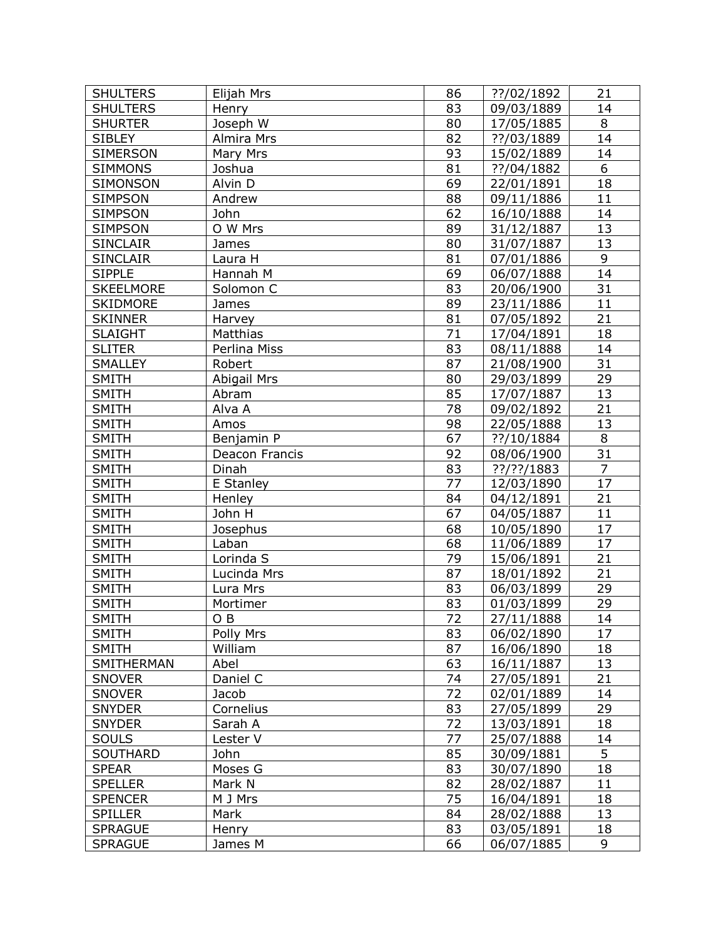| <b>SHULTERS</b>  | Elijah Mrs         | 86              | ??/02/1892    | 21             |
|------------------|--------------------|-----------------|---------------|----------------|
| <b>SHULTERS</b>  | Henry              | 83              | 09/03/1889    | 14             |
| <b>SHURTER</b>   | Joseph W           | 80              | 17/05/1885    | 8              |
| <b>SIBLEY</b>    | Almira Mrs         | 82              | ??/03/1889    | 14             |
| <b>SIMERSON</b>  | Mary Mrs           | 93              | 15/02/1889    | 14             |
| <b>SIMMONS</b>   | Joshua             | 81              | ??/04/1882    | 6              |
| SIMONSON         | Alvin D            | 69              | 22/01/1891    | 18             |
| <b>SIMPSON</b>   | Andrew             | 88              | 09/11/1886    | 11             |
| <b>SIMPSON</b>   | John               | 62              | 16/10/1888    | 14             |
| <b>SIMPSON</b>   | O W Mrs            | 89              | 31/12/1887    | 13             |
| <b>SINCLAIR</b>  | James              | 80              | 31/07/1887    | 13             |
| <b>SINCLAIR</b>  | Laura H            | 81              | 07/01/1886    | 9              |
| <b>SIPPLE</b>    | Hannah M           | 69              | 06/07/1888    | 14             |
| <b>SKEELMORE</b> | Solomon C          | 83              | 20/06/1900    | 31             |
| <b>SKIDMORE</b>  | James              | 89              | 23/11/1886    | 11             |
| <b>SKINNER</b>   | Harvey             | 81              | 07/05/1892    | 21             |
| <b>SLAIGHT</b>   | Matthias           | 71              | 17/04/1891    | 18             |
| <b>SLITER</b>    | Perlina Miss       | 83              | 08/11/1888    | 14             |
| <b>SMALLEY</b>   | Robert             | 87              | 21/08/1900    | 31             |
| <b>SMITH</b>     | <b>Abigail Mrs</b> | 80              | 29/03/1899    | 29             |
| <b>SMITH</b>     | Abram              | 85              | 17/07/1887    | 13             |
| <b>SMITH</b>     | Alva A             | 78              | 09/02/1892    | 21             |
| <b>SMITH</b>     | Amos               | 98              | 22/05/1888    | 13             |
| <b>SMITH</b>     | Benjamin P         | 67              | ??/10/1884    | 8              |
| <b>SMITH</b>     | Deacon Francis     | 92              | 08/06/1900    | 31             |
| <b>SMITH</b>     | Dinah              | 83              | $??$ /??/1883 | $\overline{7}$ |
| <b>SMITH</b>     | E Stanley          | 77              | 12/03/1890    | 17             |
| <b>SMITH</b>     | Henley             | 84              | 04/12/1891    | 21             |
| <b>SMITH</b>     | John H             | 67              | 04/05/1887    | 11             |
| <b>SMITH</b>     | Josephus           | 68              | 10/05/1890    | 17             |
| <b>SMITH</b>     | Laban              | 68              | 11/06/1889    | 17             |
| <b>SMITH</b>     | Lorinda S          | 79              | 15/06/1891    | 21             |
| <b>SMITH</b>     | Lucinda Mrs        | 87              | 18/01/1892    | 21             |
| <b>SMITH</b>     | Lura Mrs           | 83              | 06/03/1899    | 29             |
| <b>SMITH</b>     | Mortimer           | 83              | 01/03/1899    | 29             |
| <b>SMITH</b>     | O B                | $\overline{72}$ | 27/11/1888    | 14             |
| <b>SMITH</b>     | Polly Mrs          | 83              | 06/02/1890    | 17             |
| <b>SMITH</b>     | William            | 87              | 16/06/1890    | 18             |
| SMITHERMAN       | Abel               | 63              | 16/11/1887    | 13             |
| <b>SNOVER</b>    | Daniel C           | 74              | 27/05/1891    | 21             |
| <b>SNOVER</b>    | Jacob              | 72              | 02/01/1889    | 14             |
| <b>SNYDER</b>    | Cornelius          | 83              | 27/05/1899    | 29             |
| <b>SNYDER</b>    | Sarah A            | 72              | 13/03/1891    | 18             |
| <b>SOULS</b>     | Lester V           | 77              | 25/07/1888    | 14             |
| SOUTHARD         | John               | 85              | 30/09/1881    | $\overline{5}$ |
| <b>SPEAR</b>     | Moses G            | 83              | 30/07/1890    | 18             |
| <b>SPELLER</b>   | Mark N             | 82              | 28/02/1887    | 11             |
| <b>SPENCER</b>   | M J Mrs            | 75              | 16/04/1891    | 18             |
| <b>SPILLER</b>   | Mark               | 84              | 28/02/1888    | 13             |
| <b>SPRAGUE</b>   | Henry              | 83              | 03/05/1891    | 18             |
| <b>SPRAGUE</b>   | James M            | 66              | 06/07/1885    | 9              |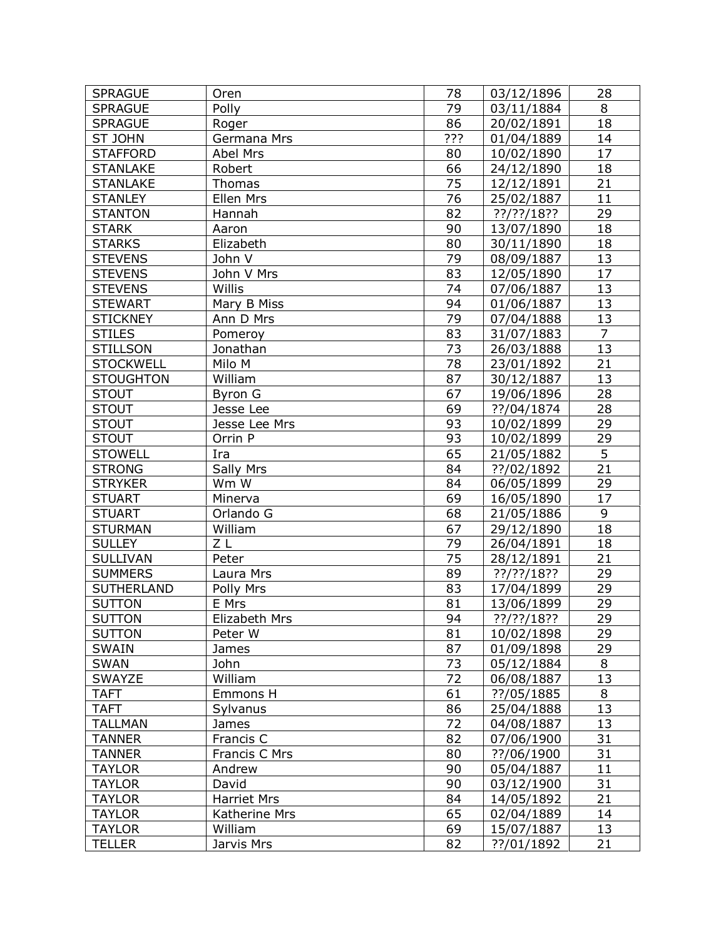| <b>SPRAGUE</b>    | Oren               | 78  | 03/12/1896 | 28              |
|-------------------|--------------------|-----|------------|-----------------|
| <b>SPRAGUE</b>    | Polly              | 79  | 03/11/1884 | 8               |
| <b>SPRAGUE</b>    | Roger              | 86  | 20/02/1891 | 18              |
| <b>ST JOHN</b>    | Germana Mrs        | ??? | 01/04/1889 | 14              |
| <b>STAFFORD</b>   | Abel Mrs           | 80  | 10/02/1890 | 17              |
| <b>STANLAKE</b>   | Robert             | 66  | 24/12/1890 | 18              |
| <b>STANLAKE</b>   | Thomas             | 75  | 12/12/1891 | 21              |
| <b>STANLEY</b>    | Ellen Mrs          | 76  | 25/02/1887 | $\overline{11}$ |
| <b>STANTON</b>    | Hannah             | 82  | ??/??/18?? | 29              |
| <b>STARK</b>      | Aaron              | 90  | 13/07/1890 | 18              |
| <b>STARKS</b>     | Elizabeth          | 80  | 30/11/1890 | 18              |
| <b>STEVENS</b>    | John V             | 79  | 08/09/1887 | 13              |
| <b>STEVENS</b>    | John V Mrs         | 83  | 12/05/1890 | 17              |
| <b>STEVENS</b>    | Willis             | 74  | 07/06/1887 | 13              |
| <b>STEWART</b>    | Mary B Miss        | 94  | 01/06/1887 | 13              |
| <b>STICKNEY</b>   | Ann D Mrs          | 79  | 07/04/1888 | 13              |
| <b>STILES</b>     | Pomeroy            | 83  | 31/07/1883 | $\overline{7}$  |
| <b>STILLSON</b>   | Jonathan           | 73  | 26/03/1888 | 13              |
| <b>STOCKWELL</b>  | Milo M             | 78  | 23/01/1892 | 21              |
| <b>STOUGHTON</b>  | William            | 87  | 30/12/1887 | 13              |
| <b>STOUT</b>      | Byron G            | 67  | 19/06/1896 | 28              |
| <b>STOUT</b>      | Jesse Lee          | 69  | ??/04/1874 | 28              |
| <b>STOUT</b>      | Jesse Lee Mrs      | 93  | 10/02/1899 | 29              |
| <b>STOUT</b>      | Orrin P            | 93  | 10/02/1899 | 29              |
| <b>STOWELL</b>    | Ira                | 65  | 21/05/1882 | $\overline{5}$  |
| <b>STRONG</b>     | Sally Mrs          | 84  | ??/02/1892 | 21              |
| <b>STRYKER</b>    | Wm W               | 84  | 06/05/1899 | 29              |
| <b>STUART</b>     | Minerva            | 69  | 16/05/1890 | 17              |
| <b>STUART</b>     | Orlando G          | 68  | 21/05/1886 | 9               |
| <b>STURMAN</b>    | William            | 67  | 29/12/1890 | 18              |
| <b>SULLEY</b>     | ΖL                 | 79  | 26/04/1891 | 18              |
| <b>SULLIVAN</b>   | Peter              | 75  | 28/12/1891 | 21              |
| <b>SUMMERS</b>    | Laura Mrs          | 89  | ??/??/18?? | 29              |
| <b>SUTHERLAND</b> | Polly Mrs          | 83  | 17/04/1899 | 29              |
| <b>SUTTON</b>     | E Mrs              | 81  | 13/06/1899 | 29              |
| <b>SUTTON</b>     | Elizabeth Mrs      | 94  | ??/??/18?? | $\overline{29}$ |
| <b>SUTTON</b>     | Peter W            | 81  | 10/02/1898 | 29              |
| <b>SWAIN</b>      | James              | 87  | 01/09/1898 | 29              |
| <b>SWAN</b>       | John               | 73  | 05/12/1884 | 8               |
| SWAYZE            | William            | 72  | 06/08/1887 | 13              |
| <b>TAFT</b>       | Emmons H           | 61  | ??/05/1885 | 8               |
| <b>TAFT</b>       | Sylvanus           | 86  | 25/04/1888 | 13              |
| <b>TALLMAN</b>    | James              | 72  | 04/08/1887 | 13              |
| <b>TANNER</b>     | Francis C          | 82  | 07/06/1900 | 31              |
| <b>TANNER</b>     | Francis C Mrs      | 80  | ??/06/1900 | 31              |
| <b>TAYLOR</b>     | Andrew             | 90  | 05/04/1887 | 11              |
| <b>TAYLOR</b>     | David              | 90  | 03/12/1900 | 31              |
| <b>TAYLOR</b>     | <b>Harriet Mrs</b> | 84  | 14/05/1892 | 21              |
| <b>TAYLOR</b>     | Katherine Mrs      | 65  | 02/04/1889 | 14              |
| <b>TAYLOR</b>     | William            | 69  | 15/07/1887 | 13              |
| <b>TELLER</b>     | Jarvis Mrs         | 82  | ??/01/1892 | 21              |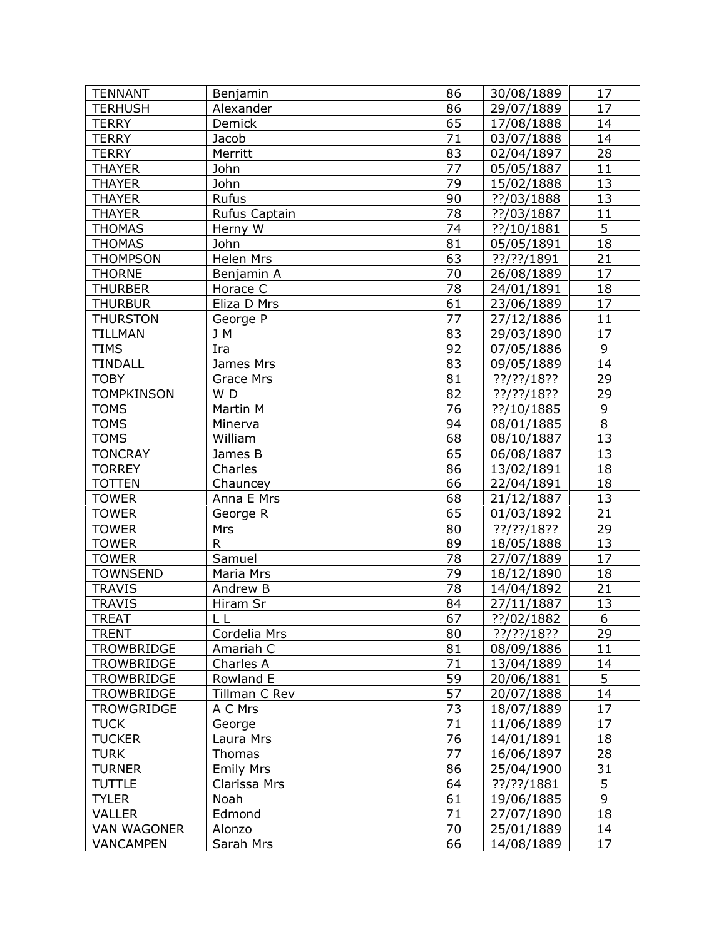| <b>TENNANT</b>     | Benjamin         | 86              | 30/08/1889    | 17              |
|--------------------|------------------|-----------------|---------------|-----------------|
| <b>TERHUSH</b>     | Alexander        | 86              | 29/07/1889    | 17              |
| <b>TERRY</b>       | Demick           | 65              | 17/08/1888    | 14              |
| <b>TERRY</b>       | Jacob            | 71              | 03/07/1888    | 14              |
| <b>TERRY</b>       | Merritt          | 83              | 02/04/1897    | 28              |
| <b>THAYER</b>      | John             | 77              | 05/05/1887    | 11              |
| <b>THAYER</b>      | John             | 79              | 15/02/1888    | 13              |
| <b>THAYER</b>      | Rufus            | 90              | ??/03/1888    | 13              |
| <b>THAYER</b>      | Rufus Captain    | $\overline{78}$ | ??/03/1887    | 11              |
| <b>THOMAS</b>      | Herny W          | 74              | ??/10/1881    | 5               |
| <b>THOMAS</b>      | John             | 81              | 05/05/1891    | 18              |
| <b>THOMPSON</b>    | Helen Mrs        | 63              | ??/??/1891    | 21              |
| <b>THORNE</b>      | Benjamin A       | 70              | 26/08/1889    | 17              |
| <b>THURBER</b>     | Horace C         | 78              | 24/01/1891    | 18              |
| <b>THURBUR</b>     | Eliza D Mrs      | 61              | 23/06/1889    | 17              |
| <b>THURSTON</b>    |                  | 77              |               | 11              |
|                    | George P<br>J M  |                 | 27/12/1886    |                 |
| <b>TILLMAN</b>     |                  | 83              | 29/03/1890    | 17              |
| <b>TIMS</b>        | Ira              | 92              | 07/05/1886    | 9               |
| <b>TINDALL</b>     | James Mrs        | 83              | 09/05/1889    | 14              |
| <b>TOBY</b>        | <b>Grace Mrs</b> | 81              | $??$ /??/18?? | 29              |
| <b>TOMPKINSON</b>  | WD               | 82              | ??/??/18??    | 29              |
| <b>TOMS</b>        | Martin M         | 76              | ??/10/1885    | $\mathsf 9$     |
| <b>TOMS</b>        | Minerva          | 94              | 08/01/1885    | 8               |
| <b>TOMS</b>        | William          | 68              | 08/10/1887    | 13              |
| <b>TONCRAY</b>     | James B          | 65              | 06/08/1887    | 13              |
| <b>TORREY</b>      | Charles          | 86              | 13/02/1891    | 18              |
| <b>TOTTEN</b>      | Chauncey         | 66              | 22/04/1891    | 18              |
| <b>TOWER</b>       | Anna E Mrs       | 68              | 21/12/1887    | 13              |
| <b>TOWER</b>       | George R         | 65              | 01/03/1892    | 21              |
| <b>TOWER</b>       | Mrs              | 80              | $??$ /??/18?? | 29              |
| <b>TOWER</b>       | $\mathsf{R}$     | 89              | 18/05/1888    | 13              |
| <b>TOWER</b>       | Samuel           | 78              | 27/07/1889    | 17              |
| <b>TOWNSEND</b>    | Maria Mrs        | 79              | 18/12/1890    | 18              |
| <b>TRAVIS</b>      | Andrew B         | 78              | 14/04/1892    | 21              |
| <b>TRAVIS</b>      | Hiram Sr         | 84              | 27/11/1887    | 13              |
| <b>TREAT</b>       | LL               | 67              | ??/02/1882    | $6\overline{6}$ |
| <b>TRENT</b>       | Cordelia Mrs     | 80              | ??/??/18??    | 29              |
| <b>TROWBRIDGE</b>  | Amariah C        | 81              | 08/09/1886    | 11              |
| <b>TROWBRIDGE</b>  | Charles A        | 71              | 13/04/1889    | 14              |
| TROWBRIDGE         | Rowland E        | 59              | 20/06/1881    | 5               |
| <b>TROWBRIDGE</b>  | Tillman C Rev    | 57              | 20/07/1888    | 14              |
| <b>TROWGRIDGE</b>  | A C Mrs          | 73              | 18/07/1889    | 17              |
| <b>TUCK</b>        | George           | 71              | 11/06/1889    | 17              |
| <b>TUCKER</b>      | Laura Mrs        | 76              | 14/01/1891    | 18              |
| <b>TURK</b>        | Thomas           | 77              | 16/06/1897    | 28              |
| <b>TURNER</b>      | <b>Emily Mrs</b> | 86              | 25/04/1900    | 31              |
| <b>TUTTLE</b>      | Clarissa Mrs     | 64              | ??/??/1881    | 5               |
| <b>TYLER</b>       | Noah             | 61              | 19/06/1885    | 9               |
| <b>VALLER</b>      | Edmond           | 71              | 27/07/1890    | 18              |
| <b>VAN WAGONER</b> | Alonzo           | 70              | 25/01/1889    | 14              |
| <b>VANCAMPEN</b>   | Sarah Mrs        | 66              | 14/08/1889    | 17              |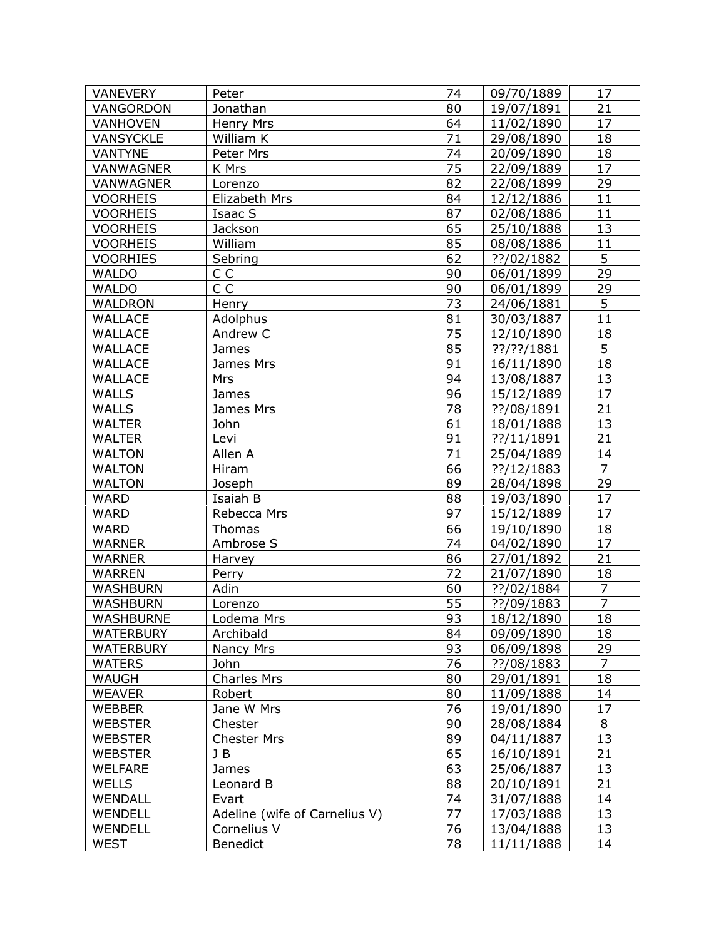| <b>VANEVERY</b>  | Peter                         | 74              | 09/70/1889    | 17              |
|------------------|-------------------------------|-----------------|---------------|-----------------|
| VANGORDON        | Jonathan                      | 80              | 19/07/1891    | 21              |
| <b>VANHOVEN</b>  | Henry Mrs                     | 64              | 11/02/1890    | 17              |
| <b>VANSYCKLE</b> | William K                     | 71              | 29/08/1890    | 18              |
| <b>VANTYNE</b>   | Peter Mrs                     | 74              | 20/09/1890    | 18              |
| VANWAGNER        | K Mrs                         | $\overline{75}$ | 22/09/1889    | 17              |
| <b>VANWAGNER</b> | Lorenzo                       | 82              | 22/08/1899    | 29              |
| <b>VOORHEIS</b>  | Elizabeth Mrs                 | 84              | 12/12/1886    | 11              |
| <b>VOORHEIS</b>  | Isaac S                       | 87              | 02/08/1886    | 11              |
| <b>VOORHEIS</b>  | Jackson                       | 65              | 25/10/1888    | 13              |
| <b>VOORHEIS</b>  | William                       | 85              | 08/08/1886    | 11              |
| <b>VOORHIES</b>  | Sebring                       | 62              | ??/02/1882    | 5               |
| <b>WALDO</b>     | C C                           | 90              | 06/01/1899    | 29              |
| <b>WALDO</b>     | C <sub>C</sub>                | 90              | 06/01/1899    | 29              |
| <b>WALDRON</b>   | Henry                         | 73              | 24/06/1881    | 5               |
| <b>WALLACE</b>   | Adolphus                      | 81              | 30/03/1887    | 11              |
| <b>WALLACE</b>   | Andrew C                      | 75              | 12/10/1890    | 18              |
| WALLACE          | James                         | 85              | $??$ /??/1881 | $\overline{5}$  |
| <b>WALLACE</b>   | James Mrs                     | 91              | 16/11/1890    | 18              |
| <b>WALLACE</b>   | Mrs                           | 94              | 13/08/1887    | 13              |
| <b>WALLS</b>     | James                         | 96              | 15/12/1889    | 17              |
| <b>WALLS</b>     | James Mrs                     | 78              | ??/08/1891    | 21              |
| <b>WALTER</b>    | John                          | 61              | 18/01/1888    | 13              |
| <b>WALTER</b>    | Levi                          | 91              | ??/11/1891    | 21              |
| <b>WALTON</b>    | Allen A                       | 71              | 25/04/1889    | 14              |
| <b>WALTON</b>    | Hiram                         | 66              | ??/12/1883    | $\overline{7}$  |
| <b>WALTON</b>    | Joseph                        | 89              | 28/04/1898    | 29              |
| <b>WARD</b>      | Isaiah B                      | 88              | 19/03/1890    | 17              |
| <b>WARD</b>      | Rebecca Mrs                   | 97              | 15/12/1889    | 17              |
| <b>WARD</b>      | Thomas                        | 66              | 19/10/1890    | 18              |
| <b>WARNER</b>    | Ambrose S                     | 74              | 04/02/1890    | 17              |
| <b>WARNER</b>    | Harvey                        | 86              | 27/01/1892    | 21              |
| <b>WARREN</b>    | Perry                         | 72              | 21/07/1890    | 18              |
| <b>WASHBURN</b>  | Adin                          | 60              | ??/02/1884    | $\overline{7}$  |
| <b>WASHBURN</b>  | Lorenzo                       | 55              | ??/09/1883    | $\overline{7}$  |
| WASHBURNE        | Lodema Mrs                    | 93              | 18/12/1890    | $\overline{18}$ |
| <b>WATERBURY</b> | Archibald                     | 84              | 09/09/1890    | 18              |
| <b>WATERBURY</b> | Nancy Mrs                     | 93              | 06/09/1898    | 29              |
| <b>WATERS</b>    | John                          | 76              | ??/08/1883    | $\overline{7}$  |
| WAUGH            | <b>Charles Mrs</b>            | 80              | 29/01/1891    | 18              |
| <b>WEAVER</b>    | Robert                        | 80              | 11/09/1888    | 14              |
| <b>WEBBER</b>    | Jane W Mrs                    | 76              | 19/01/1890    | 17              |
| <b>WEBSTER</b>   | Chester                       | 90              | 28/08/1884    | 8               |
| <b>WEBSTER</b>   | <b>Chester Mrs</b>            | 89              | 04/11/1887    | 13              |
| <b>WEBSTER</b>   | J B                           | 65              | 16/10/1891    | 21              |
| <b>WELFARE</b>   | James                         | 63              | 25/06/1887    | 13              |
| <b>WELLS</b>     | Leonard B                     | 88              | 20/10/1891    | 21              |
| WENDALL          | Evart                         | 74              | 31/07/1888    | 14              |
| WENDELL          | Adeline (wife of Carnelius V) | 77              | 17/03/1888    | 13              |
| WENDELL          | Cornelius V                   | 76              | 13/04/1888    | 13              |
| <b>WEST</b>      | Benedict                      | 78              | 11/11/1888    | 14              |